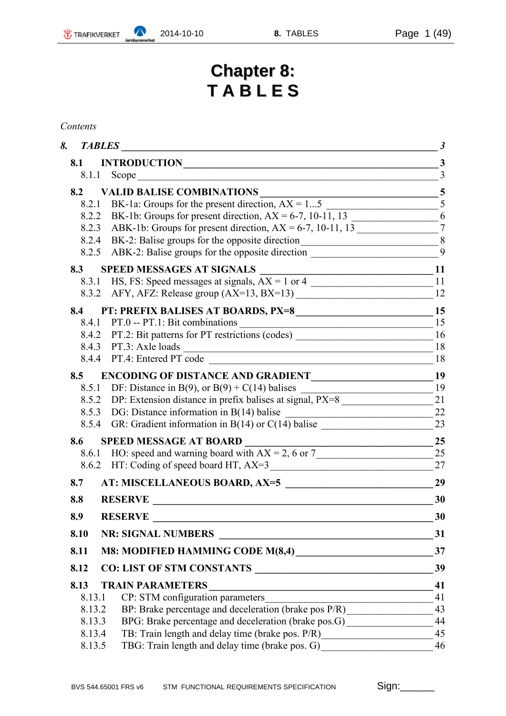$\boldsymbol{\mathcal{D}}$ 

# **Chapter 8: T A B L E S**

#### *Contents*

| 8.   | <b>TABLES</b>                                                                                                                                         | $\mathfrak{Z}$          |
|------|-------------------------------------------------------------------------------------------------------------------------------------------------------|-------------------------|
| 8.1  | INTRODUCTION                                                                                                                                          | $\overline{\mathbf{3}}$ |
|      | 8.1.1                                                                                                                                                 | 3                       |
| 8.2  | $\overline{\phantom{a}5}$<br><b>VALID BALISE COMBINATIONS</b>                                                                                         |                         |
|      | 8.2.1                                                                                                                                                 |                         |
|      | 8.2.2 BK-1b: Groups for present direction, $AX = 6-7$ , 10-11, 13                                                                                     |                         |
|      | 8.2.3 ABK-1b: Groups for present direction, $AX = 6-7$ , 10-11, 13                                                                                    |                         |
|      | 8.2.5 ABK-2: Balise groups for the opposite direction __________________________                                                                      | 9                       |
|      |                                                                                                                                                       |                         |
| 8.3  | $\frac{1}{1}$ 11<br><b>SPEED MESSAGES AT SIGNALS</b>                                                                                                  |                         |
|      |                                                                                                                                                       |                         |
|      |                                                                                                                                                       | 15                      |
| 8.4  | PT: PREFIX BALISES AT BOARDS, PX=8                                                                                                                    |                         |
|      |                                                                                                                                                       |                         |
|      |                                                                                                                                                       | 18                      |
|      |                                                                                                                                                       | 18                      |
| 8.5  |                                                                                                                                                       | 19                      |
|      | 8.5.1 DF: Distance in B(9), or B(9) + C(14) balises                                                                                                   | 19                      |
|      | 8.5.2 DP: Extension distance in prefix balises at signal, PX=8                                                                                        | 21                      |
|      | 8.5.3 DG: Distance information in B(14) balise                                                                                                        | 22                      |
|      | GR: Gradient information in B(14) or $C(14)$ balise<br>8.5.4                                                                                          | 23                      |
| 8.6  | <b>SPEED MESSAGE AT BOARD</b><br><u> 2000 - 2000 - 2000 - 2000 - 2000 - 2000 - 2000 - 2000 - 2000 - 2000 - 2000 - 2000 - 2000 - 2000 - 2000 - 200</u> | 25                      |
|      | 8.6.1 HO: speed and warning board with $AX = 2$ , 6 or 7                                                                                              | 25                      |
|      |                                                                                                                                                       |                         |
| 8.7  | AT: MISCELLANEOUS BOARD, AX=5                                                                                                                         | 29                      |
| 8.8  | <b>RESERVE</b>                                                                                                                                        | 30                      |
| 8.9  | <b>RESERVE</b>                                                                                                                                        | 30                      |
| 8.10 | <u> 1980 - Johann Barn, mars ar breithinn ar breithinn ar breithinn ar breithinn ar breithinn ar breithinn ar br</u><br><b>NR: SIGNAL NUMBERS</b>     | 31                      |
| 8.11 |                                                                                                                                                       | 37                      |
| 8.12 |                                                                                                                                                       | 39                      |
| 8.13 | <b>TRAIN PARAMETERS</b>                                                                                                                               | 41                      |
|      | CP: STM configuration parameters<br>8.13.1                                                                                                            | 41                      |
|      | BP: Brake percentage and deceleration (brake pos P/R)___________________________<br>8.13.2                                                            | 43                      |
|      | BPG: Brake percentage and deceleration (brake pos.G) ___________________________<br>8.13.3                                                            | 44                      |
|      | TB: Train length and delay time (brake pos. P/R)<br>8.13.4                                                                                            | 45                      |
|      | 8.13.5<br>TBG: Train length and delay time (brake pos. G)                                                                                             | 46                      |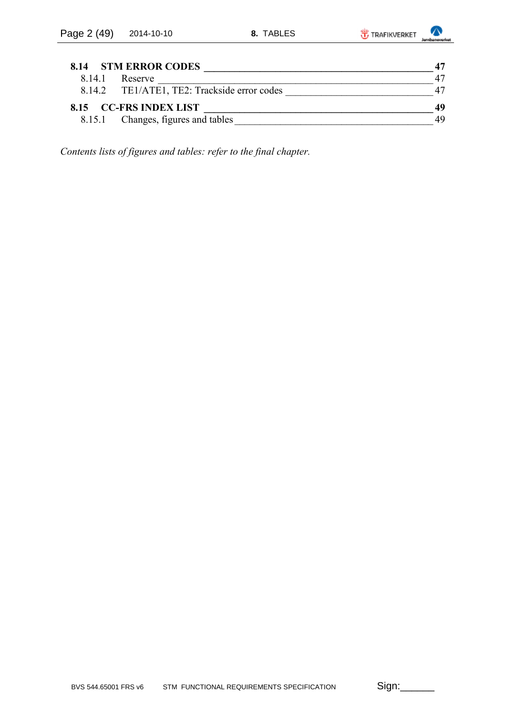∞

| 8.14   | <b>STM ERROR CODES</b>                      |    |
|--------|---------------------------------------------|----|
| 8 14 1 | Reserve                                     | 47 |
|        | 8.14.2 TE1/ATE1, TE2: Trackside error codes |    |
|        | 8.15 CC-FRS INDEX LIST                      | 49 |
|        | 8.15.1 Changes, figures and tables          | 49 |

*Contents lists of figures and tables: refer to the final chapter.*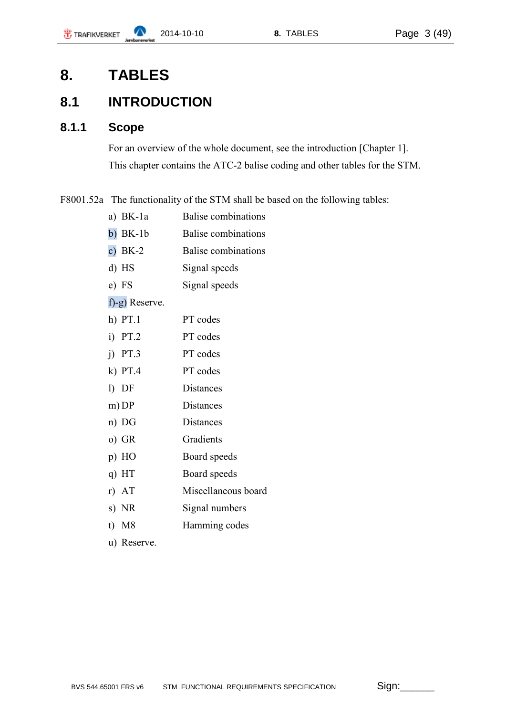# <span id="page-2-0"></span>**8. TABLES**

# <span id="page-2-1"></span>**8.1 INTRODUCTION**

### <span id="page-2-2"></span>**8.1.1 Scope**

For an overview of the whole document, see the introduction [Chapter 1]. This chapter contains the ATC-2 balise coding and other tables for the STM.

F8001.52a The functionality of the STM shall be based on the following tables:

| a) BK-la       | Balise combinations        |
|----------------|----------------------------|
| $b)$ BK-1 $b$  | <b>Balise combinations</b> |
| c) BK-2        | <b>Balise combinations</b> |
| d) HS          | Signal speeds              |
| e) FS          | Signal speeds              |
| f)-g) Reserve. |                            |
| $h)$ PT.1      | PT codes                   |
| $i)$ PT.2      | PT codes                   |
| $j)$ PT.3      | PT codes                   |
| k) $PT.4$      | PT codes                   |
| $1)$ DF        | <b>Distances</b>           |
| m)DP           | Distances                  |
| n) DG          | Distances                  |
| $o)$ GR        | Gradients                  |
| p) HO          | Board speeds               |
| q) HT          | Board speeds               |
| r) AT          | Miscellaneous board        |
| s) NR          | Signal numbers             |
| $t)$ M8        | Hamming codes              |
| u) Reserve.    |                            |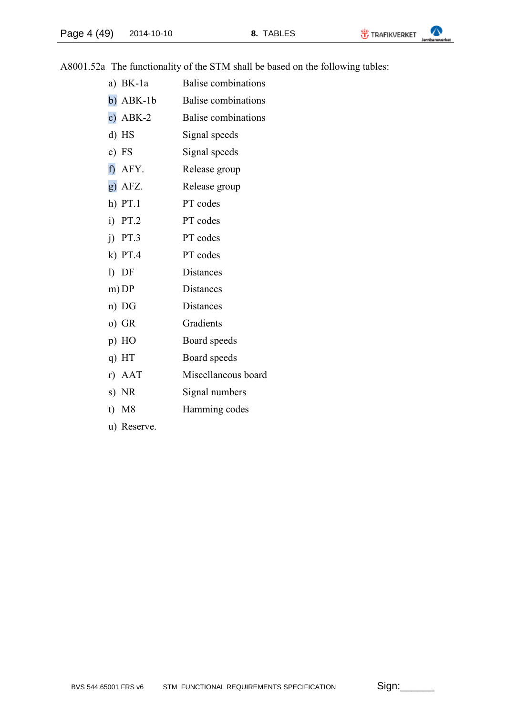v١



|                | The Improvement $\theta$ of the $\theta$ fits bright of $\theta$ |
|----------------|------------------------------------------------------------------|
| a) $BK$ -1a    | Balise combinations                                              |
| $b)$ ABK-1 $b$ | Balise combinations                                              |
| c) $ABK-2$     | Balise combinations                                              |
| $d)$ HS        | Signal speeds                                                    |
| $e)$ FS        | Signal speeds                                                    |
| f) AFY.        | Release group                                                    |

- g) AFZ. Release group
- h) PT.1 PT codes
- i) PT.2 PT codes
- j) PT.3 PT codes
- k) PT.4 PT codes
- l) DF Distances
- m) DP Distances
- n) DG Distances
- o) GR Gradients
- p) HO Board speeds
- q) HT Board speeds
- r) AAT Miscellaneous board
- s) NR Signal numbers
- t) M8 Hamming codes
- u) Reserve.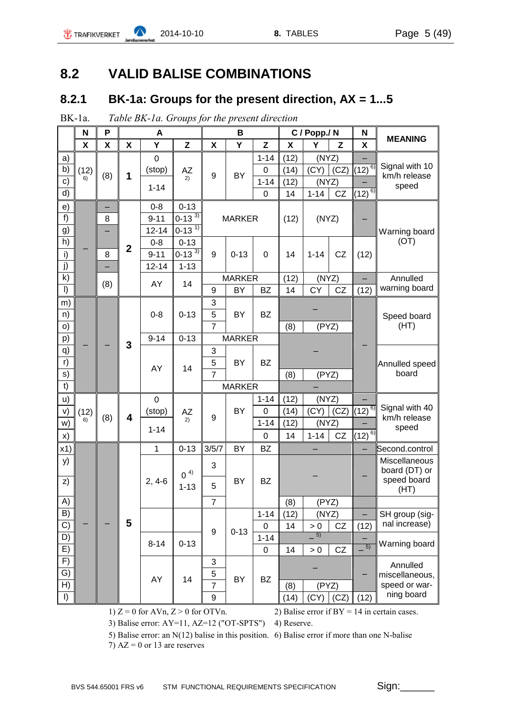# <span id="page-4-0"></span>**8.2 VALID BALISE COMBINATIONS**

### <span id="page-4-1"></span>**8.2.1 BK-1a: Groups for the present direction, AX = 1...5**

| $BK$ -1a. | Table BK-1a. Groups for the present direction |  |  |
|-----------|-----------------------------------------------|--|--|
|           |                                               |  |  |

|                         | N                  | P                         |                | A            |                |                                | B             |             | C / Popp./N |                |      | N          |                                 |
|-------------------------|--------------------|---------------------------|----------------|--------------|----------------|--------------------------------|---------------|-------------|-------------|----------------|------|------------|---------------------------------|
|                         | $\pmb{\mathsf{X}}$ | $\boldsymbol{\mathsf{X}}$ | $\mathsf{X}$   | Υ            | Z              | $\boldsymbol{\mathsf{X}}$      | Υ             | Z           | X           | Y              | Z    | X          | <b>MEANING</b>                  |
| a)                      |                    |                           |                | $\mathbf 0$  |                |                                |               | $1 - 14$    | (12)        | (NYZ)          |      |            |                                 |
| b)                      | (12)               | (8)                       | 1              | (stop)       | AZ             | 9                              | BY            | $\mathbf 0$ | (14)        | (CY)           | (CZ) | 6)<br>(12) | Signal with 10<br>km/h release  |
| c)                      | 6)                 |                           |                | $1 - 14$     | 2)             |                                |               | $1 - 14$    | (12)        | (NYZ)          |      |            | speed                           |
| d)                      |                    |                           |                |              |                |                                |               | $\mathbf 0$ | 14          | $1 - 14$       | CZ   | $(12)^{6}$ |                                 |
| e)                      |                    |                           |                | $0 - 8$      | $0 - 13$       |                                |               |             |             |                |      |            |                                 |
| f)                      |                    | 8                         |                | $9 - 11$     | $0-13^{3}$     | <b>MARKER</b><br>(12)<br>(NYZ) |               |             |             |                |      |            |                                 |
| g)                      |                    |                           |                | $12 - 14$    | $0-13^{1}$     |                                |               |             |             |                |      |            | Warning board                   |
| $\overline{h}$          |                    |                           | $\overline{2}$ | $0 - 8$      | $0 - 13$       |                                |               |             |             |                |      |            | (OT)                            |
| i)                      |                    | 8                         |                | $9 - 11$     | $0-13^{3}$     | 9                              | $0 - 13$      | $\mathbf 0$ | 14          | $1 - 14$       | CZ   | (12)       |                                 |
| j)                      |                    |                           |                | $12 - 14$    | $1 - 13$       |                                |               |             |             |                |      |            |                                 |
| $\overline{k}$          |                    | (8)                       |                | AY           | 14             |                                | <b>MARKER</b> |             | (12)        | (NYZ)          |      |            | Annulled<br>warning board       |
| $\overline{\mathsf{I}}$ |                    |                           |                |              |                | 9                              | BY            | <b>BZ</b>   | 14          | <b>CY</b>      | CZ   | (12)       |                                 |
| m)                      |                    |                           |                |              |                | 3                              |               |             |             |                |      |            |                                 |
| n)                      |                    |                           |                | $0 - 8$      | $0 - 13$       | 5                              | BY            | <b>BZ</b>   |             |                |      |            | Speed board                     |
| o)                      |                    |                           |                |              |                | $\overline{7}$                 |               |             | (8)         | (PYZ)          |      |            | (HT)                            |
| p)                      |                    |                           | 3              | $9 - 14$     | $0 - 13$       |                                | <b>MARKER</b> |             |             |                |      |            |                                 |
| q)<br>r)                |                    |                           |                |              |                | $\sqrt{3}$<br>5<br>BY          |               | <b>BZ</b>   |             |                |      |            |                                 |
| s)                      |                    |                           |                | AY           | 14             | $\overline{7}$                 |               |             | (8)         | (PYZ)          |      |            | Annulled speed<br>board         |
| t)                      |                    |                           |                |              |                |                                | <b>MARKER</b> |             |             |                |      |            |                                 |
| u)                      |                    |                           |                | $\mathbf 0$  |                |                                |               | $1 - 14$    | (12)        | (NYZ)          |      |            |                                 |
| v)                      | (12)               |                           |                | (stop)       | AZ             |                                | <b>BY</b>     | $\mathbf 0$ | (14)        | (CY)           | (CZ) | 6)<br>(12) | Signal with 40                  |
| w)                      | 6)                 | (8)                       | 4              |              | 2)             | 9                              |               | $1 - 14$    | (12)        | (NYZ)          |      |            | km/h release                    |
| x)                      |                    |                           |                | $1 - 14$     |                |                                |               | $\mathbf 0$ | 14          | $1 - 14$       | CZ   | 6)<br>(12) | speed                           |
| x1)                     |                    |                           |                | $\mathbf{1}$ | $0 - 13$       | 3/5/7                          | BY            | <b>BZ</b>   |             |                |      | -          | Second.control                  |
| y)                      |                    |                           |                |              |                |                                |               |             |             |                |      |            | Miscellaneous                   |
|                         |                    |                           |                |              | 0 <sup>4</sup> | $\mathbf{3}$                   |               |             |             |                |      |            | board (DT) or                   |
| z)                      |                    |                           |                | $2, 4-6$     | $1 - 13$       | 5                              | <b>BY</b>     | <b>BZ</b>   |             |                |      |            | speed board                     |
| A)                      |                    |                           |                |              |                | $\overline{7}$                 |               |             |             |                |      |            | (HT)                            |
| B)                      |                    |                           |                |              |                |                                |               | $1 - 14$    | (8)<br>(12) | (PYZ)<br>(NYZ) |      |            |                                 |
| C)                      |                    |                           | 5              |              |                |                                |               | $\pmb{0}$   | 14          | $> 0$          | CZ   | (12)       | SH group (sig-<br>nal increase) |
| D)                      |                    |                           |                |              |                | 9                              | $0 - 13$      | $1 - 14$    |             | 5)             |      |            |                                 |
| $\overline{E}$          |                    |                           |                | $8 - 14$     | $0 - 13$       |                                |               | $\mathbf 0$ | 14          | > 0            | CZ   | $-5)$      | Warning board                   |
| F)                      |                    |                           |                |              |                | 3                              |               |             |             |                |      |            |                                 |
| G)                      |                    |                           |                |              |                | 5                              |               |             |             |                |      |            | Annulled<br>miscellaneous,      |
| $\overline{H}$          |                    |                           |                | AY           | 14             | $\overline{7}$                 | BY            | <b>BZ</b>   | (8)         | (PYZ)          |      |            | speed or war-                   |
| $\vert$                 |                    |                           |                |              |                | $\boldsymbol{9}$               |               |             | (14)        | (CY)           | (CZ) | (12)       | ning board                      |

1)  $Z = 0$  for AVn,  $Z > 0$  for OTVn. 2) Balise error if BY = 14 in certain cases.

3) Balise error: AY=11, AZ=12 ("OT-SPTS") 4) Reserve.

5) Balise error: an N(12) balise in this position. 6) Balise error if more than one N-balise 7)  $AZ = 0$  or 13 are reserves

Ø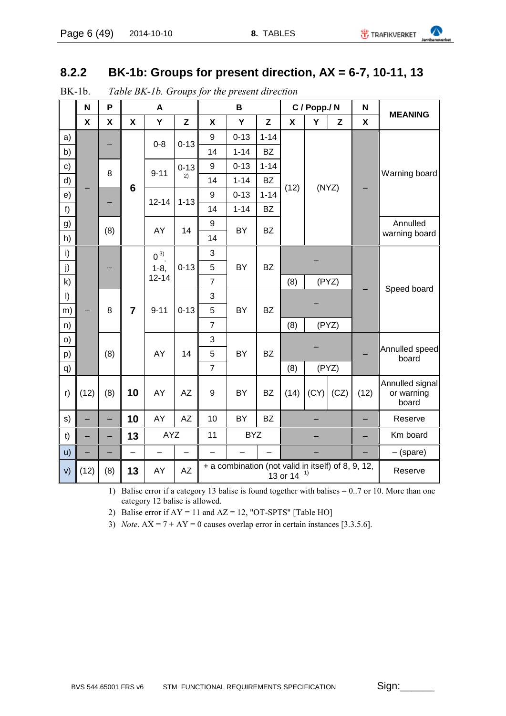</del>

### <span id="page-5-0"></span>**8.2.2 BK-1b: Groups for present direction, AX = 6-7, 10-11, 13**

|         | N                        | P                         |                           | A                        |           |                           | B                                                  |           | C / Popp./N |       |       | N                         |                                        |  |             |  |               |  |  |
|---------|--------------------------|---------------------------|---------------------------|--------------------------|-----------|---------------------------|----------------------------------------------------|-----------|-------------|-------|-------|---------------------------|----------------------------------------|--|-------------|--|---------------|--|--|
|         | X                        | $\boldsymbol{\mathsf{X}}$ | $\boldsymbol{\mathsf{x}}$ | Υ                        | Z         | $\boldsymbol{\mathsf{X}}$ | Υ                                                  | Z         | X           | Υ     | Z     | $\boldsymbol{\mathsf{X}}$ | <b>MEANING</b>                         |  |             |  |               |  |  |
| a)      |                          |                           |                           |                          |           | 9                         | $0 - 13$                                           | $1 - 14$  |             |       |       |                           |                                        |  |             |  |               |  |  |
| b)      |                          |                           |                           | $0 - 8$                  | $0 - 13$  | 14                        | $1 - 14$                                           | <b>BZ</b> |             |       |       |                           |                                        |  |             |  |               |  |  |
| c)      |                          | 8                         |                           | $9 - 11$                 | $0 - 13$  | $\boldsymbol{9}$          | $0 - 13$                                           | $1 - 14$  |             | (NYZ) |       |                           |                                        |  |             |  | Warning board |  |  |
| d)      |                          |                           | $6\phantom{1}6$           |                          | 2)        | 14                        | $1 - 14$                                           | <b>BZ</b> | (12)        |       |       |                           |                                        |  |             |  |               |  |  |
| e)      |                          |                           |                           | $12 - 14$                | $1 - 13$  | $\boldsymbol{9}$          | $0 - 13$                                           | $1 - 14$  |             |       |       |                           |                                        |  |             |  |               |  |  |
| f)      |                          |                           |                           |                          |           | 14                        | $1 - 14$                                           | <b>BZ</b> |             |       |       |                           |                                        |  |             |  |               |  |  |
| g)      |                          | (8)                       |                           | AY                       | 14        | 9                         | BY                                                 | <b>BZ</b> |             |       |       |                           | Annulled                               |  |             |  |               |  |  |
| h)      |                          |                           |                           |                          |           | 14                        |                                                    |           |             |       |       |                           | warning board                          |  |             |  |               |  |  |
| i)      |                          |                           |                           | $0^{3}$                  |           | 3                         |                                                    |           |             |       |       |                           |                                        |  |             |  |               |  |  |
| j)      |                          |                           |                           | $1 - 8,$                 | $0 - 13$  | 5                         | BY                                                 | <b>BZ</b> |             |       |       |                           |                                        |  |             |  |               |  |  |
| k)      |                          |                           |                           | $12 - 14$                |           | $\overline{7}$            |                                                    |           | (8)         | (PYZ) |       |                           |                                        |  | Speed board |  |               |  |  |
| $\vert$ |                          |                           |                           |                          |           | 3                         |                                                    |           |             |       |       |                           |                                        |  |             |  |               |  |  |
| m)      |                          | 8                         | $\overline{7}$            | $9 - 11$                 | $0 - 13$  | 5                         | BY                                                 | <b>BZ</b> |             |       |       |                           |                                        |  |             |  |               |  |  |
| n)      |                          |                           |                           |                          |           | $\overline{7}$            |                                                    |           | (8)         |       | (PYZ) |                           |                                        |  |             |  |               |  |  |
| O)      |                          |                           |                           |                          |           | 3                         |                                                    |           |             |       |       |                           |                                        |  |             |  |               |  |  |
| p)      |                          | (8)                       |                           | AY                       | 14        | 5                         | BY                                                 | <b>BZ</b> |             |       |       |                           | Annulled speed<br>board                |  |             |  |               |  |  |
| q)      |                          |                           |                           |                          |           | $\overline{7}$            |                                                    |           | (8)         |       | (PYZ) |                           |                                        |  |             |  |               |  |  |
| r)      | (12)                     | (8)                       | 10                        | AY                       | <b>AZ</b> | $\boldsymbol{9}$          | BY                                                 | <b>BZ</b> | (14)        | (CY)  | (CZ)  | (12)                      | Annulled signal<br>or warning<br>board |  |             |  |               |  |  |
| s)      | -                        | -                         | 10                        | AY                       | <b>AZ</b> | 10                        | BY                                                 | <b>BZ</b> |             |       |       | -                         | Reserve                                |  |             |  |               |  |  |
| t)      | $\overline{\phantom{0}}$ | —                         | 13                        | AYZ                      |           | 11                        | <b>BYZ</b>                                         |           |             |       |       | $\overline{\phantom{0}}$  | Km board                               |  |             |  |               |  |  |
| u)      | -                        | -                         |                           | $\overline{\phantom{0}}$ | $\equiv$  | $\overline{\phantom{0}}$  |                                                    |           |             |       |       |                           | $-$ (spare)                            |  |             |  |               |  |  |
| V)      | (12)                     | (8)                       | 13                        | AY                       | <b>AZ</b> |                           | + a combination (not valid in itself) of 8, 9, 12, |           | 13 or 14    | 1)    |       |                           | Reserve                                |  |             |  |               |  |  |

BK-1b. *Table BK-1b. Groups for the present direction*

1) Balise error if a category 13 balise is found together with balises = 0..7 or 10. More than one category 12 balise is allowed.

2) Balise error if  $AY = 11$  and  $AZ = 12$ , "OT-SPTS" [Table HO]

3) *Note*.  $AX = 7 + AY = 0$  causes overlap error in certain instances [3.3.5.6].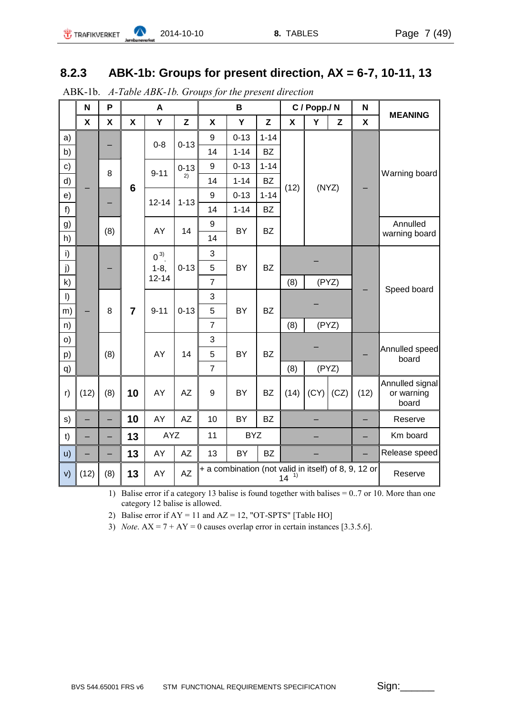ハ

### <span id="page-6-0"></span>**8.2.3 ABK-1b: Groups for present direction, AX = 6-7, 10-11, 13**

|         | N    | P   |                           | A          |           |                | B                                                    |              |          | C / Popp./N |       |      |                                        |  |             |  |  |  |
|---------|------|-----|---------------------------|------------|-----------|----------------|------------------------------------------------------|--------------|----------|-------------|-------|------|----------------------------------------|--|-------------|--|--|--|
|         | X    | X   | $\boldsymbol{\mathsf{X}}$ | Υ          | Z         | X              | Υ                                                    | $\mathbf{Z}$ | X        | Y           | Z     | X    | <b>MEANING</b>                         |  |             |  |  |  |
| a)      |      |     |                           | $0 - 8$    | $0 - 13$  | $9$            | $0 - 13$                                             | $1 - 14$     |          |             |       |      |                                        |  |             |  |  |  |
| b)      |      |     |                           |            |           | 14             | $1 - 14$                                             | <b>BZ</b>    |          |             |       |      |                                        |  |             |  |  |  |
| c)      |      | 8   |                           | $9 - 11$   | $0 - 13$  | 9              | $0 - 13$                                             | $1 - 14$     |          |             |       |      | Warning board                          |  |             |  |  |  |
| d)      |      |     | 6                         |            | 2)        | 14             | $1 - 14$                                             | <b>BZ</b>    |          | (NYZ)       |       | (12) |                                        |  |             |  |  |  |
| e)      |      |     |                           | $12 - 14$  | $1 - 13$  | 9              | $0 - 13$                                             | $1 - 14$     |          |             |       |      |                                        |  |             |  |  |  |
| f)      |      |     |                           |            |           | 14             | $1 - 14$                                             | <b>BZ</b>    |          |             |       |      |                                        |  |             |  |  |  |
| g)      |      | (8) |                           | AY         | 14        | 9              | BY                                                   | <b>BZ</b>    |          |             |       |      | Annulled                               |  |             |  |  |  |
| h)      |      |     |                           |            |           | 14             |                                                      |              |          |             |       |      | warning board                          |  |             |  |  |  |
| i)      |      |     |                           | $0^{3}$    |           | 3              |                                                      |              |          |             |       |      |                                        |  |             |  |  |  |
| j)      |      |     |                           | $1 - 8,$   | $0 - 13$  | 5              | BY                                                   | <b>BZ</b>    |          |             |       |      |                                        |  |             |  |  |  |
| k)      |      |     |                           | $12 - 14$  |           | $\overline{7}$ |                                                      |              | (8)      | (PYZ)       |       |      |                                        |  |             |  |  |  |
| $\vert$ |      |     |                           |            |           | 3              |                                                      |              |          |             |       |      |                                        |  | Speed board |  |  |  |
| m)      |      | 8   | $\overline{7}$            | $9 - 11$   | $0 - 13$  | 5              | BY                                                   | <b>BZ</b>    |          |             |       |      |                                        |  |             |  |  |  |
| n)      |      |     |                           |            |           | $\overline{7}$ |                                                      |              | (8)      | (PYZ)       |       |      |                                        |  |             |  |  |  |
| O)      |      |     |                           |            |           | 3              |                                                      |              |          |             |       |      |                                        |  |             |  |  |  |
| p)      |      | (8) |                           | AY         | 14        | 5              | <b>BY</b>                                            | <b>BZ</b>    |          |             |       |      | Annulled speed<br>board                |  |             |  |  |  |
| q)      |      |     |                           |            |           | $\overline{7}$ |                                                      |              | (8)      |             | (PYZ) |      |                                        |  |             |  |  |  |
| r)      | (12) | (8) | 10                        | AY         | AZ        | $9$            | <b>BY</b>                                            | <b>BZ</b>    | (14)     | (CY)        | (CZ)  | (12) | Annulled signal<br>or warning<br>board |  |             |  |  |  |
| s)      | ÷,   | -   | 10                        | AY         | AZ        | 10             | BY                                                   | <b>BZ</b>    |          |             |       |      | Reserve                                |  |             |  |  |  |
| t)      | —    | —   | 13                        | <b>AYZ</b> |           | 11             | <b>BYZ</b>                                           |              |          |             |       |      | Km board                               |  |             |  |  |  |
| u)      | -    | -   | 13                        | AY         | AZ        | 13             | BY                                                   | <b>BZ</b>    |          |             |       | -    | Release speed                          |  |             |  |  |  |
| V)      | (12) | (8) | 13                        | AY         | <b>AZ</b> |                | + a combination (not valid in itself) of 8, 9, 12 or |              | $14^{1}$ |             |       |      | Reserve                                |  |             |  |  |  |

ABK-1b. *A-Table ABK-1b. Groups for the present direction* 

1) Balise error if a category 13 balise is found together with balises = 0..7 or 10. More than one category 12 balise is allowed.

2) Balise error if  $AY = 11$  and  $AZ = 12$ , "OT-SPTS" [Table HO]

3) *Note*.  $AX = 7 + AY = 0$  causes overlap error in certain instances [3.3.5.6].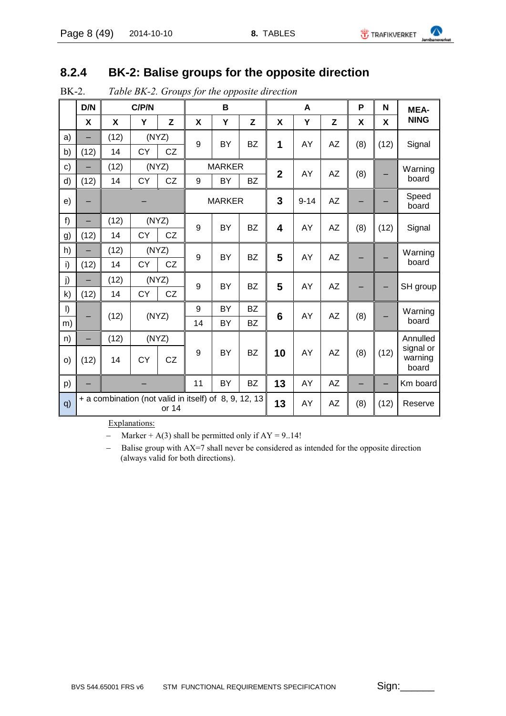# <span id="page-7-0"></span>**8.2.4 BK-2: Balise groups for the opposite direction**

|         | D/N                                                            |      | C/P/N           |       |    | В             |           |                         | A        |           | P   | N    | <b>MEA-</b>                   |
|---------|----------------------------------------------------------------|------|-----------------|-------|----|---------------|-----------|-------------------------|----------|-----------|-----|------|-------------------------------|
|         | X                                                              | X    | Y               | Z     | X  | Υ             | Z         | X                       | Υ        | Z         | X   | X    | <b>NING</b>                   |
| a)      |                                                                | (12) |                 | (NYZ) | 9  | BY            | <b>BZ</b> | 1                       | AY       | AZ        |     |      |                               |
| b)      | (12)                                                           | 14   | <b>CY</b>       | CZ    |    |               |           |                         |          |           | (8) | (12) | Signal                        |
| c)      |                                                                | (12) |                 | (NYZ) |    | <b>MARKER</b> |           | $\mathbf{2}$            | AY       | AZ        | (8) |      | Warning                       |
| d)      | (12)                                                           | 14   | <b>CY</b>       | CZ    | 9  | BY            | <b>BZ</b> |                         |          |           |     |      | board                         |
| e)      |                                                                |      |                 |       |    | <b>MARKER</b> |           | 3                       | $9 - 14$ | AZ        |     |      | Speed<br>board                |
| f)      | —                                                              | (12) |                 | (NYZ) | 9  | <b>BY</b>     | <b>BZ</b> | $\overline{\mathbf{4}}$ | AY       | AZ        | (8) | (12) | Signal                        |
| g)      | (12)                                                           | 14   | <b>CY</b>       | CZ    |    |               |           |                         |          |           |     |      |                               |
| h)      | -                                                              | (12) |                 | (NYZ) | 9  | <b>BY</b>     | <b>BZ</b> | 5                       | AY       | ΑZ        |     |      | Warning                       |
| i)      | (12)                                                           | 14   | <b>CY</b>       | CZ    |    |               |           |                         |          |           |     |      | board                         |
| j)      |                                                                | (12) |                 | (NYZ) | 9  | BY            | <b>BZ</b> | 5                       | AY       | <b>AZ</b> |     |      | SH group                      |
| k)      | (12)                                                           | 14   | <b>CY</b>       | CZ    |    |               |           |                         |          |           |     |      |                               |
| $\vert$ |                                                                | (12) |                 | (NYZ) | 9  | BY            | <b>BZ</b> | $6\phantom{1}6$         | AY       | AZ        | (8) |      | Warning                       |
| m)      |                                                                |      |                 |       | 14 | BY            | <b>BZ</b> |                         |          |           |     |      | board                         |
| n)      |                                                                | (12) |                 | (NYZ) |    |               |           |                         |          |           |     |      | Annulled                      |
| O)      | (12)                                                           | 14   | <b>CY</b><br>CZ |       | 9  | BY            | <b>BZ</b> | 10                      | AY       | AZ        | (8) | (12) | signal or<br>warning<br>board |
| p)      |                                                                |      |                 |       | 11 | BY            | <b>BZ</b> | 13                      | AY       | <b>AZ</b> |     | —    | Km board                      |
| q)      | + a combination (not valid in itself) of 8, 9, 12, 13<br>or 14 |      |                 |       |    |               |           | 13                      | AY       | AZ        | (8) | (12) | Reserve                       |

BK-2. *Table BK-2. Groups for the opposite direction*

Explanations:

- Marker + A(3) shall be permitted only if  $AY = 9.14!$ 

 Balise group with AX=7 shall never be considered as intended for the opposite direction (always valid for both directions).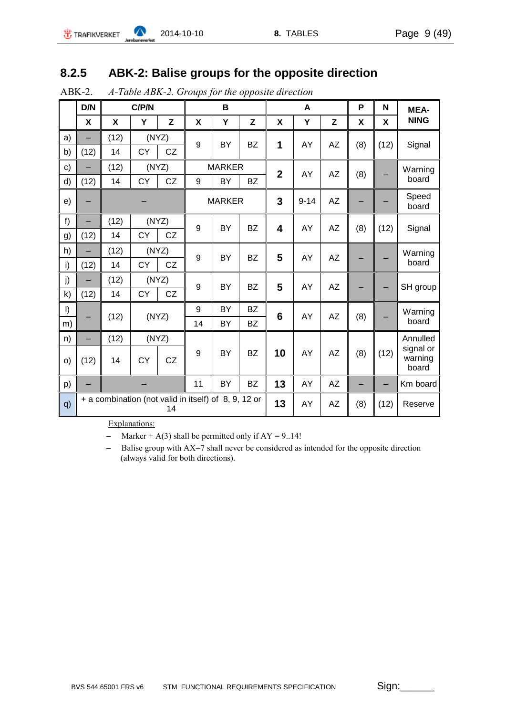Ø

## <span id="page-8-0"></span>**8.2.5 ABK-2: Balise groups for the opposite direction**

|         | D/N                       |                                                      | C/P/N     |       |                           | В             |           |                 | A        |           | P   | N                         | <b>MEA-</b>                   |
|---------|---------------------------|------------------------------------------------------|-----------|-------|---------------------------|---------------|-----------|-----------------|----------|-----------|-----|---------------------------|-------------------------------|
|         | $\boldsymbol{\mathsf{X}}$ | X                                                    | Y         | Z     | $\boldsymbol{\mathsf{X}}$ | Υ             | Z         | X               | Υ        | Z         | X   | $\boldsymbol{\mathsf{X}}$ | <b>NING</b>                   |
| a)      | $\qquad \qquad -$         | (12)                                                 |           | (NYZ) | 9                         | BY            | <b>BZ</b> | 1               | AY       | AZ        | (8) |                           |                               |
| b)      | (12)                      | 14                                                   | CY        | CZ    |                           |               |           |                 |          |           |     | (12)                      | Signal                        |
| c)      |                           | (12)                                                 |           | (NYZ) |                           | <b>MARKER</b> |           | $\mathbf{2}$    | AY       | <b>AZ</b> | (8) |                           | Warning                       |
| d)      | (12)                      | 14                                                   | <b>CY</b> | CZ    | 9                         | BY            | <b>BZ</b> |                 |          |           |     |                           | board                         |
| e)      |                           |                                                      |           |       |                           | <b>MARKER</b> |           | 3               | $9 - 14$ | AZ        |     |                           | Speed<br>board                |
| f)      |                           | (12)                                                 |           | (NYZ) | 9                         | BY            | <b>BZ</b> | 4               | AY       | AZ        | (8) | (12)                      | Signal                        |
| g)      | (12)                      | 14                                                   | <b>CY</b> | CZ    |                           |               |           |                 |          |           |     |                           |                               |
| h)      |                           | (12)                                                 |           | (NYZ) | 9                         | <b>BY</b>     | <b>BZ</b> | 5               | AY       | AZ        |     |                           | Warning                       |
| i)      | (12)                      | 14                                                   | <b>CY</b> | CZ    |                           |               |           |                 |          |           |     |                           | board                         |
| j)      |                           | (12)                                                 |           | (NYZ) | 9                         | BY            | <b>BZ</b> | 5               | AY       | AZ        |     |                           | SH group                      |
| k)      | (12)                      | 14                                                   | <b>CY</b> | CZ    |                           |               |           |                 |          |           |     |                           |                               |
| $\vert$ |                           | (12)                                                 |           | (NYZ) | 9                         | BY            | <b>BZ</b> | $6\phantom{1}6$ | AY       | AZ        | (8) |                           | Warning                       |
| m)      |                           |                                                      |           |       | 14                        | BY            | <b>BZ</b> |                 |          |           |     |                           | board                         |
| n)      | ۳                         | (12)                                                 |           | (NYZ) |                           |               |           |                 |          |           |     |                           | Annulled                      |
| O)      | (12)                      | 14                                                   | <b>CY</b> | CZ    | $\boldsymbol{9}$          | BY            | <b>BZ</b> | 10              | AY       | AZ        | (8) | (12)                      | signal or<br>warning<br>board |
| p)      |                           |                                                      |           |       | 11                        | BY            | <b>BZ</b> | 13              | AY       | AZ        |     | $\qquad \qquad -$         | Km board                      |
| q)      |                           | + a combination (not valid in itself) of 8, 9, 12 or |           | 14    |                           |               |           | 13              | AY       | AZ        | (8) | (12)                      | Reserve                       |

ABK-2. *A-Table ABK-2. Groups for the opposite direction*

Explanations:

- Marker + A(3) shall be permitted only if  $AY = 9.14!$ 

 Balise group with AX=7 shall never be considered as intended for the opposite direction (always valid for both directions).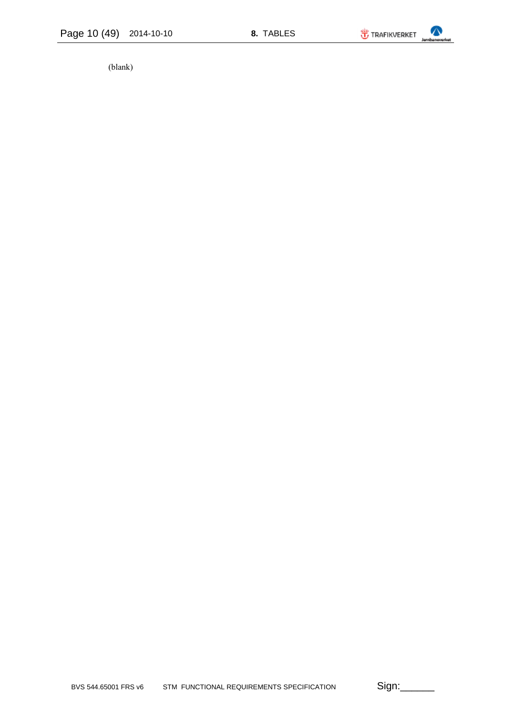(blank)

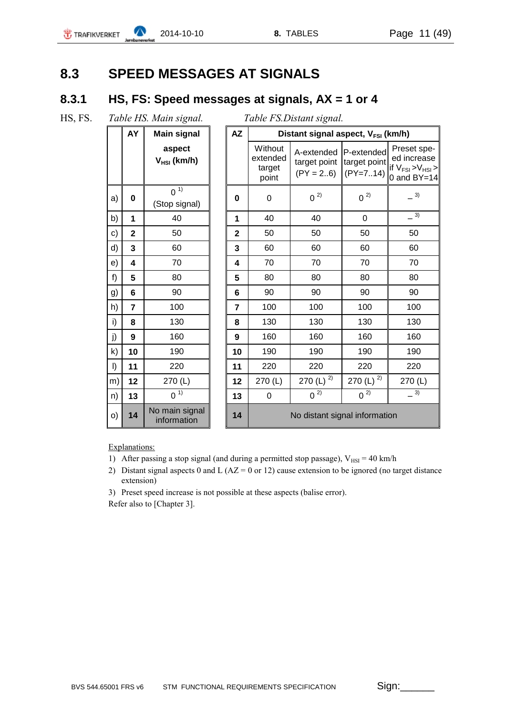# <span id="page-10-0"></span>**8.3 SPEED MESSAGES AT SIGNALS**

### <span id="page-10-1"></span>**8.3.1 HS, FS: Speed messages at signals, AX = 1 or 4**

HS, FS. *Table HS. Main signal. Table FS.Distant signal.*

Ø

|    |                         | Tubic Tis. Mum signal.        |                         | 1 uv           |
|----|-------------------------|-------------------------------|-------------------------|----------------|
|    | AY                      | <b>Main signal</b>            | <b>AZ</b>               |                |
|    |                         | aspect                        |                         | W              |
|    |                         | V <sub>HSI</sub> (km/h)       |                         | ex             |
|    |                         |                               |                         | 1              |
|    |                         | 1)<br>$\Omega$                |                         |                |
| a) | 0                       | (Stop signal)                 | 0                       |                |
| b) | 1                       | 40                            | 1                       |                |
| c) | $\overline{\mathbf{2}}$ | 50                            | $\overline{\mathbf{2}}$ |                |
| d) | 3                       | 60                            | 3                       |                |
| e) | 4                       | 70                            | 4                       |                |
| f) | 5                       | 80                            | 5                       |                |
| g) | 6                       | 90                            | 6                       |                |
| h) | $\overline{7}$          | 100                           | $\overline{\mathbf{r}}$ |                |
| i) | 8                       | 130                           | 8                       |                |
| j) | 9                       | 160                           | 9                       |                |
| k) | 10                      | 190                           | 10                      |                |
| I) | 11                      | 220                           | 11                      |                |
| m) | 12                      | 270 (L)                       | 12                      | $\overline{a}$ |
| n) | 13                      | 1)<br>0                       | 13                      |                |
| o) | 14                      | No main signal<br>information | 14                      |                |

|    |              | rubie 115. main signai.       |                         |                                        | Tuble P.S.Distant signal.                      |                                          |                                                                         |  |  |  |
|----|--------------|-------------------------------|-------------------------|----------------------------------------|------------------------------------------------|------------------------------------------|-------------------------------------------------------------------------|--|--|--|
|    | <b>AY</b>    | <b>Main signal</b>            | <b>AZ</b>               |                                        | Distant signal aspect, V <sub>FSI</sub> (km/h) |                                          |                                                                         |  |  |  |
|    |              | aspect<br>$V_{HSI}$ (km/h)    |                         | Without<br>extended<br>target<br>point | A-extended<br>target point<br>$(PY = 26)$      | P-extended<br>target point<br>$(PY=714)$ | Preset spe-<br>ed increase<br>if $V_{FSI} > V_{HSI} >$<br>0 and $BY=14$ |  |  |  |
| a) | 0            | $0^{1}$<br>(Stop signal)      | $\bf{0}$                | 0                                      | $0^{2)}$                                       | $0^{2}$                                  | 3)                                                                      |  |  |  |
| b) | 1            | 40                            | 1                       | 40                                     | 40                                             | $\pmb{0}$                                | $=$ 3)                                                                  |  |  |  |
| c) | $\mathbf{2}$ | 50                            | $\mathbf{2}$            | 50                                     | 50                                             | 50                                       | 50                                                                      |  |  |  |
| d) | 3            | 60                            | 3                       | 60                                     | 60                                             | 60                                       | 60                                                                      |  |  |  |
| e) | 4            | 70                            | 4                       | 70                                     | 70                                             | 70                                       | 70                                                                      |  |  |  |
| f) | 5            | 80                            | 5                       | 80                                     | 80                                             | 80                                       | 80                                                                      |  |  |  |
| g) | 6            | 90                            | 6                       | 90                                     | 90                                             | 90                                       | 90                                                                      |  |  |  |
| h) | 7            | 100                           | $\overline{\mathbf{r}}$ | 100                                    | 100                                            | 100                                      | 100                                                                     |  |  |  |
| i) | 8            | 130                           | 8                       | 130                                    | 130                                            | 130                                      | 130                                                                     |  |  |  |
| j) | 9            | 160                           | 9                       | 160                                    | 160                                            | 160                                      | 160                                                                     |  |  |  |
| k) | 10           | 190                           | 10                      | 190                                    | 190                                            | 190                                      | 190                                                                     |  |  |  |
| I) | 11           | 220                           | 11                      | 220                                    | 220                                            | 220                                      | 220                                                                     |  |  |  |
| m) | 12           | 270 (L)                       | 12                      | 270 (L)                                | 270 (L) $^{2)}$                                | 270 (L) $^{2)}$                          | 270 (L)                                                                 |  |  |  |
| n) | 13           | $0^{1}$                       | 13                      | 0                                      | $0^{2}$                                        | $0^{2}$                                  | 3)                                                                      |  |  |  |
| O) | 14           | No main signal<br>information | 14                      | No distant signal information          |                                                |                                          |                                                                         |  |  |  |

Explanations:

- 1) After passing a stop signal (and during a permitted stop passage),  $V_{HSI} = 40$  km/h
- 2) Distant signal aspects 0 and L  $(AZ = 0 \text{ or } 12)$  cause extension to be ignored (no target distance extension)

3) Preset speed increase is not possible at these aspects (balise error).

Refer also to [Chapter 3].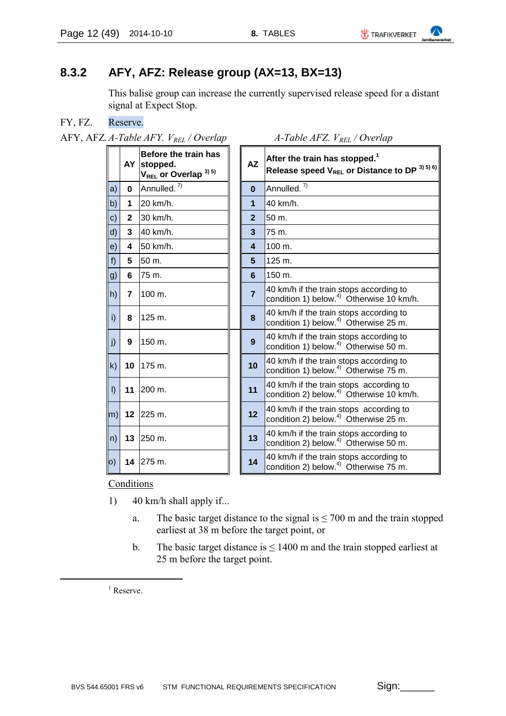### <span id="page-11-0"></span>**8.3.2 AFY, AFZ: Release group (AX=13, BX=13)**

This balise group can increase the currently supervised release speed for a distant signal at Expect Stop.

#### FY, FZ. Reserve.

| AFY, AFZ. A-Table AFY. V <sub>REL</sub> / Overlap |  |  |
|---------------------------------------------------|--|--|
|---------------------------------------------------|--|--|

AFY, AFZ*.A-Table AFY. VREL / Overlap A-Table AFZ. VREL / Overlap*

|           |                | Before the train has<br>AY stopped.<br>$V_{REL}$ or Overlap $^{3) 5)}$ | <b>AZ</b>      | After the train has stopped. <sup>1</sup><br>Release speed $V_{REL}$ or Distance to DP $^{3(5)}$ |
|-----------|----------------|------------------------------------------------------------------------|----------------|--------------------------------------------------------------------------------------------------|
| a)        | $\mathbf 0$    | Annulled. <sup>7)</sup>                                                | $\bf{0}$       | Annulled. <sup>7)</sup>                                                                          |
| b)        | 1              | 20 km/h.                                                               | 1              | 40 km/h.                                                                                         |
| c)        | $\mathbf{2}$   | 30 km/h.                                                               | $\overline{2}$ | 50 m.                                                                                            |
| d)        | $\overline{3}$ | 40 km/h.                                                               | 3              | 75 m.                                                                                            |
| e)        | 4              | 50 km/h.                                                               | 4              | $100 \; \text{m}$ .                                                                              |
| f)        | 5              | 50 m.                                                                  | 5              | 125 m.                                                                                           |
| g)        | 6              | 75 m.                                                                  | 6              | 150 m.                                                                                           |
| h)        | $\overline{7}$ | 100 m.                                                                 | $\overline{7}$ | 40 km/h if the train stops according to<br>condition 1) below. <sup>4)</sup> Otherwise 10 km/h.  |
| i)        | 8              | 125 m.                                                                 | 8              | 40 km/h if the train stops according to<br>condition 1) below. $4$ <sup>3</sup> Otherwise 25 m.  |
| j)        | 9              | 150 m.                                                                 | 9              | 40 km/h if the train stops according to<br>condition 1) below. $4$ <sup>)</sup> Otherwise 50 m.  |
| k)        | 10             | 175 m.                                                                 | 10             | 40 km/h if the train stops according to<br>condition 1) below. $4$ <sup>)</sup> Otherwise 75 m.  |
| $\vert$ ) | 11             | 200 m.                                                                 | 11             | 40 km/h if the train stops according to<br>condition 2) below. <sup>4)</sup> Otherwise 10 km/h.  |
| m)        |                | 12 225 m.                                                              | 12             | 40 km/h if the train stops according to<br>condition 2) below. <sup>4)</sup> Otherwise 25 m.     |
| n)        | 13             | 250 m.                                                                 | 13             | 40 km/h if the train stops according to<br>condition 2) below. $4$ <sup>)</sup> Otherwise 50 m.  |
| O)        | 14             | 275 m.                                                                 | 14             | 40 km/h if the train stops according to<br>condition 2) below. <sup>4)</sup> Otherwise 75 m.     |

Conditions

- 1) 40 km/h shall apply if...
	- a. The basic target distance to the signal is  $\leq$  700 m and the train stopped earliest at 38 m before the target point, or
	- b. The basic target distance is  $\leq 1400$  m and the train stopped earliest at 25 m before the target point.

<sup>1</sup> Reserve.

 $\overline{a}$ 

| к. |  |
|----|--|
|    |  |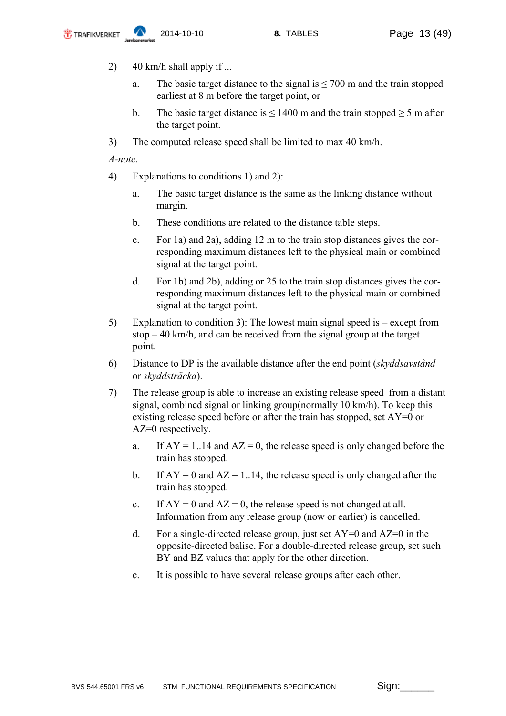2)  $40 \text{ km/h}$  shall apply if ...

W

- a. The basic target distance to the signal is  $\leq 700$  m and the train stopped earliest at 8 m before the target point, or
- b. The basic target distance is  $\leq 1400$  m and the train stopped  $\geq 5$  m after the target point.
- 3) The computed release speed shall be limited to max 40 km/h.

*A-note.*

- 4) Explanations to conditions 1) and 2):
	- a. The basic target distance is the same as the linking distance without margin.
	- b. These conditions are related to the distance table steps.
	- c. For 1a) and 2a), adding 12 m to the train stop distances gives the corresponding maximum distances left to the physical main or combined signal at the target point.
	- d. For 1b) and 2b), adding or 25 to the train stop distances gives the corresponding maximum distances left to the physical main or combined signal at the target point.
- 5) Explanation to condition 3): The lowest main signal speed is except from stop – 40 km/h, and can be received from the signal group at the target point.
- 6) Distance to DP is the available distance after the end point (*skyddsavstånd* or *skyddsträcka*).
- 7) The release group is able to increase an existing release speed from a distant signal, combined signal or linking group(normally 10 km/h). To keep this existing release speed before or after the train has stopped, set  $AY=0$  or AZ=0 respectively.
	- a. If  $AY = 1.14$  and  $AZ = 0$ , the release speed is only changed before the train has stopped.
	- b. If  $AY = 0$  and  $AZ = 1..14$ , the release speed is only changed after the train has stopped.
	- c. If  $AY = 0$  and  $AZ = 0$ , the release speed is not changed at all. Information from any release group (now or earlier) is cancelled.
	- d. For a single-directed release group, just set AY=0 and AZ=0 in the opposite-directed balise. For a double-directed release group, set such BY and BZ values that apply for the other direction.
	- e. It is possible to have several release groups after each other.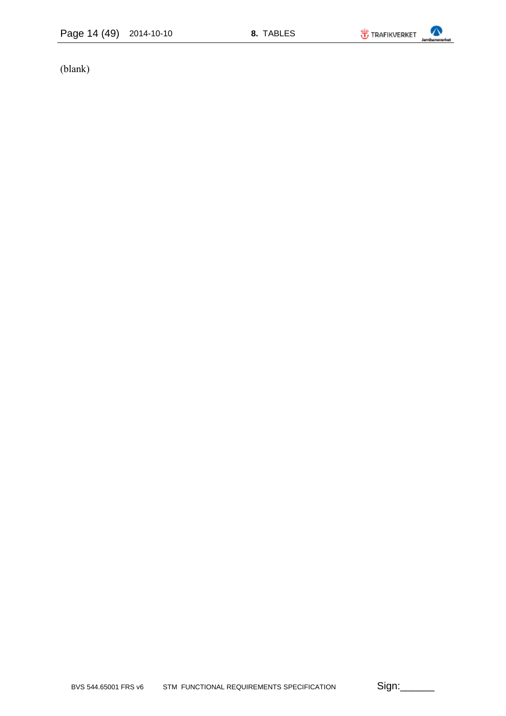

(blank)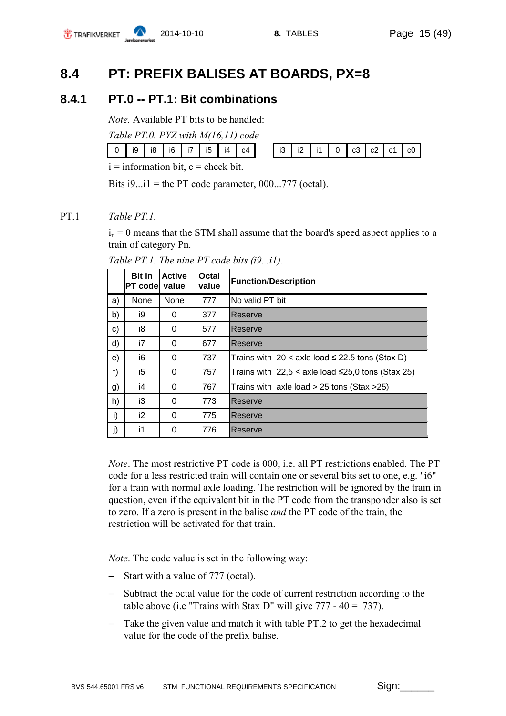# <span id="page-14-0"></span>**8.4 PT: PREFIX BALISES AT BOARDS, PX=8**

## <span id="page-14-1"></span>**8.4.1 PT.0 -- PT.1: Bit combinations**

*Note.* Available PT bits to be handled:

*Table PT.0. PYZ with M(16,11) code*

|  |  | 0   i9   i8   i6   i7   i5   i4   c4 |  |  |  |  | i3   i2   i1   0   c3   c2   c1   c0 |  |
|--|--|--------------------------------------|--|--|--|--|--------------------------------------|--|

 $i =$  information bit,  $c =$  check bit.

Bits  $i9...i1$  = the PT code parameter, 000...777 (octal).

### PT.1 *Table PT.1.*

 $i_n = 0$  means that the STM shall assume that the board's speed aspect applies to a train of category Pn.

|              | <b>Bit in</b><br><b>IPT codel value</b> | <b>Active</b> | Octal<br>value | <b>Function/Description</b>                                   |
|--------------|-----------------------------------------|---------------|----------------|---------------------------------------------------------------|
| a)           | None                                    | None          | 777            | No valid PT bit                                               |
| b)           | i9                                      | 0             | 377            | Reserve                                                       |
| $\mathbf{C}$ | i8                                      | 0             | 577            | Reserve                                                       |
| d)           | i7                                      | $\Omega$      | 677            | Reserve                                                       |
| e)           | i6                                      | 0             | 737            | Trains with $20 <$ axle load $\leq 22.5$ tons (Stax D)        |
| f)           | i5                                      | 0             | 757            | Trains with $22.5 \leq a$ xle load $\leq 25.0$ tons (Stax 25) |
| g)           | i4                                      | $\Omega$      | 767            | Trains with $axle load > 25$ tons (Stax > 25)                 |
| h)           | i3                                      | 0             | 773            | Reserve                                                       |
| i)           | i2                                      | $\Omega$      | 775            | Reserve                                                       |
| i)           | i1                                      | 0             | 776            | Reserve                                                       |

*Table PT.1. The nine PT code bits (i9...i1).*

*Note*. The most restrictive PT code is 000, i.e. all PT restrictions enabled. The PT code for a less restricted train will contain one or several bits set to one, e.g. "i6" for a train with normal axle loading. The restriction will be ignored by the train in question, even if the equivalent bit in the PT code from the transponder also is set to zero. If a zero is present in the balise *and* the PT code of the train, the restriction will be activated for that train.

*Note*. The code value is set in the following way:

- Start with a value of 777 (octal).
- Subtract the octal value for the code of current restriction according to the table above (i.e "Trains with Stax D" will give  $777 - 40 = 737$ ).
- Take the given value and match it with table PT.2 to get the hexadecimal value for the code of the prefix balise.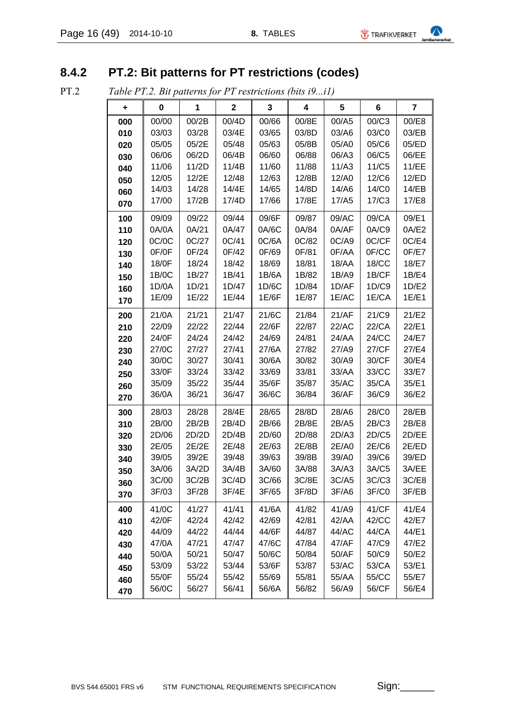## <span id="page-15-0"></span>**8.4.2 PT.2: Bit patterns for PT restrictions (codes)**

PT.2 *Table PT.2. Bit patterns for PT restrictions (bits i9...i1)*

| ٠   | $\bf{0}$ | 1     | $\mathbf 2$ | 3     | 4     | 5     | 6     | 7     |
|-----|----------|-------|-------------|-------|-------|-------|-------|-------|
| 000 | 00/00    | 00/2B | 00/4D       | 00/66 | 00/8E | 00/A5 | 00/C3 | 00/E8 |
| 010 | 03/03    | 03/28 | 03/4E       | 03/65 | 03/8D | 03/A6 | 03/C0 | 03/EB |
| 020 | 05/05    | 05/2E | 05/48       | 05/63 | 05/8B | 05/A0 | 05/C6 | 05/ED |
| 030 | 06/06    | 06/2D | 06/4B       | 06/60 | 06/88 | 06/A3 | 06/C5 | 06/EE |
| 040 | 11/06    | 11/2D | 11/4B       | 11/60 | 11/88 | 11/A3 | 11/C5 | 11/EE |
| 050 | 12/05    | 12/2E | 12/48       | 12/63 | 12/8B | 12/A0 | 12/C6 | 12/ED |
| 060 | 14/03    | 14/28 | 14/4E       | 14/65 | 14/8D | 14/A6 | 14/C0 | 14/EB |
| 070 | 17/00    | 17/2B | 17/4D       | 17/66 | 17/8E | 17/A5 | 17/C3 | 17/E8 |
| 100 | 09/09    | 09/22 | 09/44       | 09/6F | 09/87 | 09/AC | 09/CA | 09/E1 |
| 110 | 0A/0A    | 0A/21 | 0A/47       | 0A/6C | 0A/84 | 0A/AF | 0A/C9 | 0A/E2 |
| 120 | 0C/0C    | 0C/27 | 0C/41       | 0C/6A | 0C/82 | 0C/A9 | 0C/CF | 0C/E4 |
| 130 | 0F/0F    | 0F/24 | 0F/42       | 0F/69 | 0F/81 | 0F/AA | 0F/CC | 0F/E7 |
| 140 | 18/0F    | 18/24 | 18/42       | 18/69 | 18/81 | 18/AA | 18/CC | 18/E7 |
| 150 | 1B/0C    | 1B/27 | 1B/41       | 1B/6A | 1B/82 | 1B/A9 | 1B/CF | 1B/E4 |
| 160 | 1D/0A    | 1D/21 | 1D/47       | 1D/6C | 1D/84 | 1D/AF | 1D/C9 | 1D/E2 |
| 170 | 1E/09    | 1E/22 | 1E/44       | 1E/6F | 1E/87 | 1E/AC | 1E/CA | 1E/E1 |
| 200 | 21/0A    | 21/21 | 21/47       | 21/6C | 21/84 | 21/AF | 21/C9 | 21/E2 |
| 210 | 22/09    | 22/22 | 22/44       | 22/6F | 22/87 | 22/AC | 22/CA | 22/E1 |
| 220 | 24/0F    | 24/24 | 24/42       | 24/69 | 24/81 | 24/AA | 24/CC | 24/E7 |
| 230 | 27/0C    | 27/27 | 27/41       | 27/6A | 27/82 | 27/A9 | 27/CF | 27/E4 |
| 240 | 30/0C    | 30/27 | 30/41       | 30/6A | 30/82 | 30/A9 | 30/CF | 30/E4 |
| 250 | 33/0F    | 33/24 | 33/42       | 33/69 | 33/81 | 33/AA | 33/CC | 33/E7 |
| 260 | 35/09    | 35/22 | 35/44       | 35/6F | 35/87 | 35/AC | 35/CA | 35/E1 |
| 270 | 36/0A    | 36/21 | 36/47       | 36/6C | 36/84 | 36/AF | 36/C9 | 36/E2 |
| 300 | 28/03    | 28/28 | 28/4E       | 28/65 | 28/8D | 28/A6 | 28/C0 | 28/EB |
| 310 | 2B/00    | 2B/2B | 2B/4D       | 2B/66 | 2B/8E | 2B/A5 | 2B/C3 | 2B/E8 |
| 320 | 2D/06    | 2D/2D | 2D/4B       | 2D/60 | 2D/88 | 2D/AB | 2D/C5 | 2D/EE |
| 330 | 2E/05    | 2E/2E | 2E/48       | 2E/63 | 2E/8B | 2E/A0 | 2E/C6 | 2E/ED |
| 340 | 39/05    | 39/2E | 39/48       | 39/63 | 39/8B | 39/A0 | 39/C6 | 39/ED |
| 350 | 3A/06    | 3A/2D | 3A/4B       | 3A/60 | 3A/88 | 3A/A3 | 3A/C5 | 3A/EE |
| 360 | 3C/00    | 3C/2B | 3C/4D       | 3C/66 | 3C/8E | 3C/A5 | 3C/C3 | 3C/E8 |
| 370 | 3F/03    | 3F/28 | 3F/4E       | 3F/65 | 3F/8D | 3F/AG | 3F/C0 | 3F/EB |
| 400 | 41/0C    | 41/27 | 41/41       | 41/6A | 41/82 | 41/A9 | 41/CF | 41/E4 |
| 410 | 42/0F    | 42/24 | 42/42       | 42/69 | 42/81 | 42/AA | 42/CC | 42/E7 |
| 420 | 44/09    | 44/22 | 44/44       | 44/6F | 44/87 | 44/AC | 44/CA | 44/E1 |
| 430 | 47/0A    | 47/21 | 47/47       | 47/6C | 47/84 | 47/AF | 47/C9 | 47/E2 |
| 440 | 50/0A    | 50/21 | 50/47       | 50/6C | 50/84 | 50/AF | 50/C9 | 50/E2 |
| 450 | 53/09    | 53/22 | 53/44       | 53/6F | 53/87 | 53/AC | 53/CA | 53/E1 |
| 460 | 55/0F    | 55/24 | 55/42       | 55/69 | 55/81 | 55/AA | 55/CC | 55/E7 |
| 470 | 56/0C    | 56/27 | 56/41       | 56/6A | 56/82 | 56/A9 | 56/CF | 56/E4 |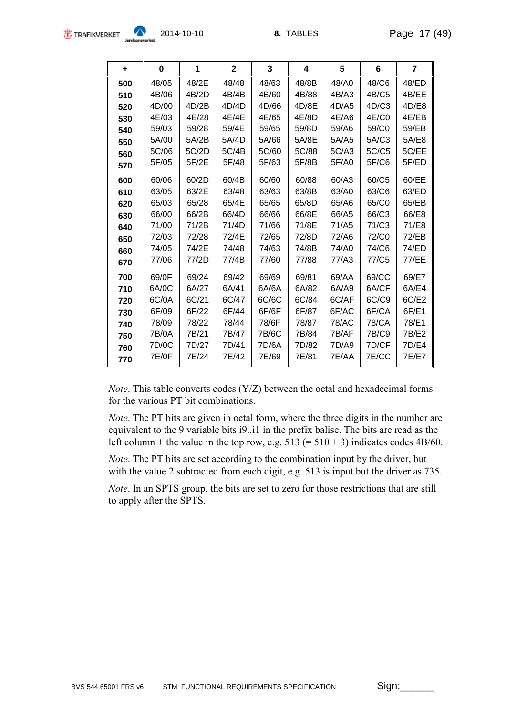**TRAFIKVERKET** 

| ٠   | $\bf{0}$ | 1     | $\mathbf{2}$ | 3     | 4     | 5     | 6     | $\overline{7}$ |
|-----|----------|-------|--------------|-------|-------|-------|-------|----------------|
| 500 | 48/05    | 48/2E | 48/48        | 48/63 | 48/8B | 48/A0 | 48/C6 | 48/ED          |
| 510 | 4B/06    | 4B/2D | 4B/4B        | 4B/60 | 4B/88 | 4B/A3 | 4B/C5 | 4B/EE          |
| 520 | 4D/00    | 4D/2B | 4D/4D        | 4D/66 | 4D/8E | 4D/AS | 4D/C3 | 4D/E8          |
| 530 | 4E/03    | 4E/28 | 4E/4E        | 4E/65 | 4E/8D | 4E/A6 | 4E/C0 | 4E/EB          |
| 540 | 59/03    | 59/28 | 59/4E        | 59/65 | 59/8D | 59/A6 | 59/C0 | 59/EB          |
| 550 | 5A/00    | 5A/2B | 5A/4D        | 5A/66 | 5A/8E | 5A/A5 | 5A/C3 | 5A/E8          |
| 560 | 5C/06    | 5C/2D | 5C/4B        | 5C/60 | 5C/88 | 5C/A3 | 5C/C5 | 5C/EE          |
| 570 | 5F/05    | 5F/2E | 5F/48        | 5F/63 | 5F/8B | 5F/A0 | 5F/C6 | 5F/ED          |
| 600 | 60/06    | 60/2D | 60/4B        | 60/60 | 60/88 | 60/A3 | 60/C5 | 60/EE          |
| 610 | 63/05    | 63/2E | 63/48        | 63/63 | 63/8B | 63/A0 | 63/C6 | 63/ED          |
| 620 | 65/03    | 65/28 | 65/4E        | 65/65 | 65/8D | 65/A6 | 65/C0 | 65/EB          |
| 630 | 66/00    | 66/2B | 66/4D        | 66/66 | 66/8E | 66/A5 | 66/C3 | 66/E8          |
| 640 | 71/00    | 71/2B | 71/4D        | 71/66 | 71/8E | 71/A5 | 71/C3 | 71/E8          |
| 650 | 72/03    | 72/28 | 72/4E        | 72/65 | 72/8D | 72/A6 | 72/C0 | 72/EB          |
| 660 | 74/05    | 74/2E | 74/48        | 74/63 | 74/8B | 74/A0 | 74/C6 | 74/ED          |
| 670 | 77/06    | 77/2D | 77/4B        | 77/60 | 77/88 | 77/A3 | 77/C5 | 77/EE          |
| 700 | 69/0F    | 69/24 | 69/42        | 69/69 | 69/81 | 69/AA | 69/CC | 69/E7          |
| 710 | 6A/0C    | 6A/27 | 6A/41        | 6A/6A | 6A/82 | 6A/A9 | 6A/CF | 6A/E4          |
| 720 | 6C/0A    | 6C/21 | 6C/47        | 6C/6C | 6C/84 | 6C/AF | 6C/C9 | 6C/E2          |
| 730 | 6F/09    | 6F/22 | 6F/44        | 6F/6F | 6F/87 | 6F/AC | 6F/CA | 6F/E1          |
| 740 | 78/09    | 78/22 | 78/44        | 78/6F | 78/87 | 78/AC | 78/CA | 78/E1          |
| 750 | 7B/0A    | 7B/21 | 7B/47        | 7B/6C | 7B/84 | 7B/AF | 7B/C9 | 7B/E2          |
| 760 | 7D/0C    | 7D/27 | 7D/41        | 7D/6A | 7D/82 | 7D/A9 | 7D/CF | 7D/E4          |
| 770 | 7E/0F    | 7E/24 | 7E/42        | 7E/69 | 7E/81 | 7E/AA | 7E/CC | 7E/E7          |

*Note*. This table converts codes (Y/Z) between the octal and hexadecimal forms for the various PT bit combinations.

*Note*. The PT bits are given in octal form, where the three digits in the number are equivalent to the 9 variable bits i9..i1 in the prefix balise. The bits are read as the left column + the value in the top row, e.g.  $513 (= 510 + 3)$  indicates codes 4B/60.

*Note*. The PT bits are set according to the combination input by the driver, but with the value 2 subtracted from each digit, e.g. 513 is input but the driver as 735.

*Note*. In an SPTS group, the bits are set to zero for those restrictions that are still to apply after the SPTS.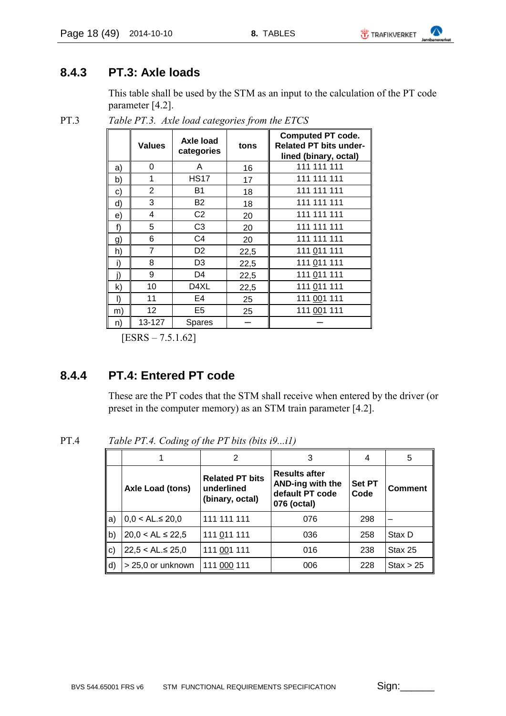### <span id="page-17-0"></span>**8.4.3 PT.3: Axle loads**

This table shall be used by the STM as an input to the calculation of the PT code parameter [4.2].

|    | <b>Values</b>  | Axle load<br>categories | tons | <b>Computed PT code.</b><br><b>Related PT bits under-</b><br>lined (binary, octal) |
|----|----------------|-------------------------|------|------------------------------------------------------------------------------------|
| a) | $\Omega$       | A                       | 16   | 111 111 111                                                                        |
| b) | 1              | <b>HS17</b>             | 17   | 111 111 111                                                                        |
| c) | $\overline{2}$ | <b>B1</b>               | 18   | 111 111 111                                                                        |
| d) | 3              | <b>B2</b>               | 18   | 111 111 111                                                                        |
| e) | 4              | C <sub>2</sub>          | 20   | 111 111 111                                                                        |
| f) | 5              | C <sub>3</sub>          | 20   | 111 111 111                                                                        |
| g) | 6              | C4                      | 20   | 111 111 111                                                                        |
| h) | 7              | D <sub>2</sub>          | 22,5 | 111 011 111                                                                        |
| i) | 8              | D <sub>3</sub>          | 22,5 | 111 011 111                                                                        |
| j) | 9              | D4                      | 22,5 | 111 011 111                                                                        |
| k) | 10             | D4XL                    | 22,5 | 111 011 111                                                                        |
| I) | 11             | E4                      | 25   | 111 001 111                                                                        |
| m) | 12             | E <sub>5</sub>          | 25   | 111 001 111                                                                        |
| n) | 13-127         | Spares                  |      |                                                                                    |

PT.3 *Table PT.3. Axle load categories from the ETCS*

 $[ESRS - 7.5.1.62]$ 

### <span id="page-17-1"></span>**8.4.4 PT.4: Entered PT code**

These are the PT codes that the STM shall receive when entered by the driver (or preset in the computer memory) as an STM train parameter [4.2].

1 2 3 4 5 **Axle Load (tons) Related PT bits underlined (binary, octal) Results after AND-ing with the default PT code 076 (octal) Set PT Code Comment** a)  $|0,0|$  < AL.≤ 20,0  $|11111111$   $|076$   $|298$ b) 20,0 < AL ≤ 22,5 111 011 111 036 258 Stax D c)  $\begin{vmatrix} 22.5 < AL \leq 25.0 \\ 111 & 001 & 111 \end{vmatrix}$  016  $\begin{vmatrix} 238 & | \text{Stax } 25 \end{vmatrix}$ d)  $| > 25,0$  or unknown | 111 000 111 | 006 | 228 | Stax  $> 25$ 

PT.4 *Table PT.4. Coding of the PT bits (bits i9...i1)*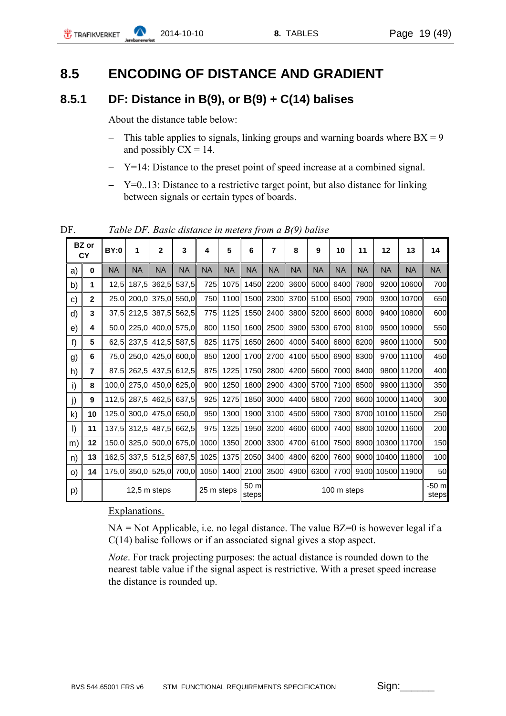# <span id="page-18-0"></span>**8.5 ENCODING OF DISTANCE AND GRADIENT**

### <span id="page-18-1"></span>**8.5.1 DF: Distance in B(9), or B(9) + C(14) balises**

About the distance table below:

- This table applies to signals, linking groups and warning boards where  $BX = 9$ and possibly  $CX = 14$ .
- Y=14: Distance to the preset point of speed increase at a combined signal.
- $-$  Y=0..13: Distance to a restrictive target point, but also distance for linking between signals or certain types of boards.

|         | BZ or<br>CY    | BY:0      | 1         | $\mathbf{2}$                 | 3         | 4          | 5         | 6             | 7           | 8         | 9         | 10        | 11        | 12               | 13         | 14               |
|---------|----------------|-----------|-----------|------------------------------|-----------|------------|-----------|---------------|-------------|-----------|-----------|-----------|-----------|------------------|------------|------------------|
| a)      | 0              | <b>NA</b> | <b>NA</b> | <b>NA</b>                    | <b>NA</b> | <b>NA</b>  | <b>NA</b> | <b>NA</b>     | <b>NA</b>   | <b>NA</b> | <b>NA</b> | <b>NA</b> | <b>NA</b> | <b>NA</b>        | <b>NA</b>  | <b>NA</b>        |
| b)      | 1              | 12,5      | 187.5     | 362,5                        | 537,5     | 725        | 1075      | 1450          | 2200        | 3600      | 5000      | 6400      | 7800      |                  | 9200 10600 | 700              |
| c)      | $\mathbf 2$    | 25,0      | 200.0     | 375,0                        | 550,0     | 750        | 1100      | 1500          | 2300        | 3700      | 5100      | 6500      | 7900      |                  | 9300 10700 | 650              |
| d)      | 3              | 37,5      | 212,5     | 387.5                        | 562,5     | 775        | 1125      | 1550          | 2400        | 3800      | 5200      | 6600      | 8000      |                  | 9400 10800 | 600              |
| e)      | 4              | 50,0      | 225,0     | 400.0                        | 575,0     | 800        | 1150      | 1600          | 2500        | 3900      | 5300      | 6700      | 8100      |                  | 9500 10900 | 550              |
| f)      | 5              | 62,5      | 237.5     | 412,5                        | 587,5     | 825        | 1175      | 1650          | 2600        | 4000      | 5400      | 6800      | 8200      |                  | 9600 11000 | 500              |
| g)      | 6              | 75,0      | 250.0     | 425,0                        | 600,0     | 850        |           | 1200 1700     | 2700        | 4100      | 5500      | 6900      | 8300      |                  | 9700 11100 | 450              |
| h)      | $\overline{7}$ | 87.5      | 262.5     | 437.5                        | 612,5     | 875        |           | 1225 1750     | 2800        | 4200      | 5600      | 7000      | 8400      |                  | 9800 11200 | 400              |
| i)      | 8              | 100.0     |           | 275,0 450,0                  | 625,0     | 900        |           | 1250 1800     | 2900        | 4300      | 5700      | 7100      | 8500      |                  | 9900 11300 | 350              |
| j)      | 9              | 112,5     | 287.5     | 462,5                        | 637,5     | 925        | 1275      | 1850          | 3000        | 4400      | 5800      | 7200      |           | 8600 10000 11400 |            | 300              |
| k)      | 10             | 125,0     |           | 300,0 475,0                  | 650,0     | 950        |           | 1300 1900     | 3100        | 4500      | 5900      | 7300      |           | 8700 10100 11500 |            | 250              |
| $\vert$ | 11             | 137.5     | 312.5     | 487,5                        | 662,5     | 975        |           | 1325 1950     | 3200        | 4600      | 6000      | 7400      |           | 8800 10200 11600 |            | 200              |
| m)      | 12             | 150.0     | 325.0     | 500,0                        |           | 675,0 1000 |           | 1350 2000     | 3300        | 4700      | 6100      | 7500      |           | 8900 10300 11700 |            | 150              |
| n)      | 13             | 162,5     |           | 337,5 512,5                  |           | 687,5 1025 | 1375      | 2050          | 3400        | 4800      | 6200      | 7600      |           | 9000 10400 11800 |            | 100              |
| O)      | 14             |           |           | 175,0 350,0 525,0 700,0 1050 |           |            | 1400      | 2100          | 3500        | 4900      | 6300      | 7700      |           | 9100 10500 11900 |            | 50               |
| p)      |                |           |           | 12,5 m steps                 |           | 25 m steps |           | 50 m<br>steps | 100 m steps |           |           |           |           |                  |            | $-50$ m<br>steps |

DF. *Table DF. Basic distance in meters from a B(9) balise*

Explanations.

 $NA = Not Applicable, i.e. no legal distance. The value  $BZ = 0$  is however legal if a$ C(14) balise follows or if an associated signal gives a stop aspect.

*Note*. For track projecting purposes: the actual distance is rounded down to the nearest table value if the signal aspect is restrictive. With a preset speed increase the distance is rounded up.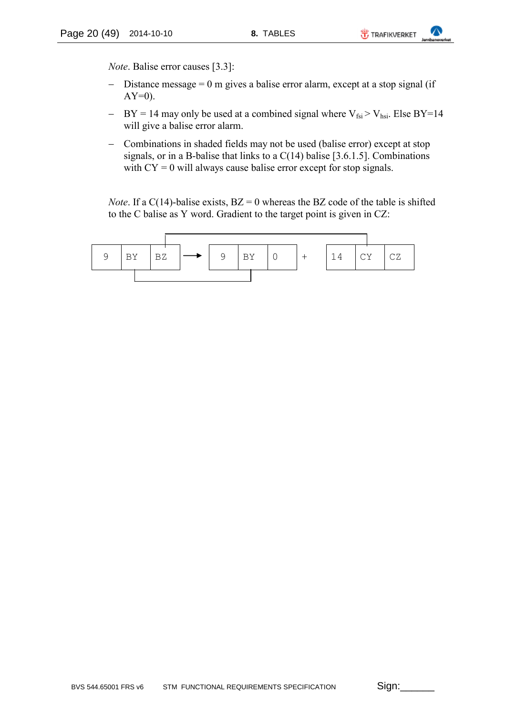*Note*. Balise error causes [3.3]:

- Distance message =  $0$  m gives a balise error alarm, except at a stop signal (if  $AY=0$ ).
- $-$  BY = 14 may only be used at a combined signal where  $V_{fsi} > V_{hsi}$ . Else BY=14 will give a balise error alarm.
- Combinations in shaded fields may not be used (balise error) except at stop signals, or in a B-balise that links to a C(14) balise [3.6.1.5]. Combinations with  $CY = 0$  will always cause balise error except for stop signals.

*Note*. If a C(14)-balise exists,  $BZ = 0$  whereas the BZ code of the table is shifted to the C balise as Y word. Gradient to the target point is given in CZ:

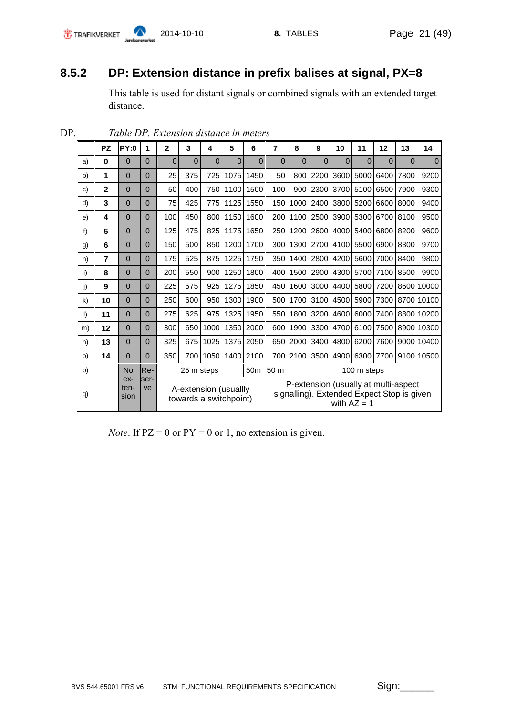Ø

## <span id="page-20-0"></span>**8.5.2 DP: Extension distance in prefix balises at signal, PX=8**

This table is used for distant signals or combined signals with an extended target distance.

| ۰, | ł<br>٧ |
|----|--------|

DP. *Table DP. Extension distance in meters*

|              | <b>PZ</b>      | <b>PY:0</b>         | 1              | $\overline{2}$                                  | 3                                                    | 4        | 5        | 6        | $\overline{7}$                                                                                      | 8        | 9        | 10       | 11       | 12       | 13       | 14             |
|--------------|----------------|---------------------|----------------|-------------------------------------------------|------------------------------------------------------|----------|----------|----------|-----------------------------------------------------------------------------------------------------|----------|----------|----------|----------|----------|----------|----------------|
| a)           | 0              | $\Omega$            | $\Omega$       | $\Omega$                                        | $\Omega$                                             | $\Omega$ | $\Omega$ | $\Omega$ | $\Omega$                                                                                            | $\Omega$ | $\Omega$ | $\Omega$ | $\Omega$ | $\Omega$ | $\Omega$ | $\overline{0}$ |
| b)           | 1              | $\overline{0}$      | $\Omega$       | 25                                              | 375                                                  | 725      | 1075     | 1450     | 50                                                                                                  | 800      | 2200     | 3600     | 5000     | 6400     | 7800     | 9200           |
| c)           | $\overline{2}$ | $\overline{0}$      | $\Omega$       | 50                                              | 400                                                  | 750      | 1100     | 1500     | 100                                                                                                 | 900      | 2300     | 3700     | 5100     | 6500     | 7900     | 9300           |
| d)           | 3              | $\overline{0}$      | $\overline{0}$ | 75                                              | 425                                                  | 775      | 1125     | 1550     | 150                                                                                                 | 1000     | 2400     | 3800     | 5200     | 6600     | 8000     | 9400           |
| e)           | 4              | $\overline{0}$      | $\overline{0}$ | 100                                             | 450                                                  | 800      | 1150     | 1600     | 200                                                                                                 | 1100     | 2500     | 3900     | 5300     | 6700     | 8100     | 9500           |
| f)           | 5              | $\overline{0}$      | $\overline{0}$ | 125                                             | 475                                                  | 825      | 1175     | 1650     | 250                                                                                                 | 1200     | 2600     | 4000     | 5400     | 6800     | 8200     | 9600           |
| g)           | 6              | $\overline{0}$      | 0              | 150                                             | 500                                                  | 850      | 1200     | 1700     | 300                                                                                                 | 1300     | 2700     | 4100     | 5500     | 6900     | 8300     | 9700           |
| h)           | 7              | $\mathbf 0$         | $\mathbf 0$    | 175                                             | 525                                                  | 875      | 1225     | 1750     | 350                                                                                                 | 1400     | 2800     | 4200     | 5600     | 7000     | 8400     | 9800           |
| i)           | 8              | $\overline{0}$      | $\overline{0}$ | 200                                             | 550                                                  | 900      | 1250     | 1800     | 400                                                                                                 | 1500     | 2900     | 4300     | 5700     | 7100     | 8500     | 9900           |
| j)           | 9              | $\Omega$            | $\Omega$       | 225                                             | 575                                                  | 925      | 1275     | 1850     | 450                                                                                                 | 1600     | 3000     | 4400     | 5800     | 7200     |          | 8600 10000     |
| $\mathsf{k}$ | 10             | $\overline{0}$      | $\overline{0}$ | 250                                             | 600                                                  | 950      | 1300     | 1900     | 500                                                                                                 | 1700     | 3100     | 4500     | 5900     | 7300     |          | 8700 10100     |
| I)           | 11             | $\Omega$            | $\overline{0}$ | 275                                             | 625                                                  | 975      | 1325     | 1950     | 550                                                                                                 | 1800     | 3200     | 4600     | 6000     | 7400     |          | 8800 10200     |
| m)           | 12             | $\overline{0}$      | $\Omega$       | 300                                             | 650                                                  | 1000     | 1350     | 2000     | 600                                                                                                 | 1900     | 3300     | 4700     | 6100     | 7500     |          | 8900 10300     |
| n)           | 13             | 0                   | $\overline{0}$ | 325                                             | 675                                                  | 1025     | 1375     | 2050     | 650                                                                                                 | 2000     | 3400     | 4800     | 6200     | 7600     | 9000     | 10400          |
| O)           | 14             | $\Omega$            | $\overline{0}$ | 350                                             | 700                                                  | 1050     | 1400     | 2100     | 700                                                                                                 | 2100     | 3500     | 4900     | 6300     | 7700     |          | 9100 10500     |
| p)           |                | <b>No</b>           | Re-            |                                                 | 50 m<br>50 <sub>m</sub><br>25 m steps<br>100 m steps |          |          |          |                                                                                                     |          |          |          |          |          |          |                |
| q)           |                | ex-<br>ten-<br>sion | ser-<br>ve     | A-extension (usuallly<br>towards a switchpoint) |                                                      |          |          |          | P-extension (usually at multi-aspect<br>signalling). Extended Expect Stop is given<br>with $AZ = 1$ |          |          |          |          |          |          |                |

*Note*. If  $PZ = 0$  or  $PY = 0$  or 1, no extension is given.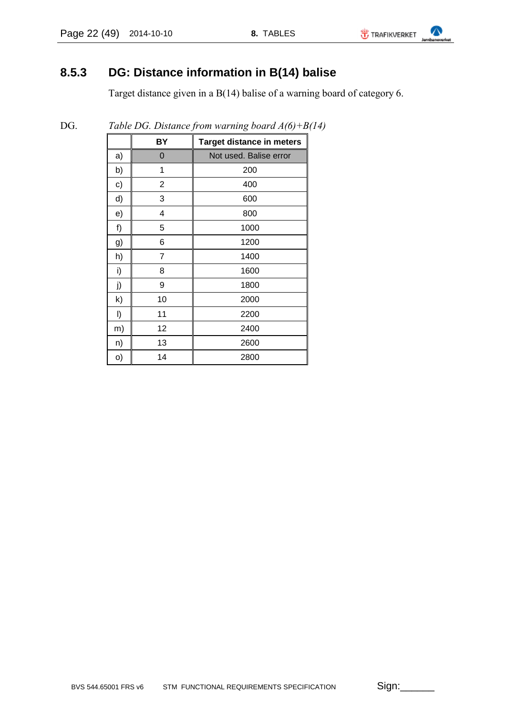## <span id="page-21-0"></span>**8.5.3 DG: Distance information in B(14) balise**

Target distance given in a B(14) balise of a warning board of category 6.

DG. *Table DG. Distance from warning board A(6)+B(14)*

|    | BY                      | <b>Target distance in meters</b> |
|----|-------------------------|----------------------------------|
| a) | 0                       | Not used. Balise error           |
| b) | 1                       | 200                              |
| c) | $\overline{2}$          | 400                              |
| d) | 3                       | 600                              |
| e) | $\overline{\mathbf{4}}$ | 800                              |
| f) | 5                       | 1000                             |
| g) | 6                       | 1200                             |
| h) | $\overline{7}$          | 1400                             |
| i) | 8                       | 1600                             |
| j) | 9                       | 1800                             |
| k) | 10                      | 2000                             |
| I) | 11                      | 2200                             |
| m) | 12                      | 2400                             |
| n) | 13                      | 2600                             |
| o) | 14                      | 2800                             |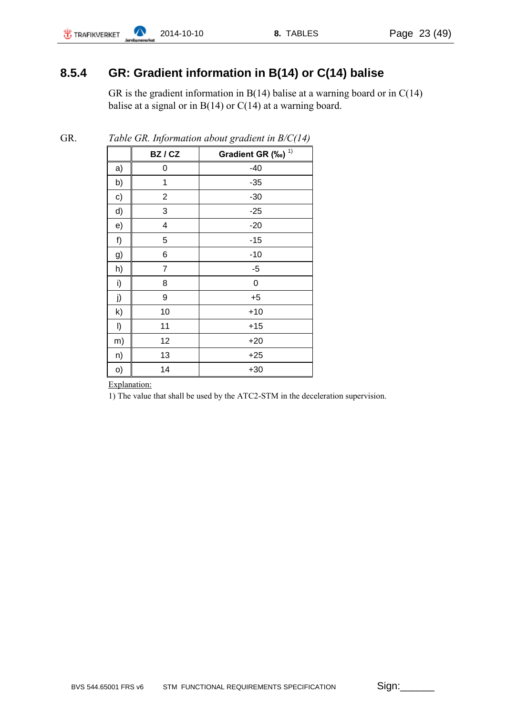W

## <span id="page-22-0"></span>**8.5.4 GR: Gradient information in B(14) or C(14) balise**

GR is the gradient information in  $B(14)$  balise at a warning board or in  $C(14)$ balise at a signal or in  $B(14)$  or  $C(14)$  at a warning board.

**BZ / CZ Gradient GR (‰)** 1) a) 0 -40 b) | 1 | -35 c) | 2 | -30 d) 3 -25 e) 4 -20 f) 5 -15 g) 6 -10 h) 7 -5 i) 8 0 j) 9 +5 k) 10 +10 l) 11 +15 m) 12 +20 n) 13 +25 o) 14 +30

GR. *Table GR. Information about gradient in B/C(14)*

Explanation:

1) The value that shall be used by the ATC2-STM in the deceleration supervision.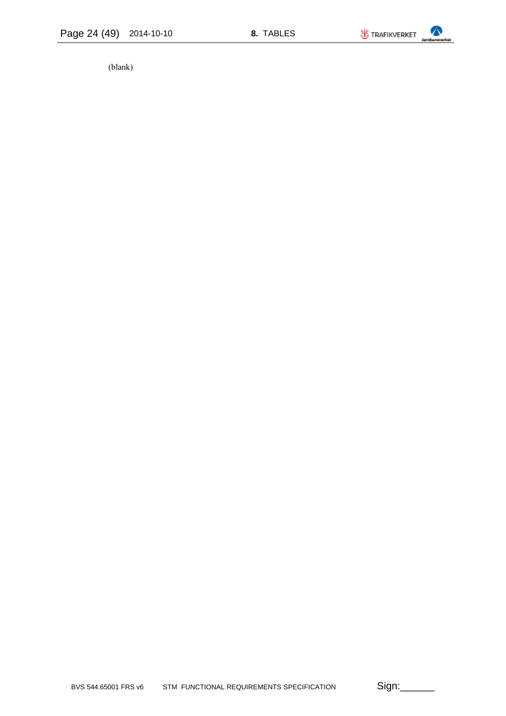(blank)

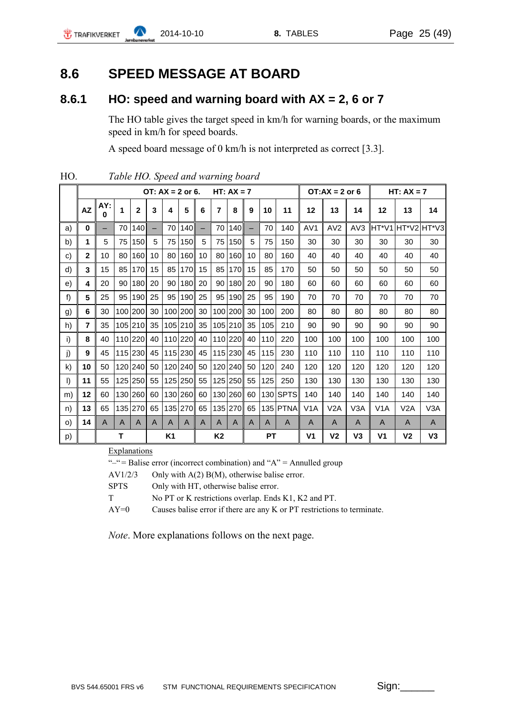#### BVS 544.65001 FRS v6 STM FUNCTIONAL REQUIREMENTS SPECIFICATION SIGN:

# <span id="page-24-0"></span>**8.6 SPEED MESSAGE AT BOARD**

# <span id="page-24-1"></span>**8.6.1 HO: speed and warning board with AX = 2, 6 or 7**

The HO table gives the target speed in km/h for warning boards, or the maximum speed in km/h for speed boards.

A speed board message of 0 km/h is not interpreted as correct [3.3].

|         | OT: $AX = 2$ or 6. |                 |    |                |                          |           |              |     |           | ပ<br>$HT: AX = 7$ |    |           |              |                  | $OT:AX = 2$ or 6 |     |                | $HT: AX = 7$      |                |
|---------|--------------------|-----------------|----|----------------|--------------------------|-----------|--------------|-----|-----------|-------------------|----|-----------|--------------|------------------|------------------|-----|----------------|-------------------|----------------|
|         | <b>AZ</b>          | AY:<br>$\bf{0}$ | 1  | $\overline{2}$ | $\overline{3}$           | 4         | 5            | 6   | 7         | 8                 | 9  | 10        | 11           | 12               | 13               | 14  | 12             | 13                | 14             |
| a)      | 0                  |                 | 70 | 140            | $\overline{\phantom{0}}$ | 70        | 140          | $-$ | 70        | 140               |    | 70        | 140          | AV <sub>1</sub>  | AV <sub>2</sub>  | AV3 |                | HT*V1 HT*V2 HT*V3 |                |
| b)      | 1                  | 5               | 75 | 150            | 5                        | 75        | 150          | 5   | 75        | 150               | 5  | 75        | 150          | 30               | 30               | 30  | 30             | 30                | 30             |
| c)      | $\mathbf{2}$       | 10              | 80 | 160            | 10                       | 80        | 160          | 10  | 80        | 160               | 10 | 80        | 160          | 40               | 40               | 40  | 40             | 40                | 40             |
| d)      | 3                  | 15              | 85 | 170            | 15                       | 85        | 170          | 15  | 85        | 170               | 15 | 85        | 170          | 50               | 50               | 50  | 50             | 50                | 50             |
| e)      | 4                  | 20              | 90 | 180            | 20                       |           | 90   180     | 20  | 90        | 180 <b>I</b>      | 20 | 90        | 180          | 60               | 60               | 60  | 60             | 60                | 60             |
| f)      | 5                  | 25              | 95 | 190            | 25                       |           | 95   190     | 25  | 95 l      | 190               | 25 | 95        | 190          | 70               | 70               | 70  | 70             | 70                | 70             |
| g)      | 6                  | 30              |    | 100 200        | 30                       |           | 100 200      | 30  |           | 100 200           | 30 | 100       | 200          | 80               | 80               | 80  | 80             | 80                | 80             |
| h)      | 7                  | 35              |    | 105 210        | 35                       |           | 105 210      | 35  |           | 105 210           | 35 | 105       | 210          | 90               | 90               | 90  | 90             | 90                | 90             |
| i)      | 8                  | 40              |    | 110 220        | 40                       |           | 110 220      | 40  |           | 110 220           | 40 | 110       | 220          | 100              | 100              | 100 | 100            | 100               | 100            |
| j)      | 9                  | 45              |    | 115 230        | 45                       |           | 115 230      | 45  |           | 115 230           | 45 | 115       | 230          | 110              | 110              | 110 | 110            | 110               | 110            |
| k)      | 10                 | 50              |    | 120 240        | 50                       |           | 120 240      | 50  |           | 120 240           | 50 | 120       | 240          | 120              | 120              | 120 | 120            | 120               | 120            |
| $\vert$ | 11                 | 55              |    | 125 250        | 55                       |           | 125 250      | 55  |           | 125 250           | 55 | 125       | 250          | 130              | 130              | 130 | 130            | 130               | 130            |
| m)      | 12                 | 60              |    | 130 260        | 60                       |           | 130 260      | 60  |           | 130 260           | 60 |           | 130 SPTS     | 140              | 140              | 140 | 140            | 140               | 140            |
| n)      | 13                 | 65              |    | 135 270        | 65                       |           | 135 270      | 65  |           | 135 270           | 65 |           | 135 PTNA     | V <sub>1</sub> A | V2A              | V3A | V1A            | V <sub>2</sub> A  | V3A            |
| O)      | 14                 | A               | A  | A              | A                        | A         | $\mathsf{A}$ | A   | A         | A                 | A  | A         | $\mathsf{A}$ | A                | A                | A   | A              | A                 | A              |
| p)      |                    |                 | т  |                |                          | <b>K1</b> |              |     | <b>K2</b> |                   |    | <b>PT</b> |              | V <sub>1</sub>   | V <sub>2</sub>   | V3  | V <sub>1</sub> | V <sub>2</sub>    | V <sub>3</sub> |

HO. *Table HO. Speed and warning board*

**Explanations** 

" $-$ " = Balise error (incorrect combination) and "A" = Annulled group

 $AV1/2/3$  Only with  $A(2) B(M)$ , otherwise balise error.

SPTS Only with HT, otherwise balise error.

T No PT or K restrictions overlap. Ends K1, K2 and PT.

AY=0 Causes balise error if there are any K or PT restrictions to terminate.

*Note*. More explanations follows on the next page.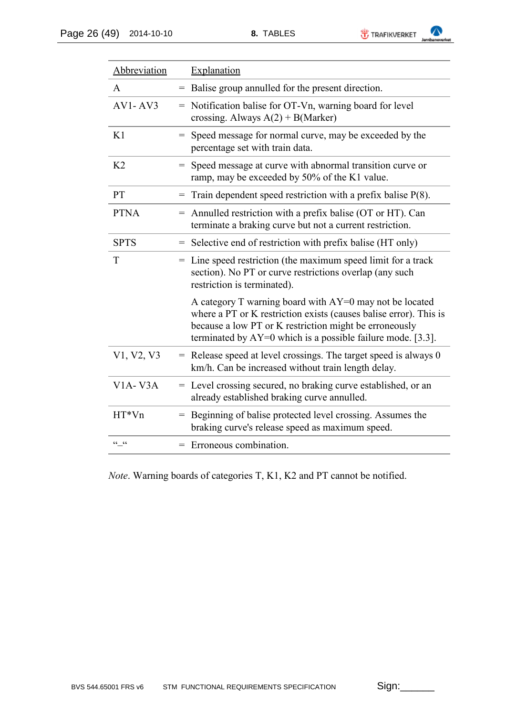

| <b>Explanation</b>                                                                                                                                                                                                                                        |
|-----------------------------------------------------------------------------------------------------------------------------------------------------------------------------------------------------------------------------------------------------------|
| Balise group annulled for the present direction.<br>$=$                                                                                                                                                                                                   |
| $=$ Notification balise for OT-Vn, warning board for level<br>crossing. Always $A(2) + B(Marker)$                                                                                                                                                         |
| = Speed message for normal curve, may be exceeded by the<br>percentage set with train data.                                                                                                                                                               |
| = Speed message at curve with abnormal transition curve or<br>ramp, may be exceeded by 50% of the K1 value.                                                                                                                                               |
| Train dependent speed restriction with a prefix balise P(8).<br>$=$                                                                                                                                                                                       |
| = Annulled restriction with a prefix balise (OT or HT). Can<br>terminate a braking curve but not a current restriction.                                                                                                                                   |
| $=$ Selective end of restriction with prefix balise (HT only)                                                                                                                                                                                             |
| = Line speed restriction (the maximum speed limit for a track<br>section). No PT or curve restrictions overlap (any such<br>restriction is terminated).                                                                                                   |
| A category T warning board with $AY=0$ may not be located<br>where a PT or K restriction exists (causes balise error). This is<br>because a low PT or K restriction might be erroneously<br>terminated by $AY=0$ which is a possible failure mode. [3.3]. |
| $=$ Release speed at level crossings. The target speed is always 0<br>km/h. Can be increased without train length delay.                                                                                                                                  |
| = Level crossing secured, no braking curve established, or an<br>already established braking curve annulled.                                                                                                                                              |
| Beginning of balise protected level crossing. Assumes the<br>$=$<br>braking curve's release speed as maximum speed.                                                                                                                                       |
| Erroneous combination.<br>$=$                                                                                                                                                                                                                             |
|                                                                                                                                                                                                                                                           |

*Note*. Warning boards of categories T, K1, K2 and PT cannot be notified.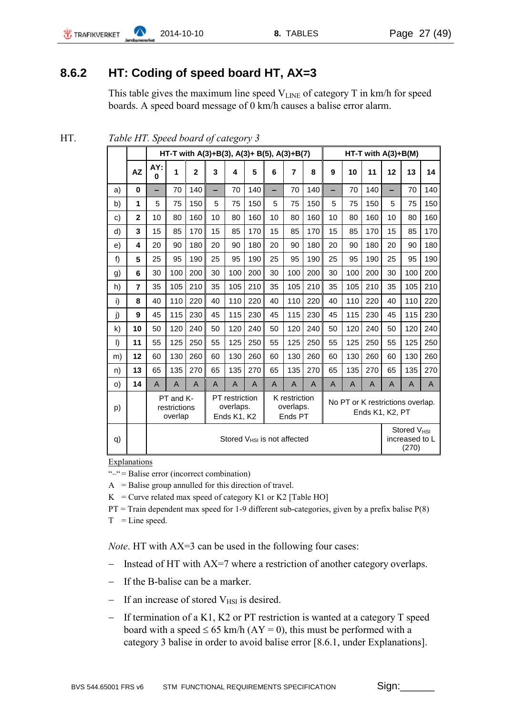### <span id="page-26-0"></span>**8.6.2 HT: Coding of speed board HT, AX=3**

This table gives the maximum line speed  $V_{LINE}$  of category T in km/h for speed boards. A speed board message of 0 km/h causes a balise error alarm.

HT. *Table HT. Speed board of category 3*

|         |                |              |                                      |              |              | HT-T with A(3)+B(3), A(3)+ B(5), A(3)+B(7) |              |    | HT-T with A(3)+B(M)                   |     |                                                     |     |     |    |     |     |
|---------|----------------|--------------|--------------------------------------|--------------|--------------|--------------------------------------------|--------------|----|---------------------------------------|-----|-----------------------------------------------------|-----|-----|----|-----|-----|
|         | <b>AZ</b>      | AY:<br>0     | 1                                    | $\mathbf{2}$ | 3            | 4                                          | 5            | 6  | $\overline{7}$                        | 8   | 9                                                   | 10  | 11  | 12 | 13  | 14  |
| a)      | 0              |              | 70                                   | 140          | -            | 70                                         | 140          | -  | 70                                    | 140 |                                                     | 70  | 140 | -  | 70  | 140 |
| b)      | 1              | 5            | 75                                   | 150          | 5            | 75                                         | 150          | 5  | 75                                    | 150 | 5                                                   | 75  | 150 | 5  | 75  | 150 |
| c)      | $\mathbf 2$    | 10           | 80                                   | 160          | 10           | 80                                         | 160          | 10 | 80                                    | 160 | 10                                                  | 80  | 160 | 10 | 80  | 160 |
| d)      | 3              | 15           | 85                                   | 170          | 15           | 85                                         | 170          | 15 | 85                                    | 170 | 15                                                  | 85  | 170 | 15 | 85  | 170 |
| e)      | 4              | 20           | 90                                   | 180          | 20           | 90                                         | 180          | 20 | 90                                    | 180 | 20                                                  | 90  | 180 | 20 | 90  | 180 |
| f)      | 5              | 25           | 95                                   | 190          | 25           | 95                                         | 190          | 25 | 95                                    | 190 | 25                                                  | 95  | 190 | 25 | 95  | 190 |
| g)      | 6              | 30           | 100                                  | 200          | 30           | 100                                        | 200          | 30 | 100                                   | 200 | 30                                                  | 100 | 200 | 30 | 100 | 200 |
| h)      | $\overline{7}$ | 35           | 105                                  | 210          | 35           | 105                                        | 210          | 35 | 105                                   | 210 | 35                                                  | 105 | 210 | 35 | 105 | 210 |
| i)      | 8              | 40           | 110                                  | 220          | 40           | 110                                        | 220          | 40 | 110                                   | 220 | 40                                                  | 110 | 220 | 40 | 110 | 220 |
| j)      | 9              | 45           | 115                                  | 230          | 45           | 115                                        | 230          | 45 | 115                                   | 230 | 45                                                  | 115 | 230 | 45 | 115 | 230 |
| k)      | 10             | 50           | 120                                  | 240          | 50           | 120                                        | 240          | 50 | 120                                   | 240 | 50                                                  | 120 | 240 | 50 | 120 | 240 |
| $\vert$ | 11             | 55           | 125                                  | 250          | 55           | 125                                        | 250          | 55 | 125                                   | 250 | 55                                                  | 125 | 250 | 55 | 125 | 250 |
| m)      | 12             | 60           | 130                                  | 260          | 60           | 130                                        | 260          | 60 | 130                                   | 260 | 60                                                  | 130 | 260 | 60 | 130 | 260 |
| n)      | 13             | 65           | 135                                  | 270          | 65           | 135                                        | 270          | 65 | 135                                   | 270 | 65                                                  | 135 | 270 | 65 | 135 | 270 |
| O)      | 14             | $\mathsf{A}$ | A                                    | $\mathsf{A}$ | $\mathsf{A}$ | $\overline{A}$                             | $\mathsf{A}$ | A  | A                                     | A   | A                                                   | A   | A   | A  | A   | A   |
| p)      |                |              | PT and K-<br>restrictions<br>overlap |              |              | PT restriction<br>overlaps.<br>Ends K1, K2 |              |    | K restriction<br>overlaps.<br>Ends PT |     | No PT or K restrictions overlap.<br>Ends K1, K2, PT |     |     |    |     |     |
| q)      |                |              |                                      |              |              |                                            |              |    | Stored $V_{HSI}$ is not affected      |     | Stored V <sub>HSI</sub><br>increased to L<br>(270)  |     |     |    |     |     |

**Explanations** 

"–" = Balise error (incorrect combination)

 $A =$ Balise group annulled for this direction of travel.

 $K =$  Curve related max speed of category K1 or K2 [Table HO]

 $PT =$ Train dependent max speed for 1-9 different sub-categories, given by a prefix balise  $P(8)$ 

 $T =$ Line speed.

*Note*. HT with AX=3 can be used in the following four cases:

- Instead of HT with AX=7 where a restriction of another category overlaps.
- If the B-balise can be a marker.
- $-I$  If an increase of stored  $V_{HSI}$  is desired.
- If termination of a K1, K2 or PT restriction is wanted at a category  $T$  speed board with a speed  $\leq 65$  km/h (AY = 0), this must be performed with a category 3 balise in order to avoid balise error [8.6.1, under Explanations].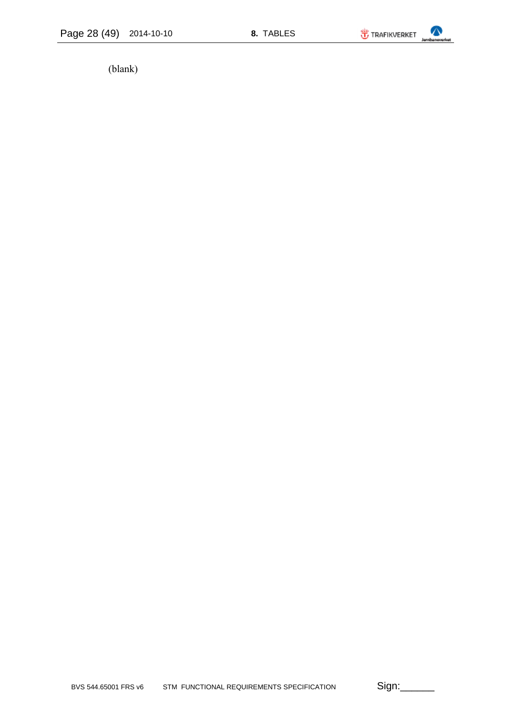(blank)

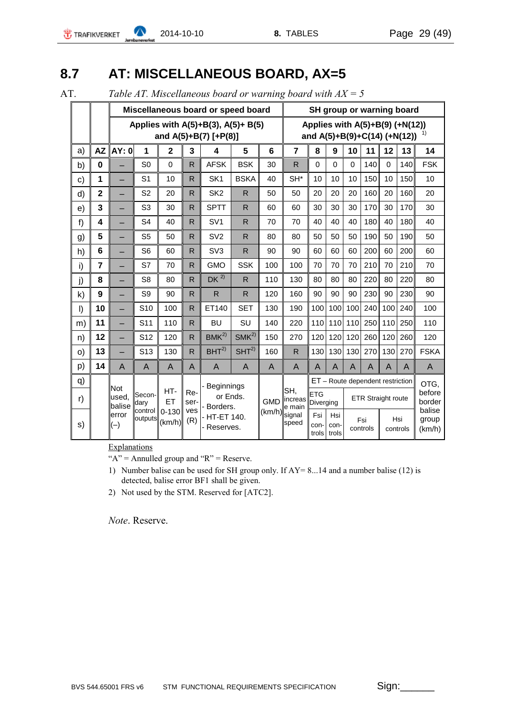ハ

## <span id="page-28-0"></span>**8.7 AT: MISCELLANEOUS BOARD, AX=5**

AT. *Table AT. Miscellaneous board or warning board with AX = 5*

|    |                |                        |                    |                     |              | Miscellaneous board or speed board     |                  |                 |                          |                                   |                      |          | SH group or warning board        |          |                 |                           |
|----|----------------|------------------------|--------------------|---------------------|--------------|----------------------------------------|------------------|-----------------|--------------------------|-----------------------------------|----------------------|----------|----------------------------------|----------|-----------------|---------------------------|
|    |                |                        |                    |                     |              | Applies with $A(5)+B(3)$ , $A(5)+B(5)$ |                  |                 |                          | Applies with $A(5)+B(9)$ (+N(12)) |                      |          |                                  |          |                 | 1)                        |
|    |                |                        |                    |                     |              | and $A(5)+B(7)$ [+P(8)]                |                  |                 |                          | and A(5)+B(9)+C(14) (+N(12))      |                      |          |                                  |          |                 |                           |
| a) | <b>AZ</b>      | <b>AY: 0</b>           | 1                  | $\mathbf 2$         | 3            | 4                                      | 5                | 6               | $\overline{7}$           | 8                                 | 9                    | 10       | 11                               | 12       | 13              | 14                        |
| b) | 0              |                        | S <sub>0</sub>     | $\mathbf 0$         | $\mathsf{R}$ | <b>AFSK</b>                            | <b>BSK</b>       | 30              | $\mathsf{R}$             | $\Omega$                          | $\Omega$             | $\Omega$ | 140                              | $\Omega$ | 140             | <b>FSK</b>                |
| c) | 1              |                        | S <sub>1</sub>     | 10                  | $\mathsf{R}$ | SK <sub>1</sub>                        | <b>BSKA</b>      | 40              | SH <sup>*</sup>          | 10                                | 10                   | 10       | 150                              | 10       | 150             | 10                        |
| d) | $\overline{2}$ |                        | S <sub>2</sub>     | 20                  | $\mathsf{R}$ | SK <sub>2</sub>                        | $\mathsf{R}$     | 50              | 50                       | 20                                | 20                   | 20       | 160                              | 20       | 160             | 20                        |
| e) | 3              |                        | S <sub>3</sub>     | 30                  | $\mathsf{R}$ | <b>SPTT</b>                            | $\mathsf{R}$     | 60              | 60                       | 30                                | 30                   | 30       | 170                              | 30       | 170             | 30                        |
| f) | 4              |                        | S <sub>4</sub>     | 40                  | $\mathsf{R}$ | SV <sub>1</sub>                        | $\mathsf{R}$     | 70              | 70                       | 40                                | 40                   | 40       | 180                              | 40       | 180             | 40                        |
| g) | 5              |                        | S <sub>5</sub>     | 50                  | $\mathsf{R}$ | SV <sub>2</sub>                        | $\mathsf{R}$     | 80              | 80                       | 50                                | 50                   | 50       | 190                              | 50       | 190             | 50                        |
| h) | 6              |                        | S <sub>6</sub>     | 60                  | $\mathsf{R}$ | SV <sub>3</sub>                        | $\mathsf{R}$     | 90              | 90                       | 60                                | 60                   | 60       | 200                              | 60       | 200             | 60                        |
| i) | $\overline{7}$ |                        | S7                 | 70                  | $\mathsf{R}$ | <b>GMO</b>                             | <b>SSK</b>       | 100             | 100                      | 70                                | 70                   | 70       | 210                              | 70       | 210             | 70                        |
| j) | 8              |                        | S <sub>8</sub>     | 80                  | $\mathsf{R}$ | DK <sup>2</sup>                        | $\mathsf{R}$     | 110             | 130                      | 80                                | 80                   | 80       | 220                              | 80       | 220             | 80                        |
| k) | 9              |                        | S <sub>9</sub>     | 90                  | $\mathsf{R}$ | $\mathsf{R}$                           | $\mathsf{R}$     | 120             | 160                      | 90                                | 90                   | 90       | 230                              | 90       | 230             | 90                        |
| I) | 10             |                        | S <sub>10</sub>    | 100                 | $\mathsf{R}$ | ET140                                  | <b>SET</b>       | 130             | 190                      | 100                               | 100                  | 100      | 240                              | 100      | 240             | 100                       |
| m) | 11             |                        | S <sub>11</sub>    | 110                 | $\mathsf{R}$ | <b>BU</b>                              | SU               | 140             | 220                      | 110                               | 110                  | 110      | 250                              | 110      | 250             | 110                       |
| n) | 12             | —                      | S <sub>12</sub>    | 120                 | $\mathsf{R}$ | BMK <sup>2</sup>                       | SMK <sup>2</sup> | 150             | 270                      | 120                               | 120                  | 120      | 260                              | 120      | 260             | 120                       |
| O) | 13             |                        | S <sub>13</sub>    | 130                 | $\mathsf{R}$ | $BHT^{2)}$                             | SHT <sup>2</sup> | 160             | $\mathsf{R}$             | 130                               | 130                  | 130      | 270                              | 130      | 270             | <b>FSKA</b>               |
| p) | 14             | $\overline{A}$         | A                  | A                   | A            | $\overline{A}$                         | $\overline{A}$   | A               | $\overline{A}$           | A                                 | A                    | A        | A                                | A        | A               | $\mathsf{A}$              |
| q) |                |                        |                    |                     |              | <b>Beginnings</b>                      |                  |                 |                          |                                   |                      |          | ET - Route dependent restriction |          |                 | OTG,                      |
| r) |                | Not<br>used.<br>balise | Secon-<br>dary     | HT-<br>ET           | Re-<br>ser-  | or Ends.<br>Borders.                   |                  | <b>GMD</b>      | SH.<br>increas<br>e main | <b>ETG</b><br>Diverging           |                      |          | ETR Straight route               |          |                 | before<br>border          |
| s) |                | error<br>$(-)$         | control<br>outputs | $0 - 130$<br>(km/h) | ves<br>(R)   | - HT-ET 140.<br>- Reserves.            |                  | $(km/h)$ signal | speed                    | Fsi<br>con-<br>trols              | Hsi<br>con-<br>trols |          | Fsi<br>controls                  |          | Hsi<br>controls | balise<br>group<br>(km/h) |

**Explanations** 

" $A$ " = Annulled group and " $R$ " = Reserve.

1) Number balise can be used for SH group only. If AY= 8...14 and a number balise (12) is detected, balise error BF1 shall be given.

2) Not used by the STM. Reserved for [ATC2].

*Note*. Reserve.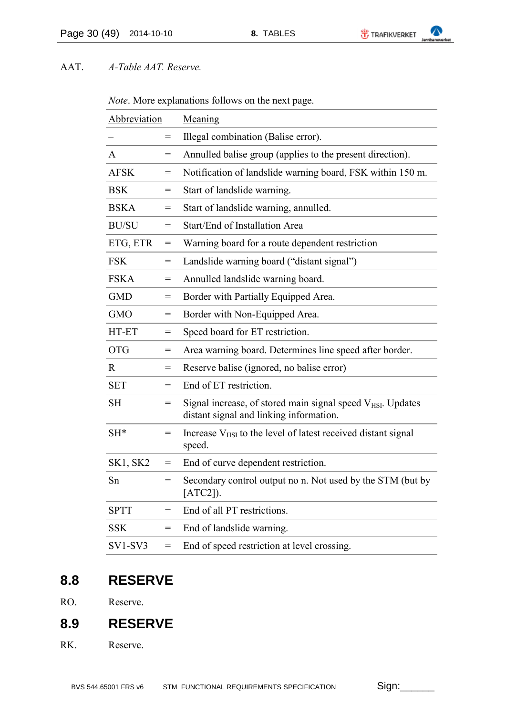$\boldsymbol{\mathcal{L}}$ 

#### AAT. *A-Table AAT. Reserve.*

*Note*. More explanations follows on the next page.

| Abbreviation |     | Meaning                                                                                                     |
|--------------|-----|-------------------------------------------------------------------------------------------------------------|
|              | $=$ | Illegal combination (Balise error).                                                                         |
| A            | $=$ | Annulled balise group (applies to the present direction).                                                   |
| <b>AFSK</b>  | $=$ | Notification of landslide warning board, FSK within 150 m.                                                  |
| <b>BSK</b>   | $=$ | Start of landslide warning.                                                                                 |
| <b>BSKA</b>  | $=$ | Start of landslide warning, annulled.                                                                       |
| <b>BU/SU</b> | $=$ | Start/End of Installation Area                                                                              |
| ETG, ETR     | $=$ | Warning board for a route dependent restriction                                                             |
| <b>FSK</b>   | $=$ | Landslide warning board ("distant signal")                                                                  |
| <b>FSKA</b>  | $=$ | Annulled landslide warning board.                                                                           |
| <b>GMD</b>   | $=$ | Border with Partially Equipped Area.                                                                        |
| <b>GMO</b>   | $=$ | Border with Non-Equipped Area.                                                                              |
| HT-ET        | $=$ | Speed board for ET restriction.                                                                             |
| <b>OTG</b>   | $=$ | Area warning board. Determines line speed after border.                                                     |
| $\mathbf R$  | $=$ | Reserve balise (ignored, no balise error)                                                                   |
| <b>SET</b>   | $=$ | End of ET restriction.                                                                                      |
| <b>SH</b>    | $=$ | Signal increase, of stored main signal speed $V_{HSI}$ . Updates<br>distant signal and linking information. |
| $SH*$        | $=$ | Increase V <sub>HSI</sub> to the level of latest received distant signal<br>speed.                          |
| SK1, SK2     | $=$ | End of curve dependent restriction.                                                                         |
| Sn           | $=$ | Secondary control output no n. Not used by the STM (but by<br>$[ATC2]$ ).                                   |
| <b>SPTT</b>  | $=$ | End of all PT restrictions.                                                                                 |
| <b>SSK</b>   | $=$ | End of landslide warning.                                                                                   |
| SV1-SV3      | $=$ | End of speed restriction at level crossing.                                                                 |

### <span id="page-29-0"></span>**8.8 RESERVE**

RO. Reserve.

### <span id="page-29-1"></span>**8.9 RESERVE**

RK. Reserve.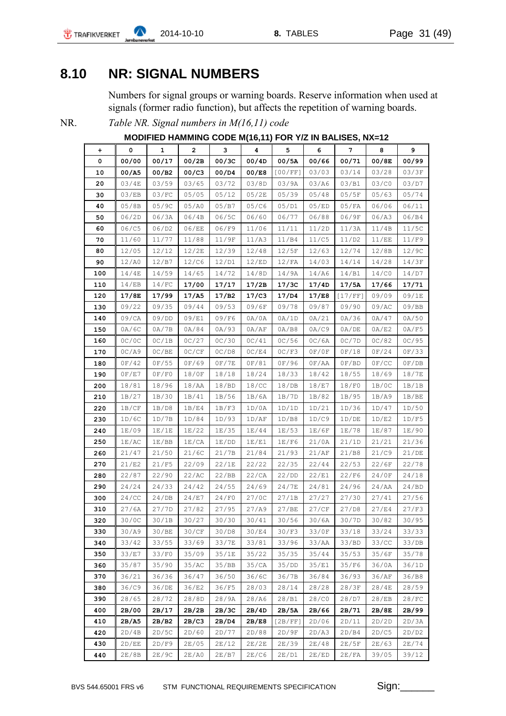| 100 | 14/4E             | 14/59 | 14/65 | 14/72 | 14/8D | 14/9A   | 14/A6    | 14/BI   | 14/CO  | 14/D7  |
|-----|-------------------|-------|-------|-------|-------|---------|----------|---------|--------|--------|
| 110 | 14/EB             | 14/FC | 17/00 | 17/17 | 17/2B | 17/3C   | 17/4D    | 17/5A   | 17/66  | 17/71  |
| 120 | 17/8 <sub>E</sub> | 17/99 | 17/A5 | 17/B2 | 17/C3 | 17/D4   | $17$ /E8 | [17/FF] | 09/09  | 09/1E  |
| 130 | 09/22             | 09/35 | 09/44 | 09/53 | 09/6F | 09/78   | 09/87    | 09/90   | 09/AC  | 09/BB  |
| 140 | 09/CA             | 09/DD | 09/E1 | 09/F6 | 0A/0A | 0A/1D   | 0A/21    | 0A/36   | 0A/47  | 0A/50  |
| 150 | 0A/6C             | 0A/7B | 0A/84 | 0A/93 | 0A/AF | 0A/B8   | 0A/C9    | 0A/DE   | 0A/E2  | 0A/F5  |
| 160 | 0C/0C             | OC/1B | 0C/27 | 0C/30 | 0C/41 | 0C/56   | OC/6A    | OC/7D   | 0C/82  | 0C/95  |
| 170 | 0C/AB             | OC/BE | 0C/CF | OC/DB | 0C/E4 | OC/F3   | 0F/0F    | 0F/18   | 0F/24  | 0F/33  |
| 180 | OF/42             | 0F/55 | 0F/69 | 0F/7E | 0F/81 | 0F/96   | 0F/AA    | 0F/BD   | 0 F/CC | 0 F/DB |
| 190 | 0F/E7             | 0F/F0 | 18/0F | 18/18 | 18/24 | 18/33   | 18/42    | 18/55   | 18/69  | 18/7E  |
| 200 | 18/81             | 18/96 | 18/AA | 18/BD | 18/CC | 18/DB   | 18/E7    | 18/F0   | 1B/0C  | 1B/1B  |
| 210 | 1B/27             | 1B/30 | 1B/41 | 1B/56 | 1B/6A | 1B/7D   | 1B/82    | 1B/95   | 1B/AB  | 1B/BE  |
| 220 | 1B/CF             | 1B/D8 | 1B/E4 | 1B/F3 | 1D/OA | 1D/1D   | 1D/21    | 1D/36   | 1D/47  | 1D/50  |
| 230 | 1D/6C             | 1D/7B | 1D/84 | 1D/93 | 1D/AF | 1D/B8   | 1D/C9    | 1D/DE   | 1D/E2  | 1D/F5  |
| 240 | 1E/09             | 1E/1E | 1E/22 | 1E/35 | 1E/44 | 1E/53   | 1E/6F    | 1E/78   | 1E/87  | 1E/90  |
| 250 | 1E/AC             | 1E/BB | 1E/CA | 1E/DD | 1E/E1 | 1E/F6   | 21/0A    | 21/1D   | 21/21  | 21/36  |
| 260 | 21/47             | 21/50 | 21/6C | 21/7B | 21/84 | 21/93   | 21/AF    | 21/B8   | 21/C9  | 21/DE  |
| 270 | 21/E2             | 21/F5 | 22/09 | 22/1E | 22/22 | 22/35   | 22/44    | 22/53   | 22/6F  | 22/78  |
| 280 | 22/87             | 22/90 | 22/AC | 22/BB | 22/CA | 22/DD   | 22/E1    | 22/F6   | 24/0F  | 24/18  |
| 290 | 24/24             | 24/33 | 24/42 | 24/55 | 24/69 | 24/7E   | 24/81    | 24/96   | 24/AA  | 24/BD  |
| 300 | 24/CC             | 24/DB | 24/ED | 24/F0 | 27/0C | 27/1B   | 27/27    | 27/30   | 27/41  | 27/56  |
| 310 | 27/6A             | 27/7D | 27/82 | 27/95 | 27/A9 | 27/BE   | 27/CF    | 27/D8   | 27/E4  | 27/F3  |
| 320 | 30/0C             | 30/1B | 30/27 | 30/30 | 30/41 | 30/56   | 30/6A    | 30/7D   | 30/82  | 30/95  |
| 330 | 30/A9             | 30/BE | 30/CF | 30/D8 | 30/E4 | 30/F3   | 33/0F    | 33/18   | 33/24  | 33/33  |
| 340 | 33/42             | 33/55 | 33/69 | 33/7E | 33/81 | 33/96   | 33/AA    | 33/BD   | 33/CC  | 33/DB  |
| 350 | 33/E7             | 33/F0 | 35/09 | 35/1E | 35/22 | 35/35   | 35/44    | 35/53   | 35/6F  | 35/78  |
| 360 | 35/87             | 35/90 | 35/AC | 35/BB | 35/CA | 35/DD   | 35/E1    | 35/F6   | 36/0A  | 36/1D  |
| 370 | 36/21             | 36/36 | 36/47 | 36/50 | 36/6C | 36/7B   | 36/84    | 36/93   | 36/AF  | 36/B8  |
| 380 | 36/C9             | 36/DE | 36/ED | 36/F5 | 28/03 | 28/14   | 28/28    | 28/3F   | 28/4E  | 28/59  |
| 390 | 28/65             | 28/72 | 28/8D | 28/9A | 28/AG | 28/B1   | 28/C0    | 28/D7   | 28/EB  | 28/FC  |
| 400 | 2B/00             | 2B/17 | 2B/2B | 2B/3C | 2B/4D | 2B/5A   | 2B/66    | 2B/71   | 2B/8E  | 2B/99  |
| 410 | 2B/AB             | 2в/в2 | 2B/C3 | 2B/D4 | 2B/E8 | [2B/FF] | 2D/06    | 2D/11   | 2D/2D  | 2D/3A  |
| 420 | 2D/4B             | 2D/5C | 2D/60 | 2D/77 | 2D/88 | 2D/9F   | 2D/AB    | 2D/B4   | 2D/C5  | 2D/D2  |
| 430 | 2D/EE             | 2D/F9 | 2E/05 | 2E/12 | 2E/2E | 2E/39   | 2E/48    | 2E/5F   | 2E/63  | 2E/74  |

2E/8B 2E/9C 2E/A0 2E/B7 2E/C6 2E/D1 2E/ED 2E/FA 39/05 39/12

**MODIFIED HAMMING CODE M(16,11) FOR Y/Z IN BALISES, NX=12 + 0 1 2 3 4 5 6 7 8 9**

 **00/00 00/17 00/2B 00/3C 00/4D 00/5A 00/66 00/71 00/8E 00/99 00/A5 00/B2 00/C3 00/D4 00/E8** [00/FF] 03/03 03/14 03/28 03/3F 03/4E 03/59 03/65 03/72 03/8D 03/9A 03/A6 03/B1 03/C0 03/D7 03/EB 03/FC 05/05 05/12 05/2E 05/39 05/48 05/5F 05/63 05/74 05/8B 05/9C 05/A0 05/B7 05/C6 05/D1 05/ED 05/FA 06/06 06/11 06/2D 06/3A 06/4B 06/5C 06/60 06/77 06/88 06/9F 06/A3 06/B4 06/C5 06/D2 06/EE 06/F9 11/06 11/11 11/2D 11/3A 11/4B 11/5C 11/60 11/77 11/88 11/9F 11/A3 11/B4 11/C5 11/D2 11/EE 11/F9 12/05 12/12 12/2E 12/39 12/48 12/5F 12/63 12/74 12/8B 12/9C 12/A0 12/B7 12/C6 12/D1 12/ED 12/FA 14/03 14/14 14/28 14/3F

Numbers for signal groups or warning boards. Reserve information when used at signals (former radio function), but affects the repetition of warning boards.

### <span id="page-30-0"></span>**8.10 NR: SIGNAL NUMBERS**

NR. *Table NR. Signal numbers in M(16,11) code* 

BVS 544.65001 FRS v6 STM FUNCTIONAL REQUIREMENTS SPECIFICATION SIGN: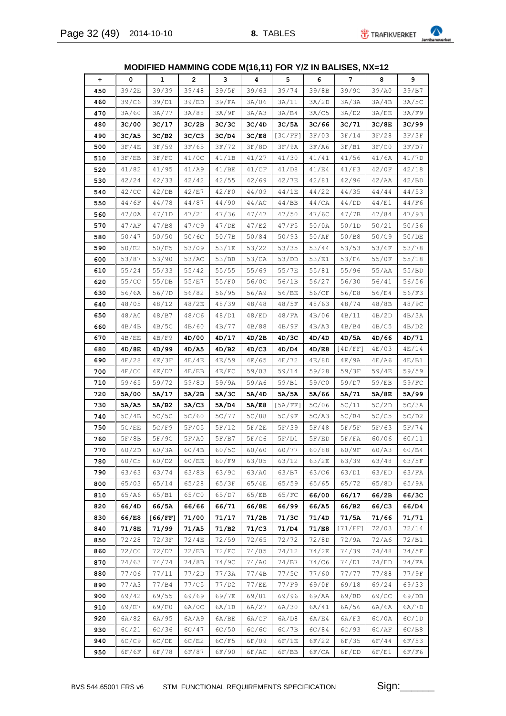$\boldsymbol{\mathcal{L}}$ 



| $\ddot{}$ | 0     | 1       | 2        | 3     | 4     | 5        | 6     | 7                 | 8     | 9     |
|-----------|-------|---------|----------|-------|-------|----------|-------|-------------------|-------|-------|
| 450       | 39/2E | 39/39   | 39/48    | 39/5F | 39/63 | 39/74    | 39/8B | 39/9C             | 39/A0 | 39/B7 |
| 460       | 39/C6 | 39/D1   | 39/ED    | 39/FA | 3A/06 | 3A/11    | 3A/2D | 3A/3A             | 3A/4B | 3A/5C |
| 470       | 3A/60 | 3A/77   | 3A/88    | 3A/9F | 3A/A3 | 3A/B4    | 3A/C5 | 3A/D2             | 3A/EE | 3A/F9 |
| 480       | 3C/00 | 3C/17   | 3C/2B    | 3C/3C | 3C/4D | 3C/5A    | 3C/66 | 3C/71             | 3C/8E | 3C/99 |
| 490       | 3C/AB | 3C/B2   | 3C/C3    | 3C/D4 | 3C/E8 | [3C/FF]  | 3F/03 | 3F/14             | 3F/28 | 3F/3F |
| 500       | 3F/4E | 3F/59   | 3F/65    | 3F/72 | 3F/8D | 3F/9A    | 3F/A6 | 3F/B1             | 3F/C0 | 3F/D7 |
| 510       | 3F/EB | 3F/FC   | 41/0C    | 41/1B | 41/27 | 41/30    | 41/41 | 41/56             | 41/6A | 41/7D |
| 520       | 41/82 | 41/95   | 41/A9    | 41/BE | 41/CF | 41/D8    | 41/E4 | 41/F3             | 42/0F | 42/18 |
| 530       | 42/24 | 42/33   | 42/42    | 42/55 | 42/69 | 42/7E    | 42/81 | 42/96             | 42/AA | 42/BD |
| 540       | 42/CC | 42/DB   | 42/E7    | 42/F0 | 44/09 | 44/1E    | 44/22 | 44/35             | 44/44 | 44/53 |
| 550       | 44/6F | 44/78   | 44/87    | 44/90 | 44/AC | 44/BB    | 44/CA | 44/DD             | 44/E1 | 44/F6 |
| 560       | 47/0A | 47/1D   | 47/21    | 47/36 | 47/47 | 47/50    | 47/6C | 47/7B             | 47/84 | 47/93 |
| 570       | 47/AF | 47/B8   | 47/C9    | 47/DE | 47/E2 | 47/F5    | 50/0A | 50/1D             | 50/21 | 50/36 |
| 580       | 50/47 | 50/50   | 50/6C    | 50/7B | 50/84 | 50/93    | 50/AF | 50/B8             | 50/C9 | 50/DE |
| 590       | 50/E2 | 50/F5   | 53/09    | 53/1E | 53/22 | 53/35    | 53/44 | 53/53             | 53/6F | 53/78 |
| 600       | 53/87 | 53/90   | 53/AC    | 53/BB | 53/CA | 53/DD    | 53/E1 | 53/F6             | 55/0F | 55/18 |
| 610       | 55/24 | 55/33   | 55/42    | 55/55 | 55/69 | 55/7E    | 55/81 | 55/96             | 55/AA | 55/BD |
| 620       | 55/CC | 55/DB   | 55/E7    | 55/F0 | 56/0C | 56/1B    | 56/27 | 56/30             | 56/41 | 56/56 |
| 630       | 56/6A | 56/7D   | 56/82    | 56/95 | 56/A9 | 56/BE    | 56/CF | 56/D8             | 56/E4 | 56/F3 |
| 640       | 48/05 | 48/12   | 48/2E    | 48/39 | 48/48 | 48/5F    | 48/63 | 48/74             | 48/8B | 48/9C |
| 650       | 48/A0 | 48/B7   | 48/C6    | 48/D1 | 48/ED | $48$ /FA | 4B/06 | 4B/11             | 4B/2D | 4B/3A |
| 660       | 4B/4B | 4B/5C   | 4B/60    | 4B/77 | 4B/88 | 4B/9F    | 4B/A3 | 4B/B4             | 4B/C5 | 4B/D2 |
| 670       | 4B/EE | 4B/F9   | 4D/00    | 4D/17 | 4D/2B | 4D/3C    | 4D/4D | 4D/5A             | 4D/66 | 4D/71 |
| 680       | 4D/8E | 4D/99   | 4D/AB    | 4D/B2 | 4D/C3 | 4D/D4    | 4D/E8 | [4D/FF]           | 4E/03 | 4E/14 |
| 690       | 4E/28 | 4E/3F   | 4E/4E    | 4E/59 | 4E/65 | 4E/72    | 4E/8D | 4E/9A             | 4E/AG | 4E/B1 |
| 700       | 4E/CO | 4E/D7   | 4E/EB    | 4E/FC | 59/03 | 59/14    | 59/28 | 59/3F             | 59/4E | 59/59 |
| 710       | 59/65 | 59/72   | 59/8D    | 59/9A | 59/A6 | 59/B1    | 59/C0 | 59/D7             | 59/EB | 59/FC |
| 720       | 5A/00 | 5A/17   | 5A/2B    | 5A/3C | 5A/4D | 5A/5A    | 5A/66 | 5A/71             | 5A/8E | 5A/99 |
| 730       | 5A/A5 | 5A/B2   | 5A/C3    | 5A/D4 | 5A/E8 | [5A/FF]  | 5C/06 | 5C/11             | 5C/2D | 5C/3A |
| 740       | 5C/4B | 5C/5C   | 5C/60    | 5C/77 | 5C/88 | 5C/9F    | 5C/AB | 5C/B4             | 5C/C5 | 5C/D2 |
| 750       | 5C/EE | 5C/F9   | 5F/05    | 5F/12 | 5F/2E | 5F/39    | 5F/48 | 5F/5F             | 5F/63 | 5F/74 |
| 760       | 5F/8B | 5F/9C   | 5F/A0    | 5F/B7 | 5F/C6 | 5F/D1    | 5F/ED | 5F/FA             | 60/06 | 60/11 |
| 770       | 60/2D | 60/3A   | 60/4B    | 60/5C | 60/60 | 60/77    | 60/88 | 60/9F             | 60/A3 | 60/B4 |
| 780       | 60/C5 | 60/D2   | 60/EE    | 60/F9 | 63/05 | 63/12    | 63/2E | 63/39             | 63/48 | 63/5F |
| 790       | 63/63 | 63/74   | 63/8B    | 63/9C | 63/A0 | 63/B7    | 63/C6 | 63/D1             | 63/ED | 63/FA |
| 800       | 65/03 | 65/14   | 65/28    | 65/3F | 65/4E | 65/59    | 65/65 | 65/72             | 65/8D | 65/9A |
| 810       | 65/A6 | 65/B1   | 65/C0    | 65/D7 | 65/EB | 65/FC    | 66/00 | 66/17             | 66/2B | 66/3C |
| 820       | 66/4D | 66/5A   | 66/66    | 66/71 | 66/8E | 66/99    | 66/A5 | 66/B <sub>2</sub> | 66/C3 | 66/D4 |
| 830       | 66/E8 | [66/FF] | 71/00    | 71/17 | 71/2B | 71/3C    | 71/4D | 71/5A             | 71/66 | 71/71 |
| 840       | 71/8E | 71/99   | 71/A5    | 71/B2 | 71/C3 | 71/D4    | 71/E8 | [71/FF]           | 72/03 | 72/14 |
| 850       | 72/28 | 72/3F   | 72/4E    | 72/59 | 72/65 | 72/72    | 72/8D | 72/9A             | 72/A6 | 72/B1 |
| 860       | 72/C0 | 72/D7   | $72$ /EB | 72/FC | 74/05 | 74/12    | 74/2E | 74/39             | 74/48 | 74/5F |
| 870       | 74/63 | 74/74   | 74/8B    | 74/9C | 74/A0 | 74/B7    | 74/C6 | 74/D1             | 74/ED | 74/FA |
| 880       | 77/06 | 77/11   | 77/2D    | 77/3A | 77/4B | 77/5C    | 77/60 | 77/77             | 77/88 | 77/9F |
| 890       | 77/A3 | 77/B4   | 77/C5    | 77/D2 | 77/EE | 77/F9    | 69/0F | 69/18             | 69/24 | 69/33 |
| 900       | 69/42 | 69/55   | 69/69    | 69/7E | 69/81 | 69/96    | 69/AA | 69/BD             | 69/CC | 69/DB |
| 910       | 69/E7 | 69/F0   | 6A/0C    | 6A/1B | 6A/27 | 6A/30    | 6A/41 | 6A/56             | 6A/6A | 6A/7D |
| 920       | 6A/82 | 6A/95   | 6A/AB    | 6A/BE | 6A/CF | 6A/D8    | 6A/E4 | 6A/F3             | 6C/0A | 6C/1D |
| 930       | 6C/21 | 6C/36   | 6C/47    | 6C/50 | 6C/6C | 6C/7B    | 6C/84 | 6C/93             | 6C/AF | 6C/BB |
| 940       | 6C/C9 | 6C/DE   | 6C/E2    | 6C/F5 | 6F/09 | 6F/1E    | 6F/22 | 6F/35             | 6F/44 | 6F/53 |
| 950       | 6F/6F | 6F/78   | 6F/87    | 6F/90 | 6F/AC | 6F/BB    | 6F/CA | 6F/DD             | 6F/E1 | 6F/F6 |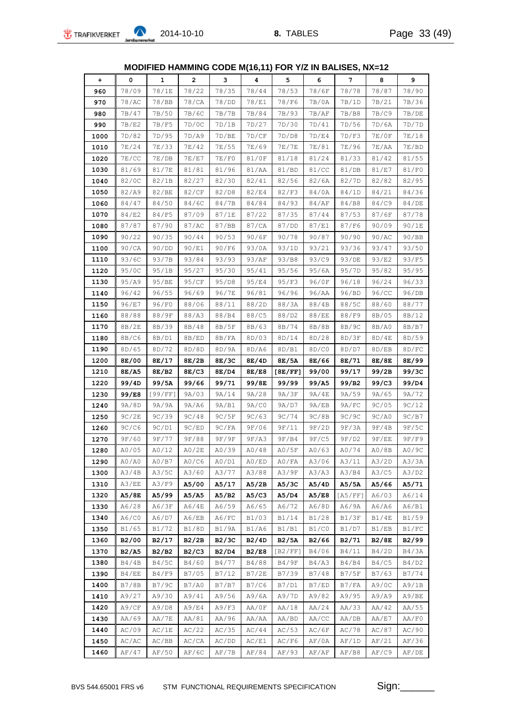#### **MODIFIED HAMMING CODE M(16,11) FOR Y/Z IN BALISES, NX=12**

|           |       |         |       |       | ,, ,  |         |                    |                    |       |                    |
|-----------|-------|---------|-------|-------|-------|---------|--------------------|--------------------|-------|--------------------|
| $\ddot{}$ | 0     | 1       | 2     | 3     | 4     | 5       | 6                  | 7                  | 8     | 9                  |
| 960       | 78/09 | 78/1E   | 78/22 | 78/35 | 78/44 | 78/53   | 78/6F              | 78/78              | 78/87 | 78/90              |
| 970       | 78/AC | 78/BB   | 78/CA | 78/DD | 78/E1 | 78/F6   | 7B/0A              | 7B/1D              | 7B/21 | 7B/36              |
| 980       | 7B/47 | 7B/50   | 7B/6C | 7B/7B | 7B/84 | 7B/93   | 7B/AF              | 7B/B8              | 7B/C9 | 7B/DE              |
| 990       | 7B/E2 | 7B/F5   | 7D/0C | 7D/1B | 7D/27 | 7D/30   | 7D/41              | 7D/56              | 7D/6A | 7D/7D              |
| 1000      | 7D/82 | 7D/95   | 7D/A9 | 7D/BE | 7D/CF | 7D/D8   | 7D/E4              | 7D/F3              | 7E/0F | 7E/18              |
| 1010      | 7E/24 | 7E/33   | 7E/42 | 7E/55 | 7E/69 | 7E/7E   | 7E/81              | 7E/96              | 7E/AA | 7E/BD              |
| 1020      | 7E/CC | 7E/DB   | 7E/E7 | 7E/F0 | 81/0F | 81/18   | 81/24              | 81/33              | 81/42 | 81/55              |
| 1030      | 81/69 | 81/7E   | 81/81 | 81/96 | 81/AA | 81/BD   | 81/CC              | 81/DB              | 81/E7 | 81/F0              |
| 1040      | 82/0C | 82/1B   | 82/27 | 82/30 | 82/41 | 82/56   | 82/6A              | 82/7D              | 82/82 | 82/95              |
| 1050      | 82/A9 | 82/BE   | 82/CF | 82/D8 | 82/E4 | 82/F3   | 84/0A              | 84/1D              | 84/21 | 84/36              |
| 1060      | 84/47 | 84/50   | 84/6C | 84/7B | 84/84 | 84/93   | 84/AF              | 84/B8              | 84/C9 | 84/DE              |
| 1070      | 84/E2 | 84/F5   | 87/09 | 87/1E | 87/22 | 87/35   | 87/44              | 87/53              | 87/6F | 87/78              |
| 1080      | 87/87 | 87/90   | 87/AC | 87/BB | 87/CA | 87/DD   | 87/E1              | 87/F6              | 90/09 | 90/1E              |
| 1090      | 90/22 | 90/35   | 90/44 | 90/53 | 90/6F | 90/78   | 90/87              | 90/90              | 90/AC | 90/BB              |
| 1100      | 90/CA | 90/DD   | 90/E1 | 90/F6 | 93/0A | 93/1D   | 93/21              | 93/36              | 93/47 | 93/50              |
| 1110      | 93/6C | 93/7B   | 93/84 | 93/93 | 93/AF | 93/B8   | 93/C9              | 93/DE              | 93/E2 | 93/F5              |
| 1120      | 95/0C | 95/1B   | 95/27 | 95/30 | 95/41 | 95/56   | 95/6A              | 95/7D              | 95/82 | 95/95              |
| 1130      | 95/A9 | 95/BE   | 95/CF | 95/D8 | 95/E4 | 95/F3   | 96/0F              | 96/18              | 96/24 | 96/33              |
| 1140      | 96/42 | 96/55   | 96/69 | 96/7E | 96/81 | 96/96   | 96/AA              | 96/BD              | 96/CC | 96/DB              |
| 1150      | 96/E7 | 96/F0   | 88/06 | 88/11 | 88/2D | 88/3A   | 88/4B              | 88/5C              | 88/60 | 88/77              |
| 1160      | 88/88 | 88/9F   | 88/A3 | 88/B4 | 88/C5 | 88/D2   | $88$ /EE           | 88/F9              | 8B/05 | 8B/12              |
| 1170      | 8B/2E | 8B/39   | 8B/48 | 8B/5F | 8B/63 | 8B/74   | 8B/8B              | 8B/9C              | 8B/A0 | 8B/B7              |
| 1180      | 8B/C6 | 8B/D1   | 8B/ED | 8B/FA | 8D/03 | 8D/14   | 8D/28              | 8D/3F              | 8D/4E | 8D/59              |
| 1190      | 8D/65 | 8D/72   | 8D/8D | 8D/9A | 8D/A6 | 8D/B1   | 8D/C0              | 8D/D7              | 8D/EB | 8D/FC              |
| 1200      | 8E/00 | 8E/17   | 8E/2B | 8E/3C | 8E/4D | 8E/5A   | 8E/66              | 8E/71              | 8E/8E | 8E/99              |
|           |       |         |       |       |       |         |                    |                    |       |                    |
| 1210      | 8E/A5 | 8E/B2   | 8E/C3 | 8E/D4 | 8E/E8 | [8E/FF] | 99/00              | 99/17              | 99/2B | 99/3C              |
| 1220      | 99/4D | 99/5A   | 99/66 | 99/71 | 99/8E | 99/99   | 99/A5              | 99/B2              | 99/C3 | 99/D4              |
| 1230      | 99/E8 | [99/FF] | 9A/03 | 9A/14 | 9A/28 | 9A/3F   | 9A/4E              | 9A/59              | 9A/65 | 9A/72              |
| 1240      | 9A/8D | 9A/9A   | 9A/AG | 9A/B1 | 9A/C0 | 9A/D7   | 9A/EB              | 9A/FC              | 9C/05 | 9C/12              |
| 1250      | 9C/2E | 9C/39   | 9C/48 | 9C/5F | 9C/63 | 9C/74   | 9C/8B              | 9C/9C              | 9C/40 | 9C/B7              |
| 1260      | 9C/C6 | 9C/D1   | 9C/ED | 9C/FA | 9F/06 | 9F/11   | 9F/2D              | 9F/3A              | 9F/4B | 9F/5C              |
| 1270      | 9F/60 | 9F/77   | 9F/88 | 9F/9F | 9F/AB | 9F/B4   | 9F/C5              | 9F/D2              | 9F/EE | 9F/F9              |
| 1280      | A0/05 | A0/12   | A0/2E | A0/39 | A0/48 | A0/5F   | A0/63              | A0/74              | A0/8B | A0/9C              |
| 1290      | A0/A0 | A0/B7   | A0/C6 | A0/D1 | A0/ED | A0/FA   | A3/06              | A3/11              | A3/2D | A3/3A              |
| 1300      | A3/4B | A3/5C   | A3/60 | A3/77 | A3/88 | A3/9F   | A3/A3              | A3/B4              | A3/C5 | A3/D2              |
| 1310      | A3/EE | A3/F9   | A5/00 | A5/17 | A5/2B | A5/3C   | A5/4D              | A5/5A              | A5/66 | A5/71              |
| 1320      | A5/8E | A5/99   | A5/A5 | A5/B2 | A5/C3 | A5/D4   | A5/E8              | $[$ A5/FF]         | A6/03 | A6/14              |
| 1330      | A6/28 | A6/3F   | A6/4E | A6/59 | A6/65 | A6/72   | A6/8D              | A6/9A              | A6/A6 | A6/B1              |
| 1340      | A6/C0 | A6/D7   | A6/EB | A6/FC | B1/03 | B1/14   | B1/28              | B1/3F              | B1/4E | B1/59              |
| 1350      | B1/65 | B1/72   | B1/8D | B1/9A | B1/A6 | B1/B1   | B1/C0              | B1/D7              | B1/EB | B1/FC              |
| 1360      | B2/00 | B2/17   | B2/2B | B2/3C | B2/4D | B2/5A   | B <sub>2</sub> /66 | B <sub>2</sub> /71 | B2/8E | B <sub>2</sub> /99 |
| 1370      | B2/A5 | B2/B2   | B2/C3 | B2/D4 | B2/E8 | [B2/FF] | B4/06              | B4/11              | B4/2D | B4/3A              |
| 1380      | B4/4B | B4/5C   | B4/60 | B4/77 | B4/88 | B4/9F   | B4/A3              | B4/B4              | B4/C5 | B4/D2              |
| 1390      | B4/EE | B4/F9   | B7/05 | B7/12 | B7/2E | B7/39   | B7/48              | B7/5F              | B7/63 | B7/74              |
| 1400      | B7/8B | B7/9C   | B7/A0 | B7/B7 | B7/C6 | B7/D1   | B7/ED              | B7/FA              | A9/0C | A9/1B              |
| 1410      | A9/27 | A9/30   | A9/41 | A9/56 | A9/6A | A9/7D   | A9/82              | A9/95              | A9/A9 | A9/BE              |
| 1420      | A9/CF | A9/D8   | A9/E4 | A9/F3 | AA/0F | AA/18   | AA/24              | AA/33              | AA/42 | AA/55              |
| 1430      | AA/69 | AA/7E   | AA/81 | AA/96 | AA/AA | AA/BD   | AA/CC              | AA/DB              | AA/E7 | AA/F0              |
| 1440      | AC/09 | AC/1E   | AC/22 | AC/35 | AC/44 | AC/53   | AC/6F              | AC/78              | AC/87 | AC/90              |
| 1450      | AC/AC | AC/BB   | AC/CA | AC/DD | AC/E1 | AC/F6   | AF/0A              | AF/1D              | AF/21 | AF/36              |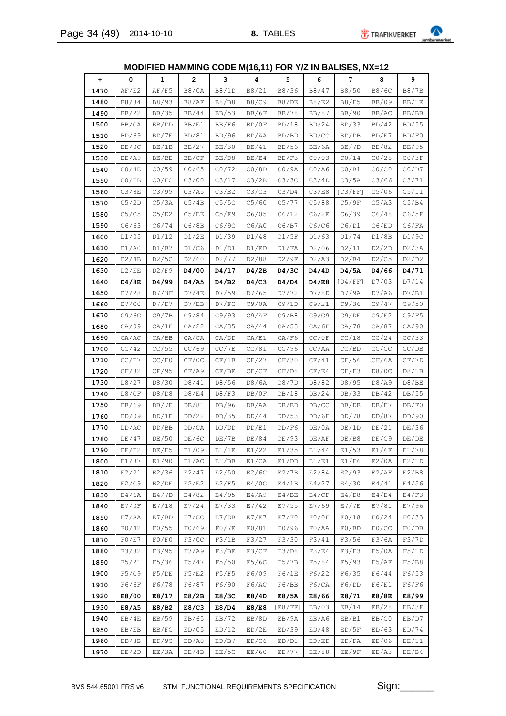$\boldsymbol{\sigma}$ 



#### **MODIFIED HAMMING CODE M(16,11) FOR Y/Z IN BALISES, NX=12**

| $\ddot{\phantom{1}}$ | 0     | 1     | 2     | 3     | 4     | 5       | 6     | 7       | 8     | 9     |
|----------------------|-------|-------|-------|-------|-------|---------|-------|---------|-------|-------|
| 1470                 | AF/E2 | AF/F5 | B8/0A | B8/1D | B8/21 | B8/36   | B8/47 | B8/50   | B8/6C | B8/7B |
| 1480                 | B8/84 | B8/93 | B8/AF | B8/B8 | B8/C9 | B8/DE   | B8/E2 | B8/F5   | BB/09 | BB/1E |
| 1490                 | BB/22 | BB/35 | BB/44 | BB/53 | BB/6F | BB/78   | BB/87 | BB/90   | BB/AC | BB/BB |
| 1500                 | BB/CA | BB/DD | BB/E1 | BB/F6 | BD/0F | BD/18   | BD/24 | BD/33   | BD/42 | BD/55 |
| 1510                 | BD/69 | BD/7E | BD/81 | BD/96 | BD/AA | BD/BD   | BD/CC | BD/DB   | BD/E7 | BD/F0 |
| 1520                 | BE/0C | BE/1B | BE/27 | BE/30 | BE/41 | BE/56   | BE/6A | BE/7D   | BE/82 | BE/95 |
| 1530                 | BE/A9 | BE/BE | BE/CF | BE/D8 | BE/E4 | BE/F3   | CO/03 | CO/14   | CO/28 | CO/3F |
| 1540                 | CO/4E | CO/59 | CO/65 | CO/72 | CO/8D | CO/9A   | CO/AG | CO/B1   | CO/CO | CO/D7 |
| 1550                 | CO/EB | CO/FC | C3/00 | C3/17 | C3/2B | C3/3C   | C3/4D | C3/5A   | C3/66 | C3/71 |
| 1560                 | C3/8E | C3/99 | C3/AS | C3/B2 | C3/C3 | C3/D4   | C3/E8 | [C3/FF] | C5/06 | C5/11 |
| 1570                 | C5/2D | C5/3A | C5/4B | C5/5C | C5/60 | C5/77   | C5/88 | C5/9F   | C5/A3 | C5/B4 |
| 1580                 | C5/C5 | C5/D2 | C5/EE | C5/F9 | C6/05 | C6/12   | C6/2E | C6/39   | C6/48 | C6/5F |
| 1590                 | C6/63 | C6/74 | C6/8B | C6/9C | C6/AO | C6/B7   | C6/C6 | C6/D1   | C6/ED | C6/FA |
| 1600                 | D1/05 | D1/12 | D1/2E | D1/39 | D1/48 | D1/5F   | D1/63 | D1/74   | D1/8B | D1/9C |
| 1610                 | D1/AO | D1/B7 | D1/C6 | D1/D1 | D1/ED | DI/FA   | D2/06 | D2/11   | D2/2D | D2/3A |
| 1620                 | D2/4B | D2/5C | D2/60 | D2/77 | D2/88 | D2/9F   | D2/AB | D2/B4   | D2/C5 | D2/D2 |
| 1630                 | D2/EE | D2/F9 | D4/00 | D4/17 | D4/2B | D4/3C   | D4/4D | D4/5A   | D4/66 | D4/71 |
| 1640                 | D4/8E | D4/99 | D4/A5 | D4/B2 | D4/C3 | D4/D4   | D4/E8 | [D4/FF] | D7/03 | D7/14 |
| 1650                 | D7/28 | D7/3F | D7/4E | D7/59 | D7/65 | D7/72   | D7/8D | D7/9A   | D7/A6 | D7/B1 |
| 1660                 | D7/C0 | D7/D7 | D7/EB | D7/FC | C9/0A | C9/1D   | C9/21 | C9/36   | C9/47 | C9/50 |
| 1670                 | C9/6C | C9/7B | C9/84 | C9/93 | C9/AF | C9/B8   | C9/C9 | C9/DE   | C9/E2 | C9/F5 |
| 1680                 | CA/09 | CA/1E | CA/22 | CA/35 | CA/44 | CA/53   | CA/6F | CA/78   | CA/87 | CA/90 |
| 1690                 | CA/AC | CA/BB | CA/CA | CA/DD | CA/E1 | CA/F6   | CC/OF | CC/18   | CC/24 | CC/33 |
| 1700                 | CC/42 | CC/55 | CC/69 | CC/7E | CC/81 | CC/96   | CC/AA | CC/BD   | CC/CC | CC/DB |
| 1710                 | CC/E7 | CC/FO | CF/OC | CF/1B | CF/27 | CF/30   | CF/41 | CF/56   | CF/6A | CF/7D |
| 1720                 | CF/82 | CF/95 | CF/49 | CF/BE | CF/CF | CF/DB   | CF/E4 | CF/F3   | D8/0C | D8/1B |
| 1730                 | D8/27 | D8/30 | D8/41 | D8/56 | D8/6A | D8/7D   | D8/82 | D8/95   | D8/A9 | D8/BE |
| 1740                 | D8/CF | D8/D8 | D8/E4 | D8/F3 | DB/0F | DB/18   | DB/24 | DB/33   | DB/42 | DB/55 |
| 1750                 | DB/69 | DB/7E | DB/81 | DB/96 | DB/AA | DB/BD   | DB/CC | DB/DB   | DB/E7 | DB/F0 |
| 1760                 | DD/09 | DD/1E | DD/22 | DD/35 | DD/44 | DD/53   | DD/6F | DD/78   | DD/87 | DD/90 |
| 1770                 | DD/AC | DD/BB | DD/CA | DD/DD | DD/E1 | DD/F6   | DE/0A | DE/1D   | DE/21 | DE/36 |
| 1780                 | DE/47 | DE/50 | DE/6C | DE/7B | DE/84 | DE/93   | DE/AF | DE/B8   | DE/C9 | DE/DE |
| 1790                 | DE/E2 | DE/F5 | E1/09 | E1/1E | E1/22 | E1/35   | E1/44 | E1/53   | E1/6F | E1/78 |
| 1800                 | E1/87 | E1/90 | E1/AC | E1/BB | E1/CA | E1/DD   | E1/E1 | E1/F6   | E2/0A | E2/1D |
| 1810                 | E2/21 | E2/36 | E2/47 | E2/50 | E2/6C | E2/7B   | E2/84 | E2/93   | E2/AF | E2/B8 |
| 1820                 | E2/C9 | E2/DE | E2/E2 | E2/F5 | E4/0C | E4/1B   | E4/27 | E4/30   | E4/41 | E4/56 |
| 1830                 | E4/6A | E4/7D | E4/82 | E4/95 | E4/A9 | E4/BE   | E4/CF | E4/D8   | E4/E4 | E4/F3 |
| 1840                 | E7/0F | E7/18 | E7/24 | E7/33 | E7/42 | E7/55   | E7/69 | E7/7E   | E7/81 | E7/96 |
| 1850                 | E7/AA | E7/BD | E7/CC | E7/DB | E7/E7 | E7/F0   | F0/0F | F0/18   | F0/24 | F0/33 |
| 1860                 | F0/42 | F0/55 | F0/69 | F0/7E | F0/81 | F0/96   | F0/AA | F0/BD   | F0/CC | F0/DB |
| 1870                 | F0/E7 | F0/F0 | F3/0C | F3/1B | F3/27 | F3/30   | F3/41 | F3/56   | F3/6A | F3/7D |
| 1880                 | F3/82 | F3/95 | F3/A9 | F3/BE | F3/CF | F3/D8   | F3/E4 | F3/F3   | F5/0A | F5/1D |
| 1890                 | F5/21 | F5/36 | F5/47 | F5/50 | F5/6C | F5/7B   | F5/84 | F5/93   | F5/AF | F5/B8 |
| 1900                 | F5/C9 | F5/DE | F5/E2 | F5/F5 | F6/09 | F6/1E   | F6/22 | F6/35   | F6/44 | F6/53 |
| 1910                 | F6/6F | F6/78 | F6/87 | F6/90 | F6/AC | F6/BB   | F6/CA | F6/DD   | F6/E1 | F6/F6 |
| 1920                 | E8/00 | E8/17 | E8/2B | E8/3C | E8/4D | E8/5A   | E8/66 | E8/71   | E8/8E | E8/99 |
| 1930                 | E8/A5 | E8/B2 | E8/C3 | E8/D4 | E8/E8 | [E8/FF] | EB/03 | EB/14   | EB/28 | EB/3F |
| 1940                 | EB/4E | EB/59 | EB/65 | EB/72 | EB/8D | EB/9A   | EB/AG | EB/B1   | EB/CO | EB/D7 |
| 1950                 | EB/EB | EB/FC | ED/05 | ED/12 | ED/2E | ED/39   | ED/48 | ED/5F   | ED/63 | ED/74 |
| 1960                 | ED/8B | ED/9C | ED/AO | ED/B7 | ED/C6 | ED/D1   | ED/ED | ED/FA   | EE/06 | EE/11 |
| 1970                 | EE/2D | EE/3A | EE/4B | EE/5C | EE/60 | EE/77   | EE/88 | EE/9F   | EE/A3 | EE/BA |

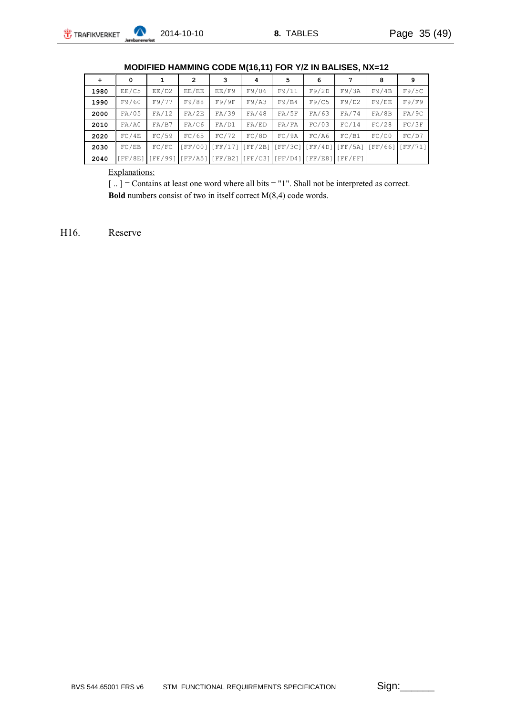Ø

| $\ddot{}$ | 0       |       | 2               | 3                               | 4     | 5       | 6       |                                         | 8       | 9       |
|-----------|---------|-------|-----------------|---------------------------------|-------|---------|---------|-----------------------------------------|---------|---------|
| 1980      | EE/C5   | EE/D2 | EE/EE           | EE/F9                           | F9/06 | F9/11   | F9/2D   | F9/3A                                   | F9/4B   | F9/5C   |
| 1990      | F9/60   | F9/77 | F9/88           | F9/9F                           | F9/A3 | F9/B4   | F9/C5   | F9/D2                                   | F9/EE   | F9/F9   |
| 2000      | FA/05   | FA/12 | FA/2E           | FA/39                           | FA/48 | FA/5F   | FA/63   | FA/74                                   | FA/8B   | FA/9C   |
| 2010      | FA/AO   | FA/B7 | FA/C6           | FA/D1                           | FA/ED | FA/FA   | FC/03   | FC/14                                   | FC/28   | FC/3F   |
| 2020      | FC/4E   | FC/59 | FC/65           | FC/72                           | FC/8D | FC/9A   | FC/AG   | FC/B1                                   | FC/CO   | FC/D7   |
| 2030      | FC/EB   | FC/FC | [FF/00]         | $\vert$ [FF/17] $\vert$ [FF/2B] |       | [FF/3C] | [FF/4D] | [FF/5A]                                 | [FF/66] | [FF/71] |
| 2040      | [FF/8E] |       | [FF/99] [FF/A5] |                                 |       |         |         | [FF/B2] [FF/C3] [FF/D4] [FF/E8] [FF/FF] |         |         |

**MODIFIED HAMMING CODE M(16,11) FOR Y/Z IN BALISES, NX=12**

Explanations:

[ .. ] = Contains at least one word where all bits = "1". Shall not be interpreted as correct. **Bold** numbers consist of two in itself correct M(8,4) code words.

H16. Reserve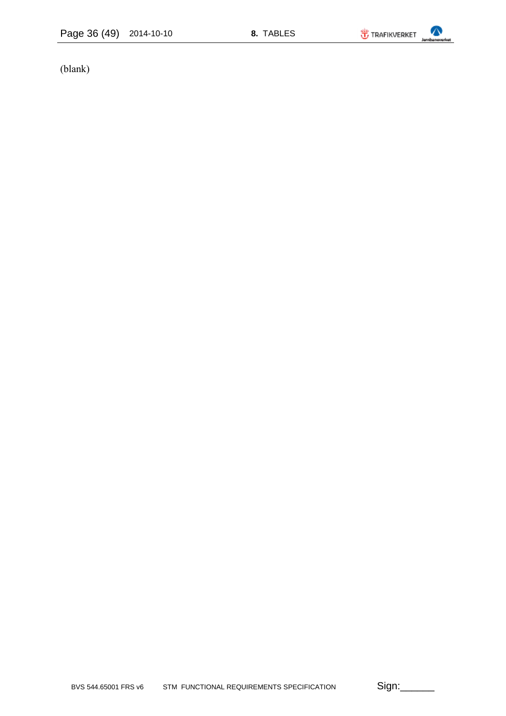

(blank)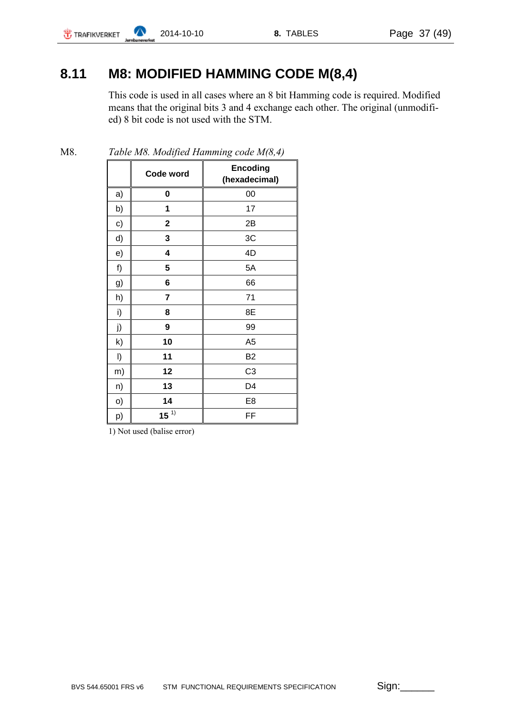Ø

# <span id="page-36-0"></span>**8.11 M8: MODIFIED HAMMING CODE M(8,4)**

This code is used in all cases where an 8 bit Hamming code is required. Modified means that the original bits 3 and 4 exchange each other. The original (unmodified) 8 bit code is not used with the STM.

|    | Code word   | <b>Encoding</b><br>(hexadecimal) |
|----|-------------|----------------------------------|
| a) | 0           | 00                               |
| b) | 1           | 17                               |
| c) | $\mathbf 2$ | 2B                               |
| d) | 3           | 3C                               |
| e) | 4           | 4D                               |
| f) | 5           | 5A                               |
| g) | 6           | 66                               |
| h) | 7           | 71                               |
| i) | 8           | 8E                               |
| j) | 9           | 99                               |
| k) | 10          | A <sub>5</sub>                   |
| I) | 11          | <b>B2</b>                        |
| m) | 12          | C <sub>3</sub>                   |
| n) | 13          | D <sub>4</sub>                   |
| o) | 14          | E <sub>8</sub>                   |
| p) | $15^{1}$    | FF                               |

M8. *Table M8. Modified Hamming code M(8,4)*

1) Not used (balise error)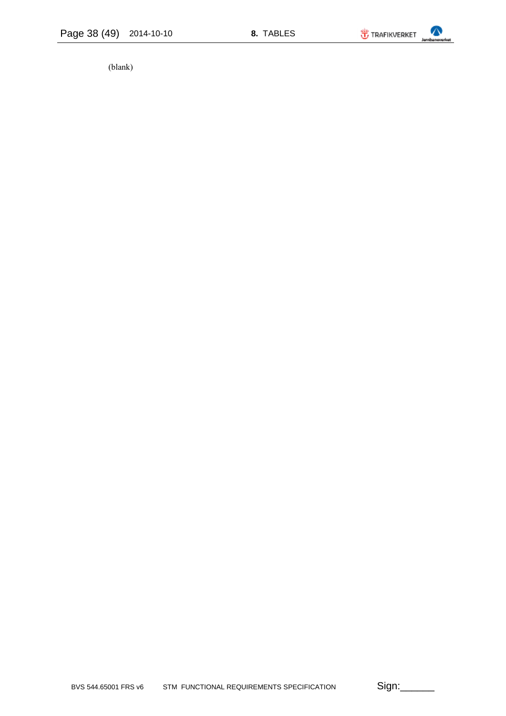(blank)

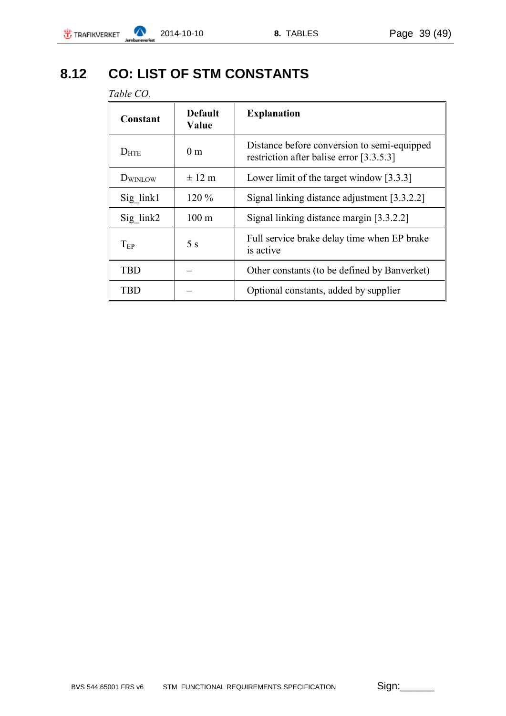# <span id="page-38-0"></span>**8.12 CO: LIST OF STM CONSTANTS**

### *Table CO.*

 $\boldsymbol{\mathcal{D}}$ 

| Constant            | <b>Default</b><br>Value | <b>Explanation</b>                                                                      |
|---------------------|-------------------------|-----------------------------------------------------------------------------------------|
| $D_{\rm HTE}$       | 0 <sub>m</sub>          | Distance before conversion to semi-equipped<br>restriction after balise error [3.3.5.3] |
| D <sub>WINLOW</sub> | $\pm$ 12 m              | Lower limit of the target window $[3.3.3]$                                              |
| Sig link1           | $120\%$                 | Signal linking distance adjustment [3.3.2.2]                                            |
| Sig link2           | $100 \text{ m}$         | Signal linking distance margin [3.3.2.2]                                                |
| $T_{EP}$            | 5s                      | Full service brake delay time when EP brake<br>is active                                |
| <b>TBD</b>          |                         | Other constants (to be defined by Banverket)                                            |
| TBD                 |                         | Optional constants, added by supplier                                                   |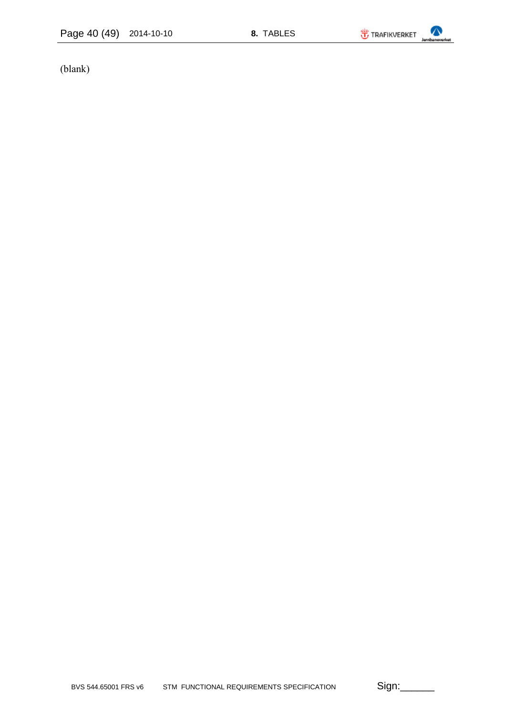

(blank)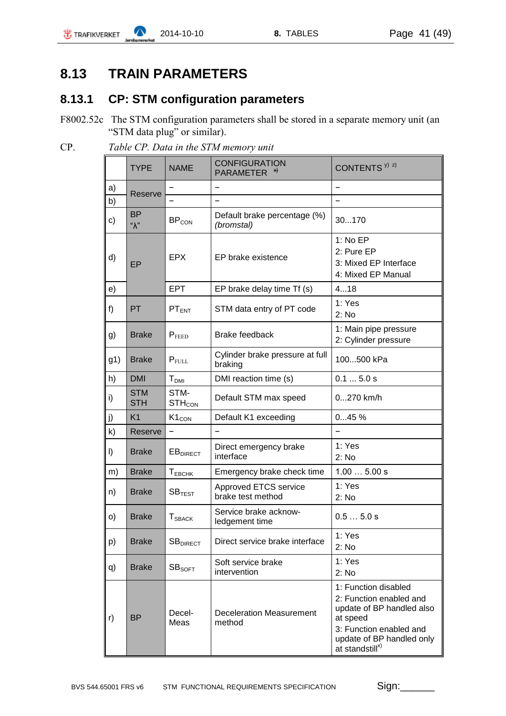|              | <b>TYPE</b>              | <b>NAME</b>                       | <b>CONFIGURATION</b><br><b>PARAMETER</b>   | CONTENTS <sup>y) z)</sup>                                                                                                                                                       |  |  |  |  |
|--------------|--------------------------|-----------------------------------|--------------------------------------------|---------------------------------------------------------------------------------------------------------------------------------------------------------------------------------|--|--|--|--|
| a)           | Reserve                  |                                   |                                            |                                                                                                                                                                                 |  |  |  |  |
| b)           |                          |                                   | -                                          |                                                                                                                                                                                 |  |  |  |  |
| c)           | <b>BP</b><br>"^"         | BP <sub>CON</sub>                 | Default brake percentage (%)<br>(bromstal) | 30170                                                                                                                                                                           |  |  |  |  |
| d)           | EP                       | <b>EPX</b>                        | EP brake existence                         | 1: No EP<br>2: Pure EP<br>3: Mixed EP Interface<br>4: Mixed EP Manual                                                                                                           |  |  |  |  |
| e)           |                          | <b>EPT</b>                        | EP brake delay time Tf (s)                 | 418                                                                                                                                                                             |  |  |  |  |
| f)           | PT                       | $PT_{ENT}$                        | STM data entry of PT code                  | 1: Yes<br>2: No                                                                                                                                                                 |  |  |  |  |
| g)           | <b>Brake</b>             | $P_{\rm FED}$                     | <b>Brake feedback</b>                      | 1: Main pipe pressure<br>2: Cylinder pressure                                                                                                                                   |  |  |  |  |
| g1)          | <b>Brake</b>             | $P_{\rm FULL}$                    | Cylinder brake pressure at full<br>braking | 100500 kPa                                                                                                                                                                      |  |  |  |  |
| h)           | <b>DMI</b>               | $T_{DMI}$                         | DMI reaction time (s)                      | 0.15.0 s                                                                                                                                                                        |  |  |  |  |
| i)           | <b>STM</b><br><b>STH</b> | STM-<br><b>STH<sub>CON</sub></b>  | Default STM max speed                      | 0270 km/h                                                                                                                                                                       |  |  |  |  |
| j)           | K <sub>1</sub>           | $K1_{CON}$                        | Default K1 exceeding                       | 045%                                                                                                                                                                            |  |  |  |  |
| $\mathsf{k}$ | Reserve                  |                                   |                                            |                                                                                                                                                                                 |  |  |  |  |
| $\vert$      | <b>Brake</b>             | <b>EB</b> <sub>DIRECT</sub>       | Direct emergency brake<br>interface        | 1: Yes<br>2: No                                                                                                                                                                 |  |  |  |  |
| m)           | <b>Brake</b>             | <b>TEBCHK</b>                     | Emergency brake check time                 | 1.005.00 s                                                                                                                                                                      |  |  |  |  |
| n)           | <b>Brake</b>             | $SB$ <sub>TEST</sub>              | Approved ETCS service<br>brake test method | 1: Yes<br>2: No                                                                                                                                                                 |  |  |  |  |
| O)           | <b>Brake</b>             | $T_{\scriptsize{\texttt{SBACK}}}$ | Service brake acknow-<br>ledgement time    | 0.55.0s                                                                                                                                                                         |  |  |  |  |
| p)           | <b>Brake</b>             | $\texttt{SB}_{\texttt{DIRECT}}$   | Direct service brake interface             | 1: Yes<br>2: No                                                                                                                                                                 |  |  |  |  |
| q)           | <b>Brake</b>             | SB <sub>SOFF</sub>                | Soft service brake<br>intervention         | 1: Yes<br>2: No                                                                                                                                                                 |  |  |  |  |
| r)           | <b>BP</b>                | Decel-<br>Meas                    | <b>Deceleration Measurement</b><br>method  | 1: Function disabled<br>2: Function enabled and<br>update of BP handled also<br>at speed<br>3: Function enabled and<br>update of BP handled only<br>at standstill <sup>x)</sup> |  |  |  |  |

Ø

### <span id="page-40-1"></span><span id="page-40-0"></span>**8.13.1 CP: STM configuration parameters**

F8002.52c The STM configuration parameters shall be stored in a separate memory unit (an "STM data plug" or similar).

CP. *Table CP. Data in the STM memory unit*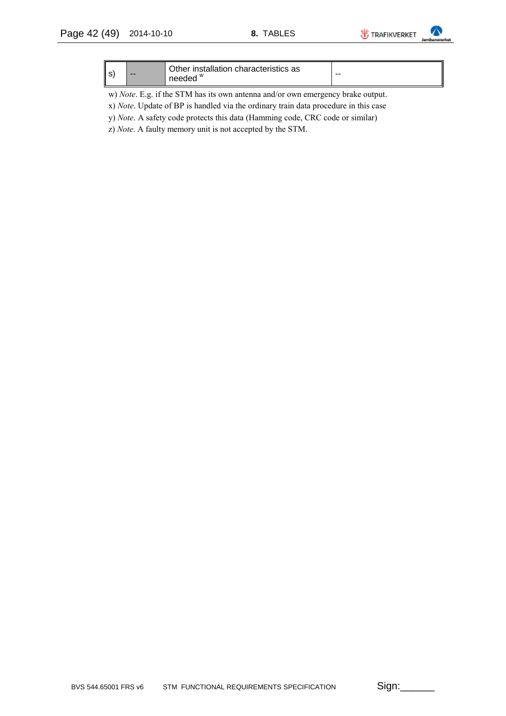

| $\epsilon$ | -- | Other installation characteristics as<br>$\blacksquare$ needed $^{\sf w}$ . | $- -$ |
|------------|----|-----------------------------------------------------------------------------|-------|
|------------|----|-----------------------------------------------------------------------------|-------|

w) *Note*. E.g. if the STM has its own antenna and/or own emergency brake output.

x) *Note*. Update of BP is handled via the ordinary train data procedure in this case

y) *Note*. A safety code protects this data (Hamming code, CRC code or similar)

z) *Note*. A faulty memory unit is not accepted by the STM.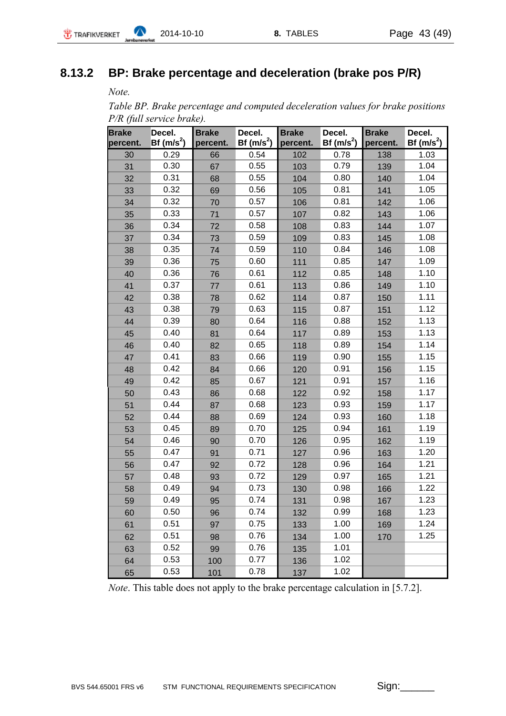### <span id="page-42-0"></span>**8.13.2 BP: Brake percentage and deceleration (brake pos P/R)**

*Note.* 

ハ

**Brake percent. Decel. Bf (m/s<sup>2</sup> ) Brake percent. Decel. Bf (m/s<sup>2</sup> ) Brake percent. Decel. Bf (m/s<sup>2</sup> ) Brake percent. Decel. Bf (m/s<sup>2</sup> )** 0.29 66 0.54 102 0.78 138 1.03 0.30 67 0.55 103 0.79 139 1.04 0.31 68 0.55 104 0.80 140 1.04 0.32 69 0.56 105 0.81 141 1.05 0.32 70 0.57 106 0.81 142 1.06 0.33 71 0.57 107 0.82 143 1.06 0.34 72 0.58 108 0.83 144 1.07 0.34 73 0.59 109 0.83 145 1.08 0.35 74 0.59 110 0.84 146 1.08 0.36 75 0.60 111 0.85 147 1.09 0.36 76 0.61 112 0.85 148 1.10 0.37 77 0.61 113 0.86 149 1.10 0.38 78 0.62 114 0.87 150 1.11 0.38 79 0.63 115 0.87 151 1.12 0.39 80 0.64 116 0.88 152 1.13 0.40 81 0.64 117 0.89 153 1.13 0.40 82 0.65 118 0.89 154 1.14 0.41 83 0.66 119 0.90 155 1.15 0.42 84 0.66 120 0.91 156 1.15 0.42 85 0.67 121 0.91 157 1.16 0.43 86 0.68 122 0.92 158 1.17 0.44 87 0.68 123 0.93 159 1.17 0.44 88 0.69 124 0.93 160 1.18 0.45 89 0.70 125 0.94 161 1.19 0.46 90 0.70 126 0.95 162 1.19 0.47 91 0.71 127 0.96 163 1.20 0.47 92 0.72 128 0.96 164 1.21 0.48 93 0.72 129 0.97 165 1.21 0.49 94 0.73 130 0.98 166 1.22 0.49 95 0.74 131 0.98 167 1.23 0.50 96 0.74 132 0.99 168 1.23 0.51 97 0.75 133 1.00 169 1.24 0.51 98 0.76 134 1.00 170 1.25 0.52 99 0.76 135 1.01 0.53 100 0.77 136 1.02 0.53 101 0.78 137 1.02

*Table BP. Brake percentage and computed deceleration values for brake positions P/R (full service brake).*

*Note*. This table does not apply to the brake percentage calculation in [5.7.2].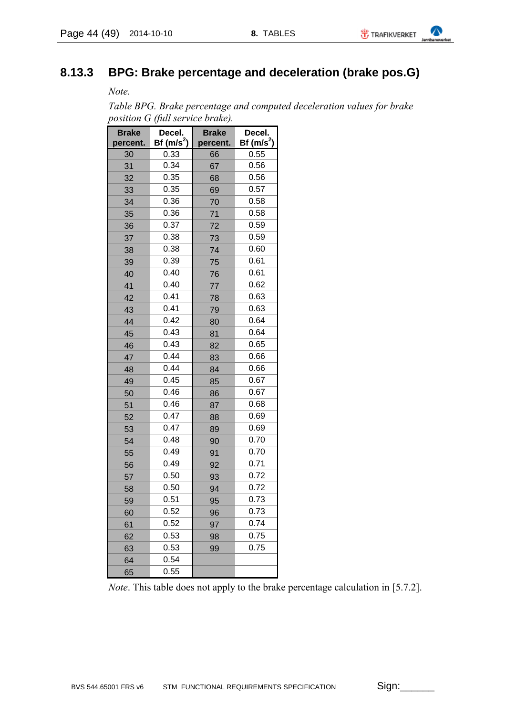↷

### <span id="page-43-0"></span>**8.13.3 BPG: Brake percentage and deceleration (brake pos.G)**

*Note.* 

| <b>Brake</b> | Decel.                         | <b>Brake</b> | Decel.                 |
|--------------|--------------------------------|--------------|------------------------|
| percent.     | <u>Bf (</u> m/s <sup>2</sup> ) | percent.     | Bf (m/s <sup>2</sup> ) |
| 30           | 0.33                           | 66           | 0.55                   |
| 31           | 0.34                           | 67           | 0.56                   |
| 32           | 0.35                           | 68           | 0.56                   |
| 33           | 0.35                           | 69           | 0.57                   |
| 34           | 0.36                           | 70           | 0.58                   |
| 35           | 0.36                           | 71           | 0.58                   |
| 36           | 0.37                           | 72           | 0.59                   |
| 37           | 0.38                           | 73           | 0.59                   |
| 38           | 0.38                           | 74           | 0.60                   |
| 39           | 0.39                           | 75           | 0.61                   |
| 40           | 0.40                           | 76           | 0.61                   |
| 41           | 0.40                           | 77           | 0.62                   |
| 42           | 0.41                           | 78           | 0.63                   |
| 43           | 0.41                           | 79           | 0.63                   |
| 44           | 0.42                           | 80           | 0.64                   |
| 45           | 0.43                           | 81           | 0.64                   |
| 46           | 0.43                           | 82           | 0.65                   |
| 47           | 0.44                           | 83           | 0.66                   |
| 48           | 0.44                           | 84           | 0.66                   |
| 49           | 0.45                           | 85           | 0.67                   |
| 50           | 0.46                           | 86           | 0.67                   |
| 51           | 0.46                           | 87           | 0.68                   |
| 52           | 0.47                           | 88           | 0.69                   |
| 53           | 0.47                           | 89           | 0.69                   |
| 54           | 0.48                           | 90           | 0.70                   |
| 55           | 0.49                           | 91           | 0.70                   |
| 56           | 0.49                           | 92           | 0.71                   |
| 57           | 0.50                           | 93           | 0.72                   |
| 58           | 0.50                           | 94           | 0.72                   |
| 59           | 0.51                           | 95           | 0.73                   |
| 60           | 0.52                           | 96           | 0.73                   |
| 61           | 0.52                           | 97           | 0.74                   |
| 62           | 0.53                           | 98           | 0.75                   |
| 63           | 0.53                           | 99           | 0.75                   |
| 64           | 0.54                           |              |                        |
| 65           | 0.55                           |              |                        |

*Table BPG. Brake percentage and computed deceleration values for brake position G (full service brake).*

*Note*. This table does not apply to the brake percentage calculation in [5.7.2].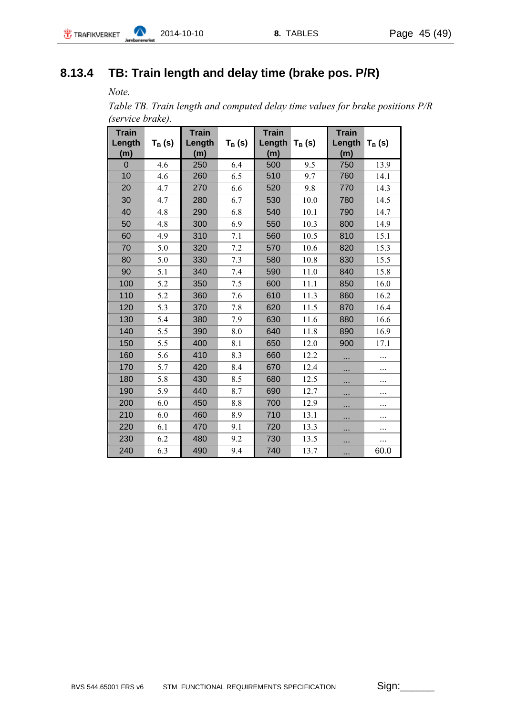# <span id="page-44-0"></span>**8.13.4 TB: Train length and delay time (brake pos. P/R)**

*Note.*

Ø

*Table TB. Train length and computed delay time values for brake positions P/R (service brake).*

|                               | $\sim$ $\sim$ $\sim$ $\sim$ $\sim$ $\sim$ $\sim$ |                               |          |                               |          |                               |          |
|-------------------------------|--------------------------------------------------|-------------------------------|----------|-------------------------------|----------|-------------------------------|----------|
| <b>Train</b><br>Length<br>(m) | $T_B(s)$                                         | <b>Train</b><br>Length<br>(m) | $T_B(s)$ | <b>Train</b><br>Length<br>(m) | $T_B(s)$ | <b>Train</b><br>Length<br>(m) | $T_B(s)$ |
| $\overline{0}$                | 4.6                                              | 250                           | 6.4      | 500                           | 9.5      | 750                           | 13.9     |
| 10                            | 4.6                                              | 260                           | 6.5      | 510                           | 9.7      | 760                           | 14.1     |
| 20                            | 4.7                                              | 270                           | 6.6      | 520                           | 9.8      | 770                           | 14.3     |
| 30                            | 4.7                                              | 280                           | 6.7      | 530                           | 10.0     | 780                           | 14.5     |
| 40                            | 4.8                                              | 290                           | 6.8      | 540                           | 10.1     | 790                           | 14.7     |
| 50                            | 4.8                                              | 300                           | 6.9      | 550                           | 10.3     | 800                           | 14.9     |
| 60                            | 4.9                                              | 310                           | 7.1      | 560                           | 10.5     | 810                           | 15.1     |
| 70                            | 5.0                                              | 320                           | 7.2      | 570                           | 10.6     | 820                           | 15.3     |
| 80                            | 5.0                                              | 330                           | 7.3      | 580                           | 10.8     | 830                           | 15.5     |
| 90                            | 5.1                                              | 340                           | 7.4      | 590                           | 11.0     | 840                           | 15.8     |
| 100                           | 5.2                                              | 350                           | 7.5      | 600                           | 11.1     | 850                           | 16.0     |
| 110                           | 5.2                                              | 360                           | 7.6      | 610                           | 11.3     | 860                           | 16.2     |
| 120                           | 5.3                                              | 370                           | 7.8      | 620                           | 11.5     | 870                           | 16.4     |
| 130                           | 5.4                                              | 380                           | 7.9      | 630                           | 11.6     | 880                           | 16.6     |
| 140                           | 5.5                                              | 390                           | 8.0      | 640                           | 11.8     | 890                           | 16.9     |
| 150                           | 5.5                                              | 400                           | 8.1      | 650                           | 12.0     | 900                           | 17.1     |
| 160                           | 5.6                                              | 410                           | 8.3      | 660                           | 12.2     |                               |          |
| 170                           | 5.7                                              | 420                           | 8.4      | 670                           | 12.4     |                               |          |
| 180                           | 5.8                                              | 430                           | 8.5      | 680                           | 12.5     |                               |          |
| 190                           | 5.9                                              | 440                           | 8.7      | 690                           | 12.7     |                               | .        |
| 200                           | 6.0                                              | 450                           | 8.8      | 700                           | 12.9     | .                             |          |
| 210                           | 6.0                                              | 460                           | 8.9      | 710                           | 13.1     | .                             |          |
| 220                           | 6.1                                              | 470                           | 9.1      | 720                           | 13.3     | .                             |          |
| 230                           | 6.2                                              | 480                           | 9.2      | 730                           | 13.5     |                               |          |
| 240                           | 6.3                                              | 490                           | 9.4      | 740                           | 13.7     | $\cdots$                      | 60.0     |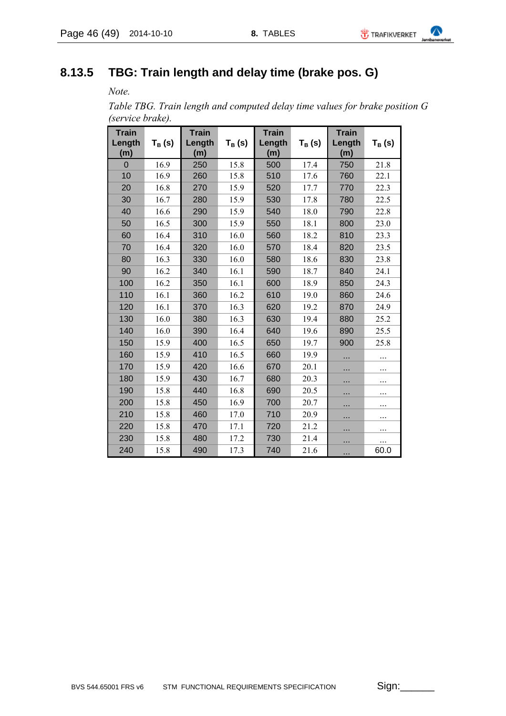↷

## <span id="page-45-0"></span>**8.13.5 TBG: Train length and delay time (brake pos. G)**

*Note.* 

*Table TBG. Train length and computed delay time values for brake position G (service brake).*

| <b>Train</b><br>Length<br>(m) | $T_B(s)$ | <b>Train</b><br>Length<br>(m) | $T_B(s)$ | <b>Train</b><br>Length<br>(m) | $T_B(s)$ | <b>Train</b><br>Length<br>(m) | $T_B(s)$ |
|-------------------------------|----------|-------------------------------|----------|-------------------------------|----------|-------------------------------|----------|
| $\mathbf 0$                   | 16.9     | 250                           | 15.8     | 500                           | 17.4     | 750                           | 21.8     |
| 10                            | 16.9     | 260                           | 15.8     | 510                           | 17.6     | 760                           | 22.1     |
| 20                            | 16.8     | 270                           | 15.9     | 520                           | 17.7     | 770                           | 22.3     |
| 30                            | 16.7     | 280                           | 15.9     | 530                           | 17.8     | 780                           | 22.5     |
| 40                            | 16.6     | 290                           | 15.9     | 540                           | 18.0     | 790                           | 22.8     |
| 50                            | 16.5     | 300                           | 15.9     | 550                           | 18.1     | 800                           | 23.0     |
| 60                            | 16.4     | 310                           | 16.0     | 560                           | 18.2     | 810                           | 23.3     |
| 70                            | 16.4     | 320                           | 16.0     | 570                           | 18.4     | 820                           | 23.5     |
| 80                            | 16.3     | 330                           | 16.0     | 580                           | 18.6     | 830                           | 23.8     |
| 90                            | 16.2     | 340                           | 16.1     | 590                           | 18.7     | 840                           | 24.1     |
| 100                           | 16.2     | 350                           | 16.1     | 600                           | 18.9     | 850                           | 24.3     |
| 110                           | 16.1     | 360                           | 16.2     | 610                           | 19.0     | 860                           | 24.6     |
| 120                           | 16.1     | 370                           | 16.3     | 620                           | 19.2     | 870                           | 24.9     |
| 130                           | 16.0     | 380                           | 16.3     | 630                           | 19.4     | 880                           | 25.2     |
| 140                           | 16.0     | 390                           | 16.4     | 640                           | 19.6     | 890                           | 25.5     |
| 150                           | 15.9     | 400                           | 16.5     | 650                           | 19.7     | 900                           | 25.8     |
| 160                           | 15.9     | 410                           | 16.5     | 660                           | 19.9     | .                             |          |
| 170                           | 15.9     | 420                           | 16.6     | 670                           | 20.1     | .                             |          |
| 180                           | 15.9     | 430                           | 16.7     | 680                           | 20.3     | .                             |          |
| 190                           | 15.8     | 440                           | 16.8     | 690                           | 20.5     | .                             |          |
| 200                           | 15.8     | 450                           | 16.9     | 700                           | 20.7     | .                             |          |
| 210                           | 15.8     | 460                           | 17.0     | 710                           | 20.9     | .                             |          |
| 220                           | 15.8     | 470                           | 17.1     | 720                           | 21.2     |                               |          |
| 230                           | 15.8     | 480                           | 17.2     | 730                           | 21.4     | .                             |          |
| 240                           | 15.8     | 490                           | 17.3     | 740                           | 21.6     | $\ddotsc$                     | 60.0     |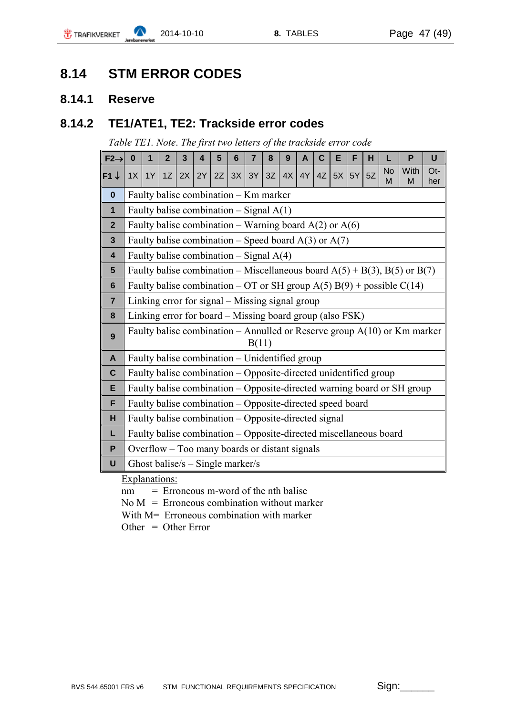# <span id="page-46-0"></span>**8.14 STM ERROR CODES**

W

### <span id="page-46-1"></span>**8.14.1 Reserve**

## <span id="page-46-2"></span>**8.14.2 TE1/ATE1, TE2: Trackside error codes**

*Table TE1. Note*. *The first two letters of the trackside error code*

| $F2 \rightarrow$        | $\bf{0}$                                                          | 1                                                                | $\overline{2}$ | 3  | 4  | 5  | 6  | 7     | 8  | 9  | A  | C  | Е  | F  | н  | L              | P                                                                                | $\mathbf U$ |
|-------------------------|-------------------------------------------------------------------|------------------------------------------------------------------|----------------|----|----|----|----|-------|----|----|----|----|----|----|----|----------------|----------------------------------------------------------------------------------|-------------|
| lF1 ↓                   | 1X                                                                | 1Y                                                               | 1Z             | 2X | 2Y | 2Z | 3X | 3Y    | 3Z | 4X | 4Y | 4Z | 5X | 5Y | 5Z | <b>No</b><br>M | With<br>M                                                                        | Ot-<br>her  |
| $\bf{0}$                |                                                                   | Faulty balise combination – Km marker                            |                |    |    |    |    |       |    |    |    |    |    |    |    |                |                                                                                  |             |
| $\mathbf{1}$            |                                                                   | Faulty balise combination $-$ Signal A(1)                        |                |    |    |    |    |       |    |    |    |    |    |    |    |                |                                                                                  |             |
| $\overline{2}$          |                                                                   | Faulty balise combination – Warning board $A(2)$ or $A(6)$       |                |    |    |    |    |       |    |    |    |    |    |    |    |                |                                                                                  |             |
| 3                       |                                                                   | Faulty balise combination – Speed board $A(3)$ or $A(7)$         |                |    |    |    |    |       |    |    |    |    |    |    |    |                |                                                                                  |             |
| $\overline{\mathbf{4}}$ |                                                                   | Faulty balise combination $-$ Signal A(4)                        |                |    |    |    |    |       |    |    |    |    |    |    |    |                |                                                                                  |             |
| 5                       |                                                                   |                                                                  |                |    |    |    |    |       |    |    |    |    |    |    |    |                | Faulty balise combination – Miscellaneous board $A(5) + B(3)$ , $B(5)$ or $B(7)$ |             |
| 6                       |                                                                   |                                                                  |                |    |    |    |    |       |    |    |    |    |    |    |    |                | Faulty balise combination – OT or SH group $A(5) B(9)$ + possible C(14)          |             |
| $\overline{7}$          |                                                                   | Linking error for signal – Missing signal group                  |                |    |    |    |    |       |    |    |    |    |    |    |    |                |                                                                                  |             |
| 8                       |                                                                   | Linking error for board – Missing board group (also FSK)         |                |    |    |    |    |       |    |    |    |    |    |    |    |                |                                                                                  |             |
| 9                       |                                                                   |                                                                  |                |    |    |    |    | B(11) |    |    |    |    |    |    |    |                | Faulty balise combination – Annulled or Reserve group $A(10)$ or Km marker       |             |
| A                       |                                                                   | Faulty balise combination - Unidentified group                   |                |    |    |    |    |       |    |    |    |    |    |    |    |                |                                                                                  |             |
| C                       |                                                                   | Faulty balise combination - Opposite-directed unidentified group |                |    |    |    |    |       |    |    |    |    |    |    |    |                |                                                                                  |             |
| Е                       |                                                                   |                                                                  |                |    |    |    |    |       |    |    |    |    |    |    |    |                | Faulty balise combination - Opposite-directed warning board or SH group          |             |
| F                       |                                                                   | Faulty balise combination - Opposite-directed speed board        |                |    |    |    |    |       |    |    |    |    |    |    |    |                |                                                                                  |             |
| н                       |                                                                   | Faulty balise combination - Opposite-directed signal             |                |    |    |    |    |       |    |    |    |    |    |    |    |                |                                                                                  |             |
| L                       | Faulty balise combination - Opposite-directed miscellaneous board |                                                                  |                |    |    |    |    |       |    |    |    |    |    |    |    |                |                                                                                  |             |
| P                       | Overflow – Too many boards or distant signals                     |                                                                  |                |    |    |    |    |       |    |    |    |    |    |    |    |                |                                                                                  |             |
| U                       |                                                                   | Ghost balise/s $-$ Single marker/s                               |                |    |    |    |    |       |    |    |    |    |    |    |    |                |                                                                                  |             |
|                         |                                                                   | Explanations:                                                    |                |    |    |    |    |       |    |    |    |    |    |    |    |                |                                                                                  |             |

 $nm =$  Erroneous m-word of the nth balise

 $No M = Erroneous combination without marker$ 

With M= Erroneous combination with marker

Other  $=$  Other Error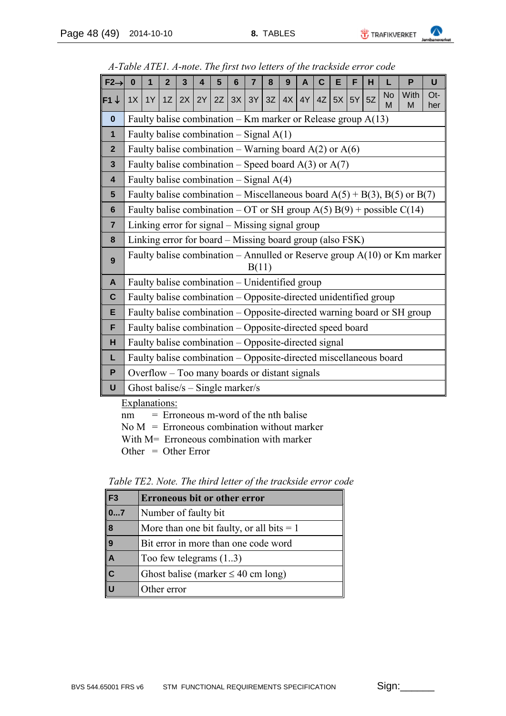

| $F2 \rightarrow$ | $\bf{0}$                                             |                                                                  | $\overline{2}$ | 3  | 4  | 5  | 6  | $\overline{7}$ | 8  | 9  | A  | C | Е       | F  | н  |                                                                   | P                                                                                | $\mathbf U$ |
|------------------|------------------------------------------------------|------------------------------------------------------------------|----------------|----|----|----|----|----------------|----|----|----|---|---------|----|----|-------------------------------------------------------------------|----------------------------------------------------------------------------------|-------------|
| lF1 ↓            | 1X                                                   | 1Y <sub>l</sub>                                                  | 1Z             | 2X | 2Y | 2Z | 3X | 3Y             | 3Z | 4X | 4Y |   | $4Z$ 5X | 5Y | 5Z | No<br>M                                                           | With<br>M                                                                        | Ot-<br>her  |
| $\bf{0}$         |                                                      | Faulty balise combination – Km marker or Release group $A(13)$   |                |    |    |    |    |                |    |    |    |   |         |    |    |                                                                   |                                                                                  |             |
| 1                |                                                      | Faulty balise combination $-$ Signal A(1)                        |                |    |    |    |    |                |    |    |    |   |         |    |    |                                                                   |                                                                                  |             |
| $\mathbf{2}$     |                                                      | Faulty balise combination – Warning board $A(2)$ or $A(6)$       |                |    |    |    |    |                |    |    |    |   |         |    |    |                                                                   |                                                                                  |             |
| 3                |                                                      | Faulty balise combination – Speed board $A(3)$ or $A(7)$         |                |    |    |    |    |                |    |    |    |   |         |    |    |                                                                   |                                                                                  |             |
| 4                |                                                      | Faulty balise combination $-$ Signal A(4)                        |                |    |    |    |    |                |    |    |    |   |         |    |    |                                                                   |                                                                                  |             |
| 5                |                                                      |                                                                  |                |    |    |    |    |                |    |    |    |   |         |    |    |                                                                   | Faulty balise combination – Miscellaneous board $A(5) + B(3)$ , $B(5)$ or $B(7)$ |             |
| 6                |                                                      |                                                                  |                |    |    |    |    |                |    |    |    |   |         |    |    |                                                                   | Faulty balise combination – OT or SH group $A(5) B(9)$ + possible C(14)          |             |
| $\overline{7}$   |                                                      | Linking error for signal - Missing signal group                  |                |    |    |    |    |                |    |    |    |   |         |    |    |                                                                   |                                                                                  |             |
| 8                |                                                      | Linking error for board – Missing board group (also FSK)         |                |    |    |    |    |                |    |    |    |   |         |    |    |                                                                   |                                                                                  |             |
| 9                |                                                      |                                                                  |                |    |    |    |    | B(11)          |    |    |    |   |         |    |    |                                                                   | Faulty balise combination – Annulled or Reserve group $A(10)$ or Km marker       |             |
| A                |                                                      | Faulty balise combination – Unidentified group                   |                |    |    |    |    |                |    |    |    |   |         |    |    |                                                                   |                                                                                  |             |
| C                |                                                      | Faulty balise combination – Opposite-directed unidentified group |                |    |    |    |    |                |    |    |    |   |         |    |    |                                                                   |                                                                                  |             |
| Е                |                                                      |                                                                  |                |    |    |    |    |                |    |    |    |   |         |    |    |                                                                   | Faulty balise combination – Opposite-directed warning board or SH group          |             |
| F                |                                                      | Faulty balise combination – Opposite-directed speed board        |                |    |    |    |    |                |    |    |    |   |         |    |    |                                                                   |                                                                                  |             |
| н                | Faulty balise combination – Opposite-directed signal |                                                                  |                |    |    |    |    |                |    |    |    |   |         |    |    |                                                                   |                                                                                  |             |
| L                |                                                      |                                                                  |                |    |    |    |    |                |    |    |    |   |         |    |    | Faulty balise combination - Opposite-directed miscellaneous board |                                                                                  |             |
| P                |                                                      | Overflow – Too many boards or distant signals                    |                |    |    |    |    |                |    |    |    |   |         |    |    |                                                                   |                                                                                  |             |
| U                |                                                      | Ghost balise/s $-$ Single marker/s                               |                |    |    |    |    |                |    |    |    |   |         |    |    |                                                                   |                                                                                  |             |

*A-Table ATE1. A-note*. *The first two letters of the trackside error code*

Explanations:

nm = Erroneous m-word of the nth balise

 $No M = Erroneous combination without marker$ 

With M= Erroneous combination with marker

Other = Other Error

*Table TE2. Note. The third letter of the trackside error code* 

| <b>F3</b>               | <b>Erroneous bit or other error</b>         |  |  |  |  |  |
|-------------------------|---------------------------------------------|--|--|--|--|--|
| 07                      | Number of faulty bit                        |  |  |  |  |  |
| $\overline{\mathbf{8}}$ | More than one bit faulty, or all bits $= 1$ |  |  |  |  |  |
| <b>9</b>                | Bit error in more than one code word        |  |  |  |  |  |
| $\mathsf{A}$            | Too few telegrams $(13)$                    |  |  |  |  |  |
| $ _{\mathsf{C}}$        | Ghost balise (marker $\leq 40$ cm long)     |  |  |  |  |  |
|                         | Other error                                 |  |  |  |  |  |